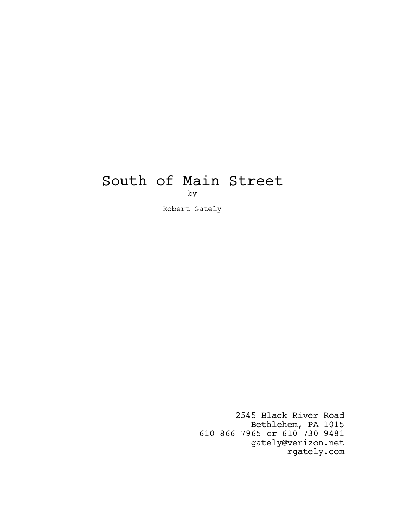# South of Main Street by

Robert Gately

2545 Black River Road Bethlehem, PA 1015 610-866-7965 or 610-730-9481 gately@verizon.net rgately.com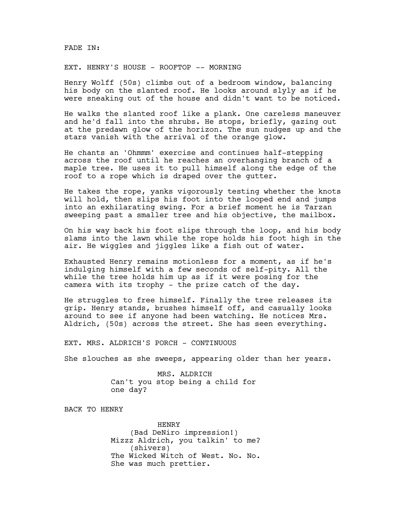## FADE IN:

# EXT. HENRY'S HOUSE - ROOFTOP -- MORNING

Henry Wolff (50s) climbs out of a bedroom window, balancing his body on the slanted roof. He looks around slyly as if he were sneaking out of the house and didn't want to be noticed.

He walks the slanted roof like a plank. One careless maneuver and he'd fall into the shrubs. He stops, briefly, gazing out at the predawn glow of the horizon. The sun nudges up and the stars vanish with the arrival of the orange glow.

He chants an 'Ohmmm' exercise and continues half-stepping across the roof until he reaches an overhanging branch of a maple tree. He uses it to pull himself along the edge of the roof to a rope which is draped over the gutter.

He takes the rope, yanks vigorously testing whether the knots will hold, then slips his foot into the looped end and jumps into an exhilarating swing. For a brief moment he is Tarzan sweeping past a smaller tree and his objective, the mailbox.

On his way back his foot slips through the loop, and his body slams into the lawn while the rope holds his foot high in the air. He wiggles and jiggles like a fish out of water.

Exhausted Henry remains motionless for a moment, as if he's indulging himself with a few seconds of self-pity. All the while the tree holds him up as if it were posing for the camera with its trophy - the prize catch of the day.

He struggles to free himself. Finally the tree releases its grip. Henry stands, brushes himself off, and casually looks around to see if anyone had been watching. He notices Mrs. Aldrich, (50s) across the street. She has seen everything.

EXT. MRS. ALDRICH'S PORCH - CONTINUOUS

She slouches as she sweeps, appearing older than her years.

MRS. ALDRICH Can't you stop being a child for one day?

BACK TO HENRY

HENRY (Bad DeNiro impression!) Mizzz Aldrich, you talkin' to me? (shivers) The Wicked Witch of West. No. No. She was much prettier.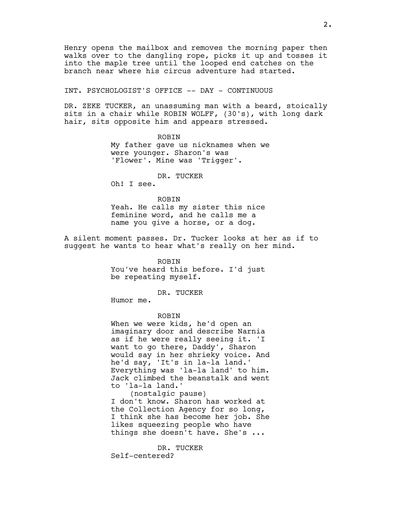Henry opens the mailbox and removes the morning paper then walks over to the dangling rope, picks it up and tosses it into the maple tree until the looped end catches on the branch near where his circus adventure had started.

# INT. PSYCHOLOGIST'S OFFICE -- DAY - CONTINUOUS

DR. ZEKE TUCKER, an unassuming man with a beard, stoically sits in a chair while ROBIN WOLFF, (30's), with long dark hair, sits opposite him and appears stressed.

> ROBIN My father gave us nicknames when we were younger. Sharon's was 'Flower'. Mine was 'Trigger'.

#### DR. TUCKER

Oh! I see.

ROBIN

Yeah. He calls my sister this nice feminine word, and he calls me a name you give a horse, or a dog.

A silent moment passes. Dr. Tucker looks at her as if to suggest he wants to hear what's really on her mind.

> ROBIN You've heard this before. I'd just be repeating myself.

> > DR. TUCKER

Humor me.

ROBIN

When we were kids, he'd open an imaginary door and describe Narnia as if he were really seeing it. 'I want to go there, Daddy', Sharon would say in her shrieky voice. And he'd say, 'It's in la-la land.' Everything was 'la-la land' to him. Jack climbed the beanstalk and went to 'la-la land.'

(nostalgic pause) I don't know. Sharon has worked at the Collection Agency for so long, I think she has become her job. She likes squeezing people who have things she doesn't have. She's ...

DR. TUCKER Self-centered?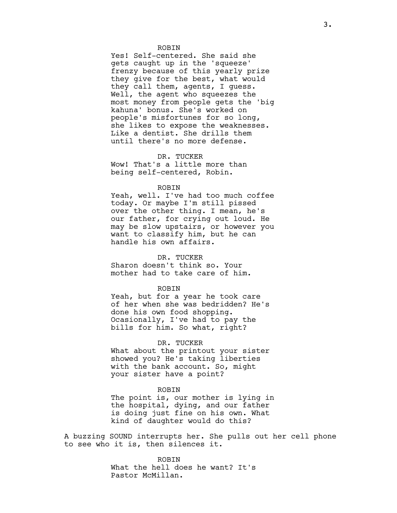#### ROBIN

Yes! Self-centered. She said she gets caught up in the 'squeeze' frenzy because of this yearly prize they give for the best, what would they call them, agents, I guess. Well, the agent who squeezes the most money from people gets the 'big kahuna' bonus. She's worked on people's misfortunes for so long, she likes to expose the weaknesses. Like a dentist. She drills them until there's no more defense.

# DR. TUCKER

Wow! That's a little more than being self-centered, Robin.

#### ROBIN

Yeah, well. I've had too much coffee today. Or maybe I'm still pissed over the other thing. I mean, he's our father, for crying out loud. He may be slow upstairs, or however you want to classify him, but he can handle his own affairs.

# DR. TUCKER

Sharon doesn't think so. Your mother had to take care of him.

#### ROBIN

Yeah, but for a year he took care of her when she was bedridden? He's done his own food shopping. Ocasionally, I've had to pay the bills for him. So what, right?

#### DR. TUCKER

What about the printout your sister showed you? He's taking liberties with the bank account. So, might your sister have a point?

#### ROBIN

The point is, our mother is lying in the hospital, dying, and our father is doing just fine on his own. What kind of daughter would do this?

A buzzing SOUND interrupts her. She pulls out her cell phone to see who it is, then silences it.

> ROBIN What the hell does he want? It's Pastor McMillan.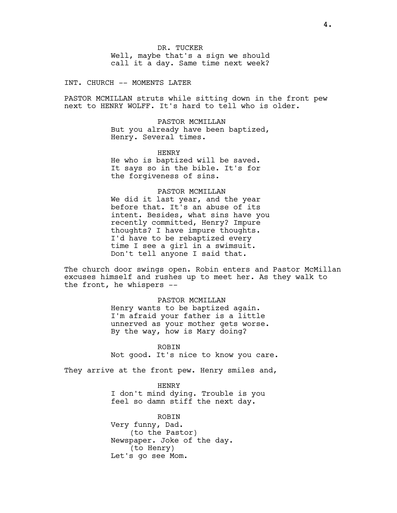INT. CHURCH -- MOMENTS LATER

PASTOR MCMILLAN struts while sitting down in the front pew next to HENRY WOLFF. It's hard to tell who is older.

> PASTOR MCMILLAN But you already have been baptized, Henry. Several times.

HENRY He who is baptized will be saved. It says so in the bible. It's for the forgiveness of sins.

## PASTOR MCMILLAN

We did it last year, and the year before that. It's an abuse of its intent. Besides, what sins have you recently committed, Henry? Impure thoughts? I have impure thoughts. I'd have to be rebaptized every time I see a girl in a swimsuit. Don't tell anyone I said that.

The church door swings open. Robin enters and Pastor McMillan excuses himself and rushes up to meet her. As they walk to the front, he whispers --

## PASTOR MCMILLAN

Henry wants to be baptized again. I'm afraid your father is a little unnerved as your mother gets worse. By the way, how is Mary doing?

ROBIN Not good. It's nice to know you care.

They arrive at the front pew. Henry smiles and,

HENRY I don't mind dying. Trouble is you feel so damn stiff the next day.

ROBIN Very funny, Dad. (to the Pastor) Newspaper. Joke of the day. (to Henry) Let's go see Mom.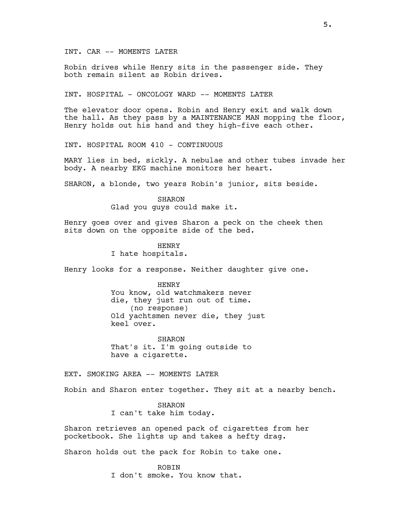INT. CAR -- MOMENTS LATER

Robin drives while Henry sits in the passenger side. They both remain silent as Robin drives.

INT. HOSPITAL - ONCOLOGY WARD -- MOMENTS LATER

The elevator door opens. Robin and Henry exit and walk down the hall. As they pass by a MAINTENANCE MAN mopping the floor, Henry holds out his hand and they high-five each other.

INT. HOSPITAL ROOM 410 - CONTINUOUS

MARY lies in bed, sickly. A nebulae and other tubes invade her body. A nearby EKG machine monitors her heart.

SHARON, a blonde, two years Robin's junior, sits beside.

SHARON Glad you guys could make it.

Henry goes over and gives Sharon a peck on the cheek then sits down on the opposite side of the bed.

> HENRY I hate hospitals.

Henry looks for a response. Neither daughter give one.

HENRY

You know, old watchmakers never die, they just run out of time. (no response) Old yachtsmen never die, they just keel over.

SHARON That's it. I'm going outside to have a cigarette.

EXT. SMOKING AREA -- MOMENTS LATER

Robin and Sharon enter together. They sit at a nearby bench.

SHARON I can't take him today.

Sharon retrieves an opened pack of cigarettes from her pocketbook. She lights up and takes a hefty drag.

Sharon holds out the pack for Robin to take one.

ROBIN I don't smoke. You know that.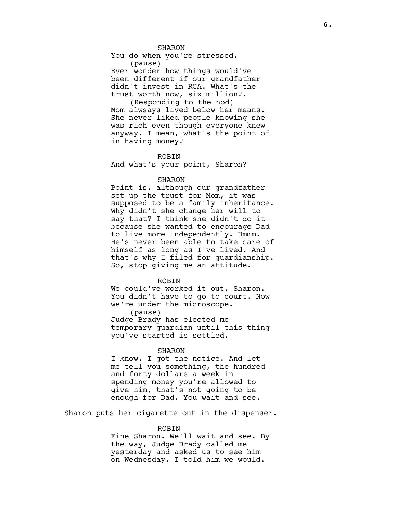SHARON

You do when you're stressed. (pause)

Ever wonder how things would've been different if our grandfather didn't invest in RCA. What's the trust worth now, six million?.

(Responding to the nod) Mom alwsays lived below her means. She never liked people knowing she was rich even though everyone knew anyway. I mean, what's the point of in having money?

#### ROBIN

And what's your point, Sharon?

# SHARON

Point is, although our grandfather set up the trust for Mom, it was supposed to be a family inheritance. Why didn't she change her will to say that? I think she didn't do it because she wanted to encourage Dad to live more independently. Hmmm. He's never been able to take care of himself as long as I've lived. And that's why I filed for guardianship. So, stop giving me an attitude.

# ROBIN

We could've worked it out, Sharon. You didn't have to go to court. Now we're under the microscope. (pause) Judge Brady has elected me temporary guardian until this thing you've started is settled.

#### SHARON

I know. I got the notice. And let me tell you something, the hundred and forty dollars a week in spending money you're allowed to give him, that's not going to be enough for Dad. You wait and see.

Sharon puts her cigarette out in the dispenser.

#### ROBIN

Fine Sharon. We'll wait and see. By the way, Judge Brady called me yesterday and asked us to see him on Wednesday. I told him we would.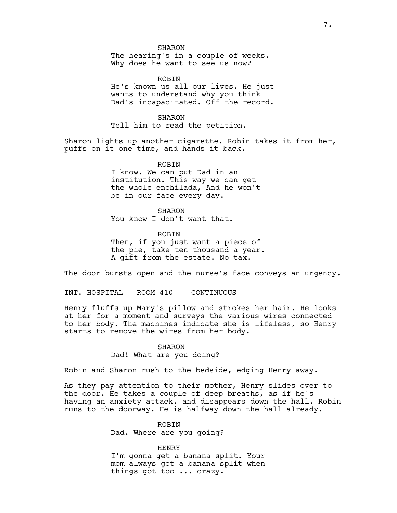SHARON

The hearing's in a couple of weeks. Why does he want to see us now?

ROBIN He's known us all our lives. He just wants to understand why you think Dad's incapacitated. Off the record.

SHARON Tell him to read the petition.

Sharon lights up another cigarette. Robin takes it from her, puffs on it one time, and hands it back.

> ROBIN I know. We can put Dad in an institution. This way we can get the whole enchilada, And he won't be in our face every day.

SHARON You know I don't want that.

ROBIN Then, if you just want a piece of the pie, take ten thousand a year. A gift from the estate. No tax.

The door bursts open and the nurse's face conveys an urgency.

INT. HOSPITAL - ROOM 410 -- CONTINUOUS

Henry fluffs up Mary's pillow and strokes her hair. He looks at her for a moment and surveys the various wires connected to her body. The machines indicate she is lifeless, so Henry starts to remove the wires from her body.

## SHARON

# Dad! What are you doing?

Robin and Sharon rush to the bedside, edging Henry away.

As they pay attention to their mother, Henry slides over to the door. He takes a couple of deep breaths, as if he's having an anxiety attack, and disappears down the hall. Robin runs to the doorway. He is halfway down the hall already.

# ROBIN

Dad. Where are you going?

HENRY

I'm gonna get a banana split. Your mom always got a banana split when things got too ... crazy.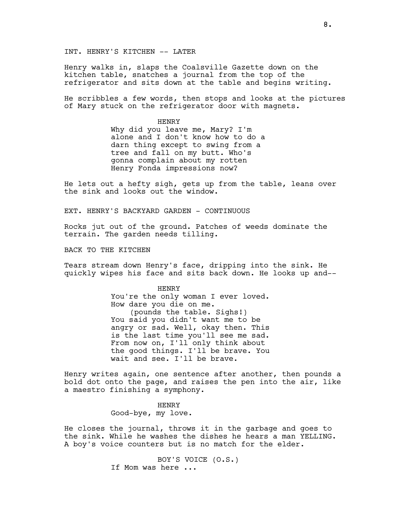INT. HENRY'S KITCHEN -- LATER

Henry walks in, slaps the Coalsville Gazette down on the kitchen table, snatches a journal from the top of the refrigerator and sits down at the table and begins writing.

He scribbles a few words, then stops and looks at the pictures of Mary stuck on the refrigerator door with magnets.

> HENRY Why did you leave me, Mary? I'm alone and I don't know how to do a darn thing except to swing from a tree and fall on my butt. Who's gonna complain about my rotten Henry Fonda impressions now?

He lets out a hefty sigh, gets up from the table, leans over the sink and looks out the window.

EXT. HENRY'S BACKYARD GARDEN - CONTINUOUS

Rocks jut out of the ground. Patches of weeds dominate the terrain. The garden needs tilling.

BACK TO THE KITCHEN

Tears stream down Henry's face, dripping into the sink. He quickly wipes his face and sits back down. He looks up and--

> HENRY You're the only woman I ever loved. How dare you die on me. (pounds the table. Sighs!) You said you didn't want me to be angry or sad. Well, okay then. This is the last time you'll see me sad. From now on, I'll only think about the good things. I'll be brave. You wait and see. I'll be brave.

Henry writes again, one sentence after another, then pounds a bold dot onto the page, and raises the pen into the air, like a maestro finishing a symphony.

> HENRY Good-bye, my love.

He closes the journal, throws it in the garbage and goes to the sink. While he washes the dishes he hears a man YELLING. A boy's voice counters but is no match for the elder.

> BOY'S VOICE (O.S.) If Mom was here ...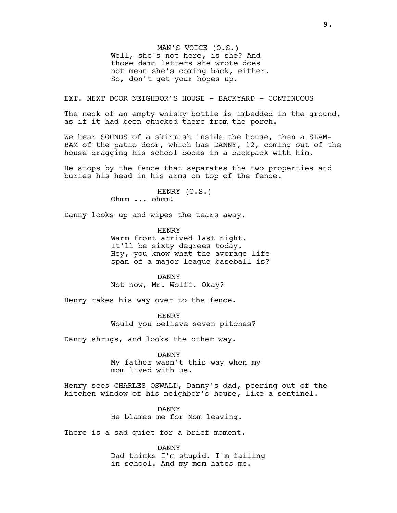MAN'S VOICE (O.S.) Well, she's not here, is she? And those damn letters she wrote does not mean she's coming back, either. So, don't get your hopes up.

EXT. NEXT DOOR NEIGHBOR'S HOUSE - BACKYARD - CONTINUOUS

The neck of an empty whisky bottle is imbedded in the ground, as if it had been chucked there from the porch.

We hear SOUNDS of a skirmish inside the house, then a SLAM-BAM of the patio door, which has DANNY, 12, coming out of the house dragging his school books in a backpack with him.

He stops by the fence that separates the two properties and buries his head in his arms on top of the fence.

> HENRY (O.S.) Ohmm ... ohmm!

Danny looks up and wipes the tears away.

HENRY Warm front arrived last night. It'll be sixty degrees today. Hey, you know what the average life span of a major league baseball is?

DANNY Not now, Mr. Wolff. Okay?

Henry rakes his way over to the fence.

HENRY Would you believe seven pitches?

Danny shrugs, and looks the other way.

DANNY My father wasn't this way when my mom lived with us.

Henry sees CHARLES OSWALD, Danny's dad, peering out of the kitchen window of his neighbor's house, like a sentinel.

> DANNY He blames me for Mom leaving.

There is a sad quiet for a brief moment.

DANNY Dad thinks I'm stupid. I'm failing in school. And my mom hates me.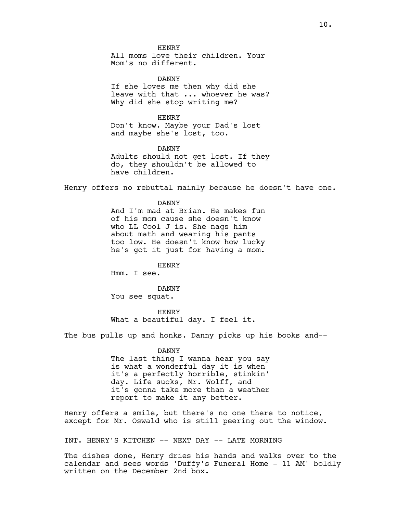HENRY All moms love their children. Your Mom's no different.

DANNY If she loves me then why did she leave with that ... whoever he was? Why did she stop writing me?

HENRY Don't know. Maybe your Dad's lost and maybe she's lost, too.

DANNY Adults should not get lost. If they do, they shouldn't be allowed to have children.

Henry offers no rebuttal mainly because he doesn't have one.

DANNY And I'm mad at Brian. He makes fun of his mom cause she doesn't know who LL Cool J is. She nags him about math and wearing his pants too low. He doesn't know how lucky he's got it just for having a mom.

**HENRY** 

Hmm. I see.

DANNY You see squat.

HENRY What a beautiful day. I feel it.

The bus pulls up and honks. Danny picks up his books and--

DANNY The last thing I wanna hear you say is what a wonderful day it is when it's a perfectly horrible, stinkin' day. Life sucks, Mr. Wolff, and it's gonna take more than a weather report to make it any better.

Henry offers a smile, but there's no one there to notice, except for Mr. Oswald who is still peering out the window.

INT. HENRY'S KITCHEN -- NEXT DAY -- LATE MORNING

The dishes done, Henry dries his hands and walks over to the calendar and sees words 'Duffy's Funeral Home - 11 AM' boldly written on the December 2nd box.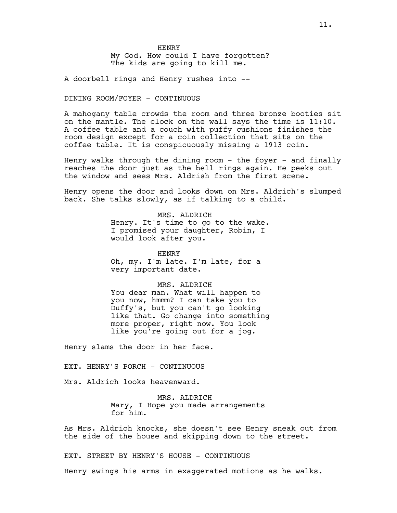HENRY My God. How could I have forgotten? The kids are going to kill me.

A doorbell rings and Henry rushes into --

# DINING ROOM/FOYER - CONTINUOUS

A mahogany table crowds the room and three bronze booties sit on the mantle. The clock on the wall says the time is 11:10. A coffee table and a couch with puffy cushions finishes the room design except for a coin collection that sits on the coffee table. It is conspicuously missing a 1913 coin.

Henry walks through the dining room - the foyer - and finally reaches the door just as the bell rings again. He peeks out the window and sees Mrs. Aldrish from the first scene.

Henry opens the door and looks down on Mrs. Aldrich's slumped back. She talks slowly, as if talking to a child.

> MRS. ALDRICH Henry. It's time to go to the wake. I promised your daughter, Robin, I would look after you.

HENRY Oh, my. I'm late. I'm late, for a very important date.

# MRS. ALDRICH

You dear man. What will happen to you now, hmmm? I can take you to Duffy's, but you can't go looking like that. Go change into something more proper, right now. You look like you're going out for a jog.

Henry slams the door in her face.

EXT. HENRY'S PORCH - CONTINUOUS

Mrs. Aldrich looks heavenward.

MRS. ALDRICH Mary, I Hope you made arrangements for him.

As Mrs. Aldrich knocks, she doesn't see Henry sneak out from the side of the house and skipping down to the street.

EXT. STREET BY HENRY'S HOUSE - CONTINUOUS

Henry swings his arms in exaggerated motions as he walks.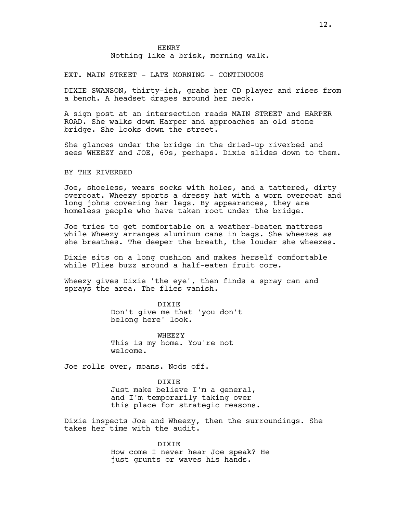EXT. MAIN STREET - LATE MORNING - CONTINUOUS

DIXIE SWANSON, thirty-ish, grabs her CD player and rises from a bench. A headset drapes around her neck.

A sign post at an intersection reads MAIN STREET and HARPER ROAD. She walks down Harper and approaches an old stone bridge. She looks down the street.

She glances under the bridge in the dried-up riverbed and sees WHEEZY and JOE, 60s, perhaps. Dixie slides down to them.

BY THE RIVERBED

Joe, shoeless, wears socks with holes, and a tattered, dirty overcoat. Wheezy sports a dressy hat with a worn overcoat and long johns covering her legs. By appearances, they are homeless people who have taken root under the bridge.

Joe tries to get comfortable on a weather-beaten mattress while Wheezy arranges aluminum cans in bags. She wheezes as she breathes. The deeper the breath, the louder she wheezes.

Dixie sits on a long cushion and makes herself comfortable while Flies buzz around a half-eaten fruit core.

Wheezy gives Dixie 'the eye', then finds a spray can and sprays the area. The flies vanish.

> DIXIE Don't give me that 'you don't belong here' look.

WHEEZY This is my home. You're not welcome.

Joe rolls over, moans. Nods off.

DIXIE Just make believe I'm a general, and I'm temporarily taking over this place for strategic reasons.

Dixie inspects Joe and Wheezy, then the surroundings. She takes her time with the audit.

> DIXIE How come I never hear Joe speak? He just grunts or waves his hands.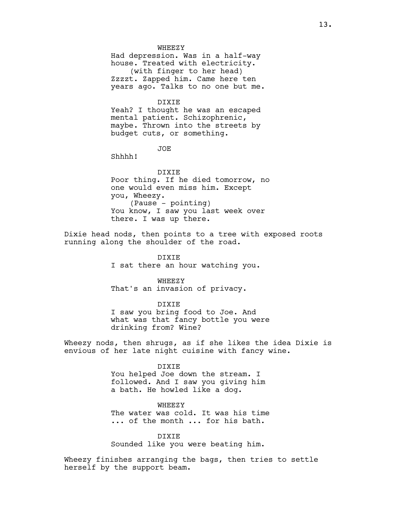#### **WHEEZY**

Had depression. Was in a half-way house. Treated with electricity. (with finger to her head) Zzzzt. Zapped him. Came here ten years ago. Talks to no one but me.

#### DIXIE

Yeah? I thought he was an escaped mental patient. Schizophrenic, maybe. Thrown into the streets by budget cuts, or something.

## JOE

Shhhh!

# DIXIE Poor thing. If he died tomorrow, no one would even miss him. Except you, Wheezy. (Pause - pointing) You know, I saw you last week over there. I was up there.

Dixie head nods, then points to a tree with exposed roots running along the shoulder of the road.

> DIXIE I sat there an hour watching you.

# WHEEZY That's an invasion of privacy.

# DIXIE I saw you bring food to Joe. And what was that fancy bottle you were drinking from? Wine?

Wheezy nods, then shrugs, as if she likes the idea Dixie is envious of her late night cuisine with fancy wine.

# DIXIE You helped Joe down the stream. I followed. And I saw you giving him a bath. He howled like a dog.

WHEEZY The water was cold. It was his time ... of the month ... for his bath.

DIXIE Sounded like you were beating him.

Wheezy finishes arranging the bags, then tries to settle herself by the support beam.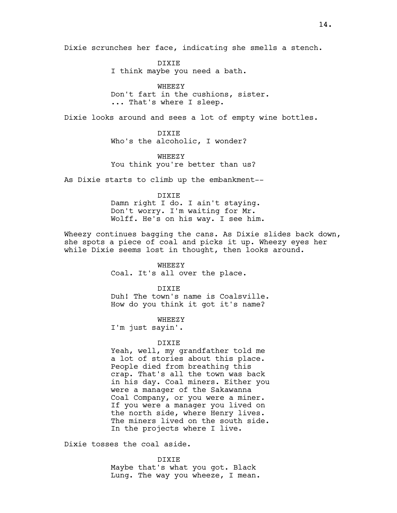Dixie scrunches her face, indicating she smells a stench.

DIXIE I think maybe you need a bath.

WHEEZY Don't fart in the cushions, sister. ... That's where I sleep.

Dixie looks around and sees a lot of empty wine bottles.

DIXIE Who's the alcoholic, I wonder?

WHEEZY You think you're better than us?

As Dixie starts to climb up the embankment--

# DIXIE

Damn right I do. I ain't staying. Don't worry. I'm waiting for Mr. Wolff. He's on his way. I see him.

Wheezy continues bagging the cans. As Dixie slides back down, she spots a piece of coal and picks it up. Wheezy eyes her while Dixie seems lost in thought, then looks around.

> WHEEZY Coal. It's all over the place.

> > DIXIE

Duh! The town's name is Coalsville. How do you think it got it's name?

WHEEZY

I'm just sayin'.

## DIXIE

Yeah, well, my grandfather told me a lot of stories about this place. People died from breathing this crap. That's all the town was back in his day. Coal miners. Either you were a manager of the Sakawanna Coal Company, or you were a miner. If you were a manager you lived on the north side, where Henry lives. The miners lived on the south side. In the projects where I live.

Dixie tosses the coal aside.

DIXIE Maybe that's what you got. Black Lung. The way you wheeze, I mean.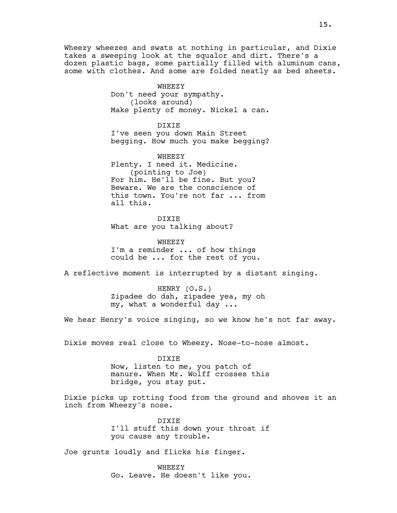Wheezy wheezes and swats at nothing in particular, and Dixie takes a sweeping look at the squalor and dirt. There's a dozen plastic bags, some partially filled with aluminum cans, some with clothes. And some are folded neatly as bed sheets.

> WHEEZY Don't need your sympathy. (looks around) Make plenty of money. Nickel a can.

> DIXIE I've seen you down Main Street begging. How much you make begging?

WHEEZY Plenty. I need it. Medicine. (pointing to Joe) For him. He'll be fine. But you? Beware. We are the conscience of this town. You're not far ... from all this.

DIXIE What are you talking about?

WHEEZY I'm a reminder ... of how things could be ... for the rest of you.

A reflective moment is interrupted by a distant singing.

HENRY (O.S.) Zipadee do dah, zipadee yea, my oh my, what a wonderful day ...

We hear Henry's voice singing, so we know he's not far away.

Dixie moves real close to Wheezy. Nose-to-nose almost.

DIXIE Now, listen to me, you patch of manure. When Mr. Wolff crosses this bridge, you stay put.

Dixie picks up rotting food from the ground and shoves it an inch from Wheezy's nose.

> DIXIE I'll stuff this down your throat if you cause any trouble.

Joe grunts loudly and flicks his finger.

**WHEEZY** Go. Leave. He doesn't like you.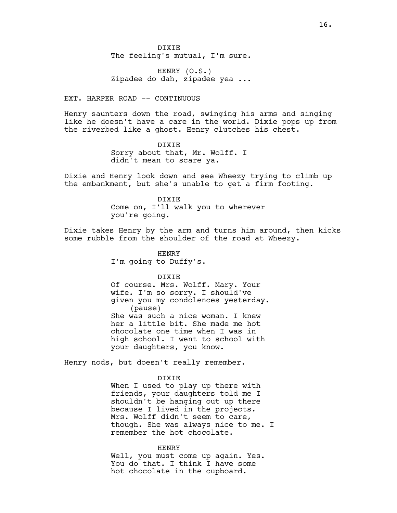DIXIE The feeling's mutual, I'm sure.

HENRY (O.S.) Zipadee do dah, zipadee yea ...

EXT. HARPER ROAD -- CONTINUOUS

Henry saunters down the road, swinging his arms and singing like he doesn't have a care in the world. Dixie pops up from the riverbed like a ghost. Henry clutches his chest.

> DIXIE Sorry about that, Mr. Wolff. I didn't mean to scare ya.

Dixie and Henry look down and see Wheezy trying to climb up the embankment, but she's unable to get a firm footing.

> DIXIE Come on, I'll walk you to wherever you're going.

Dixie takes Henry by the arm and turns him around, then kicks some rubble from the shoulder of the road at Wheezy.

> HENRY I'm going to Duffy's.

> > DIXIE

Of course. Mrs. Wolff. Mary. Your wife. I'm so sorry. I should've given you my condolences yesterday. (pause) She was such a nice woman. I knew her a little bit. She made me hot chocolate one time when I was in high school. I went to school with your daughters, you know.

Henry nods, but doesn't really remember.

DIXIE

When I used to play up there with friends, your daughters told me I shouldn't be hanging out up there because I lived in the projects. Mrs. Wolff didn't seem to care, though. She was always nice to me. I remember the hot chocolate.

HENRY

Well, you must come up again. Yes. You do that. I think I have some hot chocolate in the cupboard.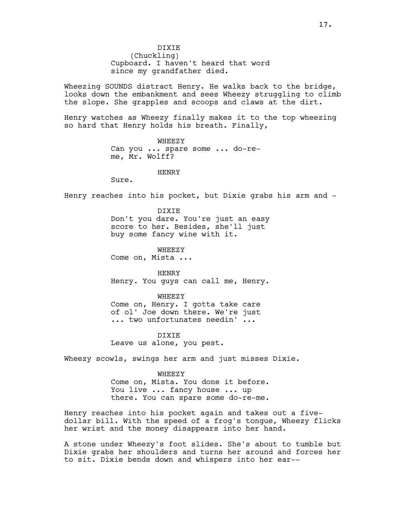DIXIE (Chuckling) Cupboard. I haven't heard that word since my grandfather died.

Wheezing SOUNDS distract Henry. He walks back to the bridge, looks down the embankment and sees Wheezy struggling to climb the slope. She grapples and scoops and claws at the dirt.

Henry watches as Wheezy finally makes it to the top wheezing so hard that Henry holds his breath. Finally,

> WHEEZY Can you ... spare some ... do-reme, Mr. Wolff?

> > HENRY

Sure.

Henry reaches into his pocket, but Dixie grabs his arm and -

DIXIE Don't you dare. You're just an easy score to her. Besides, she'll just buy some fancy wine with it.

WHEEZY Come on, Mista ...

HENRY Henry. You guys can call me, Henry.

WHEEZY

Come on, Henry. I gotta take care of ol' Joe down there. We're just ... two unfortunates needin' ...

DIXIE Leave us alone, you pest.

Wheezy scowls, swings her arm and just misses Dixie.

WHEEZY

Come on, Mista. You done it before. You live ... fancy house ... up there. You can spare some do-re-me.

Henry reaches into his pocket again and takes out a fivedollar bill. With the speed of a frog's tongue, Wheezy flicks her wrist and the money disappears into her hand.

A stone under Wheezy's foot slides. She's about to tumble but Dixie grabs her shoulders and turns her around and forces her to sit. Dixie bends down and whispers into her ear--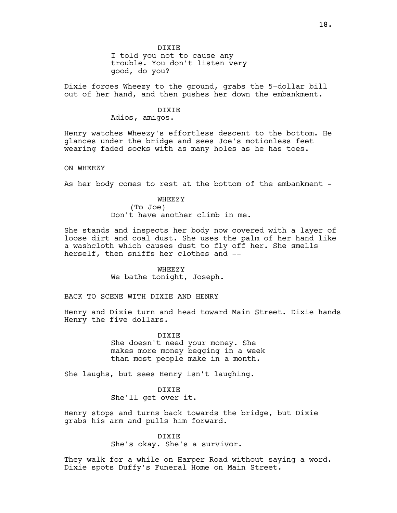I told you not to cause any trouble. You don't listen very good, do you?

Dixie forces Wheezy to the ground, grabs the 5-dollar bill out of her hand, and then pushes her down the embankment.

# DIXIE

Adios, amigos.

Henry watches Wheezy's effortless descent to the bottom. He glances under the bridge and sees Joe's motionless feet wearing faded socks with as many holes as he has toes.

ON WHEEZY

As her body comes to rest at the bottom of the embankment -

# WHEEZY (To Joe)

Don't have another climb in me.

She stands and inspects her body now covered with a layer of loose dirt and coal dust. She uses the palm of her hand like a washcloth which causes dust to fly off her. She smells herself, then sniffs her clothes and --

> WHEEZY We bathe tonight, Joseph.

BACK TO SCENE WITH DIXIE AND HENRY

Henry and Dixie turn and head toward Main Street. Dixie hands Henry the five dollars.

> DIXIE She doesn't need your money. She makes more money begging in a week than most people make in a month.

She laughs, but sees Henry isn't laughing.

DIXIE She'll get over it.

Henry stops and turns back towards the bridge, but Dixie grabs his arm and pulls him forward.

## DIXIE

She's okay. She's a survivor.

They walk for a while on Harper Road without saying a word. Dixie spots Duffy's Funeral Home on Main Street.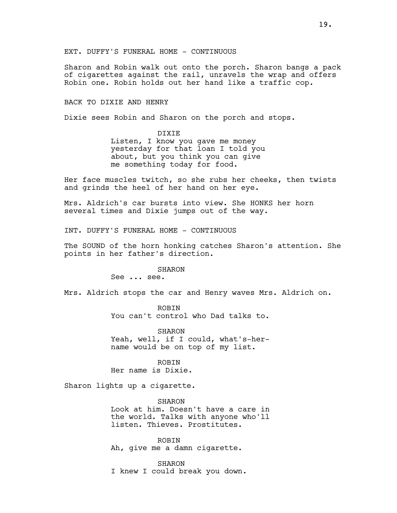Sharon and Robin walk out onto the porch. Sharon bangs a pack of cigarettes against the rail, unravels the wrap and offers Robin one. Robin holds out her hand like a traffic cop.

# BACK TO DIXIE AND HENRY

Dixie sees Robin and Sharon on the porch and stops.

DIXIE Listen, I know you gave me money yesterday for that loan I told you about, but you think you can give me something today for food.

Her face muscles twitch, so she rubs her cheeks, then twists and grinds the heel of her hand on her eye.

Mrs. Aldrich's car bursts into view. She HONKS her horn several times and Dixie jumps out of the way.

INT. DUFFY'S FUNERAL HOME - CONTINUOUS

The SOUND of the horn honking catches Sharon's attention. She points in her father's direction.

#### SHARON

See ... see.

Mrs. Aldrich stops the car and Henry waves Mrs. Aldrich on.

**ROBIN** You can't control who Dad talks to.

SHARON Yeah, well, if I could, what's-hername would be on top of my list.

ROBIN Her name is Dixie.

Sharon lights up a cigarette.

SHARON Look at him. Doesn't have a care in the world. Talks with anyone who'll listen. Thieves. Prostitutes.

ROBIN Ah, give me a damn cigarette.

SHARON I knew I could break you down.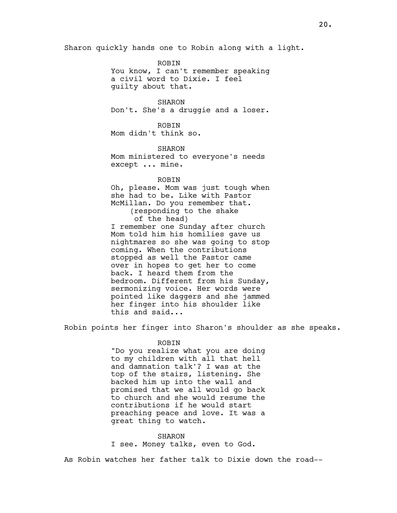Sharon quickly hands one to Robin along with a light.

ROBIN You know, I can't remember speaking a civil word to Dixie. I feel guilty about that.

SHARON Don't. She's a druggie and a loser.

**ROBIN** Mom didn't think so.

SHARON Mom ministered to everyone's needs except ... mine.

## **ROBIN**

Oh, please. Mom was just tough when she had to be. Like with Pastor McMillan. Do you remember that. (responding to the shake of the head) I remember one Sunday after church Mom told him his homilies gave us nightmares so she was going to stop coming. When the contributions stopped as well the Pastor came over in hopes to get her to come back. I heard them from the bedroom. Different from his Sunday, sermonizing voice. Her words were pointed like daggers and she jammed her finger into his shoulder like this and said...

Robin points her finger into Sharon's shoulder as she speaks.

#### ROBIN

"Do you realize what you are doing to my children with all that hell and damnation talk'? I was at the top of the stairs, listening. She backed him up into the wall and promised that we all would go back to church and she would resume the contributions if he would start preaching peace and love. It was a great thing to watch.

#### SHARON

I see. Money talks, even to God.

As Robin watches her father talk to Dixie down the road--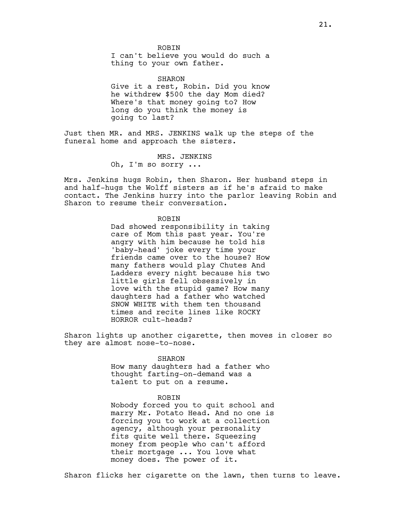ROBIN I can't believe you would do such a thing to your own father.

SHARON Give it a rest, Robin. Did you know he withdrew \$500 the day Mom died? Where's that money going to? How long do you think the money is going to last?

Just then MR. and MRS. JENKINS walk up the steps of the funeral home and approach the sisters.

MRS. JENKINS

Oh, I'm so sorry ...

Mrs. Jenkins hugs Robin, then Sharon. Her husband steps in and half-hugs the Wolff sisters as if he's afraid to make contact. The Jenkins hurry into the parlor leaving Robin and Sharon to resume their conversation.

## ROBIN

Dad showed responsibility in taking care of Mom this past year. You're angry with him because he told his 'baby-head' joke every time your friends came over to the house? How many fathers would play Chutes And Ladders every night because his two little girls fell obsessively in love with the stupid game? How many daughters had a father who watched SNOW WHITE with them ten thousand times and recite lines like ROCKY HORROR cult-heads?

Sharon lights up another cigarette, then moves in closer so they are almost nose-to-nose.

#### SHARON

How many daughters had a father who thought farting-on-demand was a talent to put on a resume.

# ROBIN

Nobody forced you to quit school and marry Mr. Potato Head. And no one is forcing you to work at a collection agency, although your personality fits quite well there. Squeezing money from people who can't afford their mortgage ... You love what money does. The power of it.

Sharon flicks her cigarette on the lawn, then turns to leave.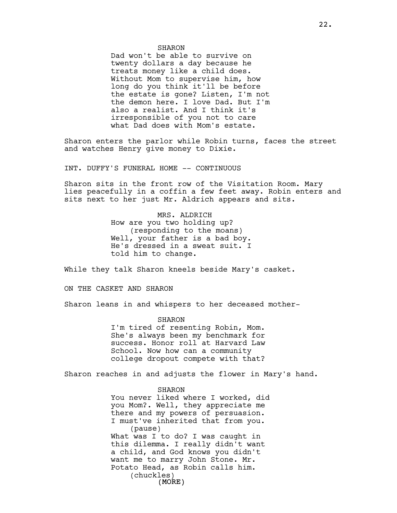Dad won't be able to survive on twenty dollars a day because he treats money like a child does. Without Mom to supervise him, how long do you think it'll be before the estate is gone? Listen, I'm not the demon here. I love Dad. But I'm also a realist. And I think it's irresponsible of you not to care what Dad does with Mom's estate.

Sharon enters the parlor while Robin turns, faces the street and watches Henry give money to Dixie.

INT. DUFFY'S FUNERAL HOME -- CONTINUOUS

Sharon sits in the front row of the Visitation Room. Mary lies peacefully in a coffin a few feet away. Robin enters and sits next to her just Mr. Aldrich appears and sits.

> MRS. ALDRICH How are you two holding up? (responding to the moans) Well, your father is a bad boy. He's dressed in a sweat suit. I told him to change.

While they talk Sharon kneels beside Mary's casket.

ON THE CASKET AND SHARON

Sharon leans in and whispers to her deceased mother-

SHARON I'm tired of resenting Robin, Mom. She's always been my benchmark for success. Honor roll at Harvard Law School. Now how can a community college dropout compete with that?

Sharon reaches in and adjusts the flower in Mary's hand.

SHARON

(MORE) You never liked where I worked, did you Mom?. Well, they appreciate me there and my powers of persuasion. I must've inherited that from you. (pause) What was I to do? I was caught in this dilemma. I really didn't want a child, and God knows you didn't want me to marry John Stone. Mr. Potato Head, as Robin calls him. (chuckles)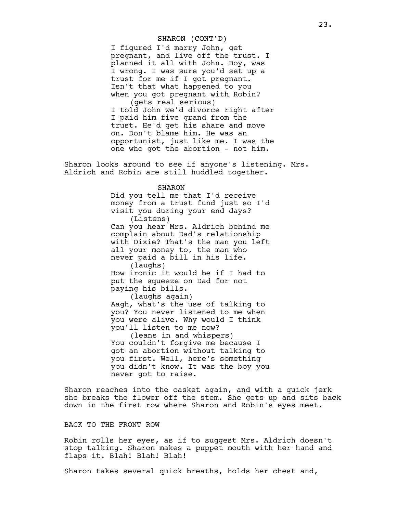# SHARON (CONT'D)

I figured I'd marry John, get pregnant, and live off the trust. I planned it all with John. Boy, was I wrong. I was sure you'd set up a trust for me if I got pregnant. Isn't that what happened to you when you got pregnant with Robin? (gets real serious) I told John we'd divorce right after I paid him five grand from the trust. He'd get his share and move on. Don't blame him. He was an opportunist, just like me. I was the one who got the abortion - not him.

Sharon looks around to see if anyone's listening. Mrs. Aldrich and Robin are still huddled together.

## SHARON

Did you tell me that I'd receive money from a trust fund just so I'd visit you during your end days? (Listens) Can you hear Mrs. Aldrich behind me complain about Dad's relationship with Dixie? That's the man you left all your money to, the man who never paid a bill in his life. (laughs) How ironic it would be if I had to put the squeeze on Dad for not paying his bills. (laughs again) Aagh, what's the use of talking to you? You never listened to me when you were alive. Why would I think you'll listen to me now? (leans in and whispers) You couldn't forgive me because I got an abortion without talking to you first. Well, here's something you didn't know. It was the boy you never got to raise.

Sharon reaches into the casket again, and with a quick jerk she breaks the flower off the stem. She gets up and sits back down in the first row where Sharon and Robin's eyes meet.

# BACK TO THE FRONT ROW

Robin rolls her eyes, as if to suggest Mrs. Aldrich doesn't stop talking. Sharon makes a puppet mouth with her hand and flaps it. Blah! Blah! Blah!

Sharon takes several quick breaths, holds her chest and,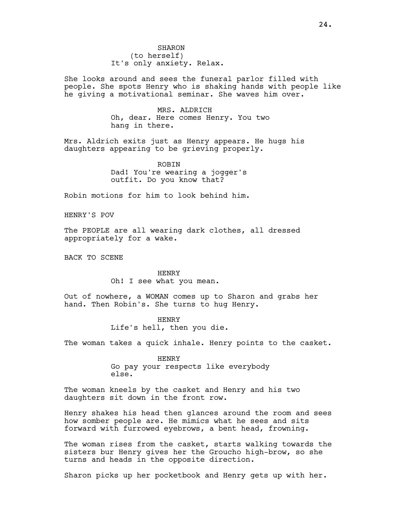SHARON (to herself) It's only anxiety. Relax.

She looks around and sees the funeral parlor filled with people. She spots Henry who is shaking hands with people like he giving a motivational seminar. She waves him over.

> MRS. ALDRICH Oh, dear. Here comes Henry. You two hang in there.

Mrs. Aldrich exits just as Henry appears. He hugs his daughters appearing to be grieving properly.

> ROBIN Dad! You're wearing a jogger's outfit. Do you know that?

Robin motions for him to look behind him.

HENRY'S POV

The PEOPLE are all wearing dark clothes, all dressed appropriately for a wake.

BACK TO SCENE

HENRY Oh! I see what you mean.

Out of nowhere, a WOMAN comes up to Sharon and grabs her hand. Then Robin's. She turns to hug Henry.

HENRY

Life's hell, then you die.

The woman takes a quick inhale. Henry points to the casket.

HENRY Go pay your respects like everybody else.

The woman kneels by the casket and Henry and his two daughters sit down in the front row.

Henry shakes his head then glances around the room and sees how somber people are. He mimics what he sees and sits forward with furrowed eyebrows, a bent head, frowning.

The woman rises from the casket, starts walking towards the sisters bur Henry gives her the Groucho high-brow, so she turns and heads in the opposite direction.

Sharon picks up her pocketbook and Henry gets up with her.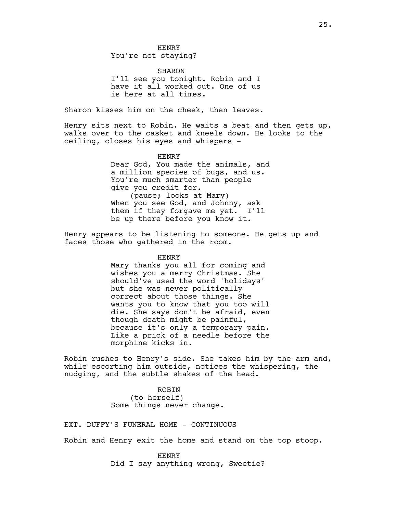SHARON I'll see you tonight. Robin and I have it all worked out. One of us is here at all times.

Sharon kisses him on the cheek, then leaves.

Henry sits next to Robin. He waits a beat and then gets up, walks over to the casket and kneels down. He looks to the ceiling, closes his eyes and whispers -

> HENRY Dear God, You made the animals, and a million species of bugs, and us. You're much smarter than people give you credit for. (pause; looks at Mary) When you see God, and Johnny, ask them if they forgave me yet. I'll be up there before you know it.

Henry appears to be listening to someone. He gets up and faces those who gathered in the room.

#### HENRY

Mary thanks you all for coming and wishes you a merry Christmas. She should've used the word 'holidays' but she was never politically correct about those things. She wants you to know that you too will die. She says don't be afraid, even though death might be painful, because it's only a temporary pain. Like a prick of a needle before the morphine kicks in.

Robin rushes to Henry's side. She takes him by the arm and, while escorting him outside, notices the whispering, the nudging, and the subtle shakes of the head.

> ROBIN (to herself) Some things never change.

EXT. DUFFY'S FUNERAL HOME - CONTINUOUS

Robin and Henry exit the home and stand on the top stoop.

HENRY Did I say anything wrong, Sweetie?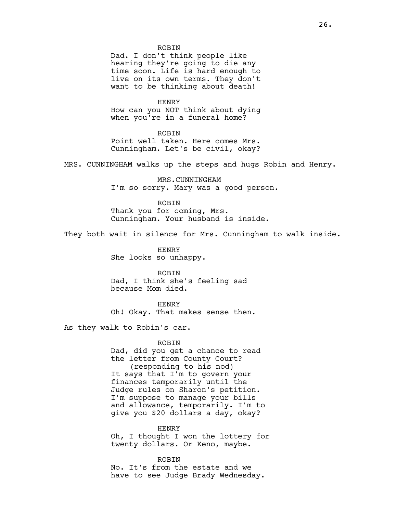#### **ROBIN**

Dad. I don't think people like hearing they're going to die any time soon. Life is hard enough to live on its own terms. They don't want to be thinking about death!

HENRY How can you NOT think about dying when you're in a funeral home?

**ROBIN** Point well taken. Here comes Mrs. Cunningham. Let's be civil, okay?

MRS. CUNNINGHAM walks up the steps and hugs Robin and Henry.

MRS.CUNNINGHAM I'm so sorry. Mary was a good person.

ROBIN

Thank you for coming, Mrs. Cunningham. Your husband is inside.

They both wait in silence for Mrs. Cunningham to walk inside.

HENRY She looks so unhappy.

ROBIN Dad, I think she's feeling sad because Mom died.

**HENRY** Oh! Okay. That makes sense then.

As they walk to Robin's car.

#### ROBIN

Dad, did you get a chance to read the letter from County Court? (responding to his nod) It says that I'm to govern your finances temporarily until the Judge rules on Sharon's petition. I'm suppose to manage your bills and allowance, temporarily. I'm to give you \$20 dollars a day, okay?

#### HENRY

Oh, I thought I won the lottery for twenty dollars. Or Keno, maybe.

ROBIN

No. It's from the estate and we have to see Judge Brady Wednesday.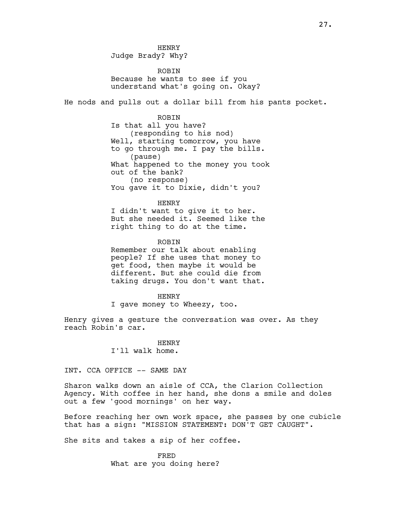HENRY Judge Brady? Why?

**ROBIN** Because he wants to see if you understand what's going on. Okay?

He nods and pulls out a dollar bill from his pants pocket.

ROBIN Is that all you have? (responding to his nod) Well, starting tomorrow, you have to go through me. I pay the bills. (pause) What happened to the money you took out of the bank? (no response) You gave it to Dixie, didn't you?

HENRY

I didn't want to give it to her. But she needed it. Seemed like the right thing to do at the time.

ROBIN

Remember our talk about enabling people? If she uses that money to get food, then maybe it would be different. But she could die from taking drugs. You don't want that.

HENRY

I gave money to Wheezy, too.

Henry gives a gesture the conversation was over. As they reach Robin's car.

> HENRY I'll walk home.

INT. CCA OFFICE -- SAME DAY

Sharon walks down an aisle of CCA, the Clarion Collection Agency. With coffee in her hand, she dons a smile and doles out a few 'good mornings' on her way.

Before reaching her own work space, she passes by one cubicle that has a sign: "MISSION STATEMENT: DON'T GET CAUGHT".

She sits and takes a sip of her coffee.

FRED What are you doing here?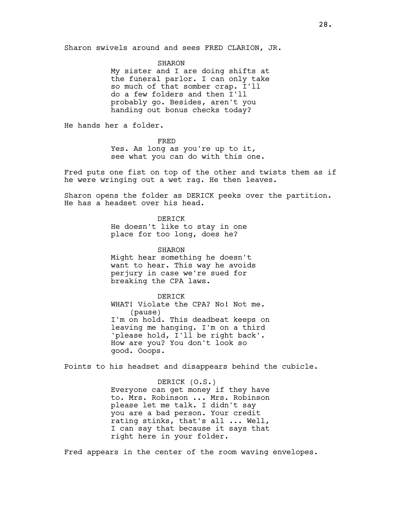SHARON

My sister and I are doing shifts at the funeral parlor. I can only take so much of that somber crap. I'll do a few folders and then I'll probably go. Besides, aren't you handing out bonus checks today?

He hands her a folder.

FRED

Yes. As long as you're up to it, see what you can do with this one.

Fred puts one fist on top of the other and twists them as if he were wringing out a wet rag. He then leaves.

Sharon opens the folder as DERICK peeks over the partition. He has a headset over his head.

DERICK

He doesn't like to stay in one place for too long, does he?

SHARON Might hear something he doesn't want to hear. This way he avoids perjury in case we're sued for breaking the CPA laws.

DERICK

WHAT! Violate the CPA? No! Not me. (pause) I'm on hold. This deadbeat keeps on leaving me hanging. I'm on a third 'please hold, I'll be right back'. How are you? You don't look so good. Ooops.

Points to his headset and disappears behind the cubicle.

DERICK (O.S.) Everyone can get money if they have to. Mrs. Robinson ... Mrs. Robinson please let me talk. I didn't say you are a bad person. Your credit rating stinks, that's all ... Well, I can say that because it says that right here in your folder.

Fred appears in the center of the room waving envelopes.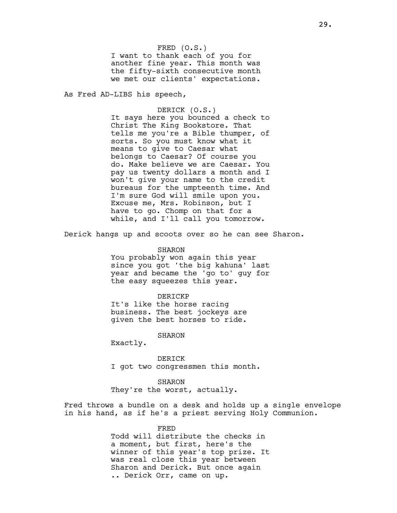FRED (O.S.) I want to thank each of you for another fine year. This month was the fifty-sixth consecutive month we met our clients' expectations.

As Fred AD-LIBS his speech,

DERICK (O.S.) It says here you bounced a check to Christ The King Bookstore. That tells me you're a Bible thumper, of sorts. So you must know what it means to give to Caesar what belongs to Caesar? Of course you do. Make believe we are Caesar. You pay us twenty dollars a month and I won't give your name to the credit bureaus for the umpteenth time. And I'm sure God will smile upon you. Excuse me, Mrs. Robinson, but I have to go. Chomp on that for a while, and I'll call you tomorrow.

Derick hangs up and scoots over so he can see Sharon.

SHARON You probably won again this year since you got 'the big kahuna' last year and became the 'go to' guy for the easy squeezes this year.

# DERICKP

It's like the horse racing business. The best jockeys are given the best horses to ride.

SHARON

Exactly.

DERICK I got two congressmen this month.

#### SHARON

They're the worst, actually.

Fred throws a bundle on a desk and holds up a single envelope in his hand, as if he's a priest serving Holy Communion.

#### FRED

Todd will distribute the checks in a moment, but first, here's the winner of this year's top prize. It was real close this year between Sharon and Derick. But once again .. Derick Orr, came on up.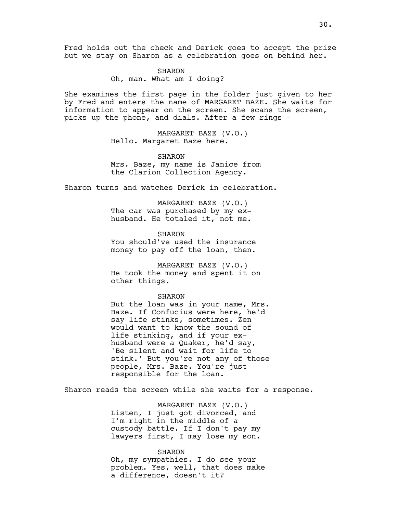Fred holds out the check and Derick goes to accept the prize but we stay on Sharon as a celebration goes on behind her.

> SHARON Oh, man. What am I doing?

She examines the first page in the folder just given to her by Fred and enters the name of MARGARET BAZE. She waits for information to appear on the screen. She scans the screen, picks up the phone, and dials. After a few rings -

> MARGARET BAZE (V.O.) Hello. Margaret Baze here.

SHARON Mrs. Baze, my name is Janice from the Clarion Collection Agency.

Sharon turns and watches Derick in celebration.

MARGARET BAZE (V.O.) The car was purchased by my exhusband. He totaled it, not me.

SHARON You should've used the insurance money to pay off the loan, then.

MARGARET BAZE (V.O.) He took the money and spent it on other things.

SHARON

But the loan was in your name, Mrs. Baze. If Confucius were here, he'd say life stinks, sometimes. Zen would want to know the sound of life stinking, and if your exhusband were a Quaker, he'd say, 'Be silent and wait for life to stink.' But you're not any of those people, Mrs. Baze. You're just responsible for the loan.

Sharon reads the screen while she waits for a response.

MARGARET BAZE (V.O.) Listen, I just got divorced, and I'm right in the middle of a custody battle. If I don't pay my lawyers first, I may lose my son.

SHARON Oh, my sympathies. I do see your problem. Yes, well, that does make a difference, doesn't it?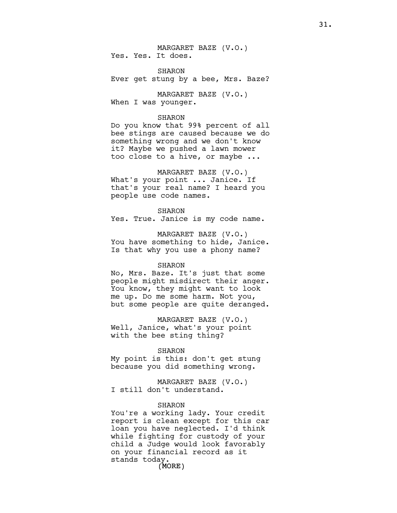MARGARET BAZE (V.O.) Yes. Yes. It does.

SHARON Ever get stung by a bee, Mrs. Baze?

MARGARET BAZE (V.O.) When I was younger.

#### SHARON

Do you know that 99% percent of all bee stings are caused because we do something wrong and we don't know it? Maybe we pushed a lawn mower too close to a hive, or maybe ...

MARGARET BAZE (V.O.)

What's your point ... Janice. If that's your real name? I heard you people use code names.

SHARON

Yes. True. Janice is my code name.

MARGARET BAZE (V.O.) You have something to hide, Janice. Is that why you use a phony name?

#### SHARON

No, Mrs. Baze. It's just that some people might misdirect their anger. You know, they might want to look me up. Do me some harm. Not you, but some people are quite deranged.

MARGARET BAZE (V.O.) Well, Janice, what's your point with the bee sting thing?

#### SHARON

My point is this: don't get stung because you did something wrong.

MARGARET BAZE (V.O.) I still don't understand.

# SHARON

(MORE) You're a working lady. Your credit report is clean except for this car loan you have neglected. I'd think while fighting for custody of your child a Judge would look favorably on your financial record as it stands today.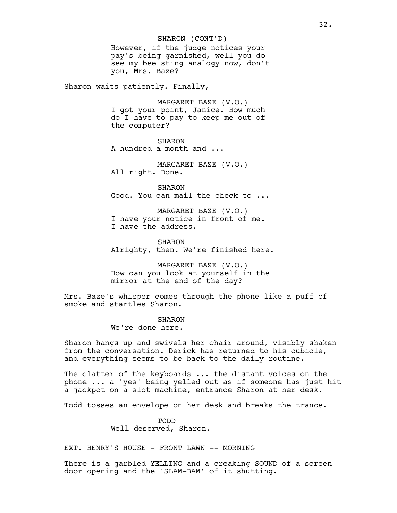# SHARON (CONT'D)

However, if the judge notices your pay's being garnished, well you do see my bee sting analogy now, don't you, Mrs. Baze?

Sharon waits patiently. Finally,

MARGARET BAZE (V.O.) I got your point, Janice. How much do I have to pay to keep me out of the computer?

SHARON A hundred a month and ...

MARGARET BAZE (V.O.) All right. Done.

SHARON Good. You can mail the check to ...

MARGARET BAZE (V.O.) I have your notice in front of me. I have the address.

SHARON Alrighty, then. We're finished here.

MARGARET BAZE (V.O.) How can you look at yourself in the mirror at the end of the day?

Mrs. Baze's whisper comes through the phone like a puff of smoke and startles Sharon.

> SHARON We're done here.

Sharon hangs up and swivels her chair around, visibly shaken from the conversation. Derick has returned to his cubicle, and everything seems to be back to the daily routine.

The clatter of the keyboards ... the distant voices on the phone ... a 'yes' being yelled out as if someone has just hit a jackpot on a slot machine, entrance Sharon at her desk.

Todd tosses an envelope on her desk and breaks the trance.

TODD Well deserved, Sharon.

EXT. HENRY'S HOUSE - FRONT LAWN -- MORNING

There is a garbled YELLING and a creaking SOUND of a screen door opening and the 'SLAM-BAM' of it shutting.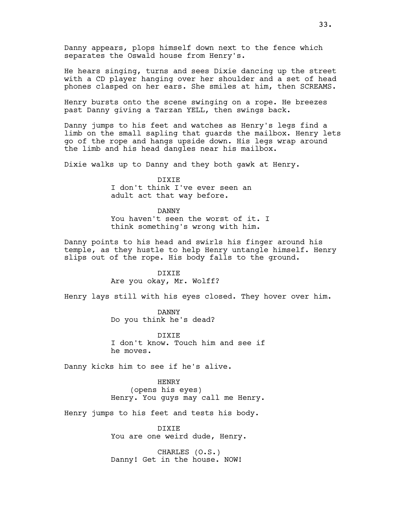Danny appears, plops himself down next to the fence which separates the Oswald house from Henry's.

He hears singing, turns and sees Dixie dancing up the street with a CD player hanging over her shoulder and a set of head phones clasped on her ears. She smiles at him, then SCREAMS.

Henry bursts onto the scene swinging on a rope. He breezes past Danny giving a Tarzan YELL, then swings back.

Danny jumps to his feet and watches as Henry's legs find a limb on the small sapling that guards the mailbox. Henry lets go of the rope and hangs upside down. His legs wrap around the limb and his head dangles near his mailbox.

Dixie walks up to Danny and they both gawk at Henry.

DIXIE I don't think I've ever seen an adult act that way before.

# DANNY

You haven't seen the worst of it. I think something's wrong with him.

Danny points to his head and swirls his finger around his temple, as they hustle to help Henry untangle himself. Henry slips out of the rope. His body falls to the ground.

> DIXIE Are you okay, Mr. Wolff?

Henry lays still with his eyes closed. They hover over him.

DANNY Do you think he's dead?

DIXIE I don't know. Touch him and see if he moves.

Danny kicks him to see if he's alive.

HENRY (opens his eyes) Henry. You guys may call me Henry.

Henry jumps to his feet and tests his body.

DIXIE You are one weird dude, Henry.

CHARLES (O.S.) Danny! Get in the house. NOW!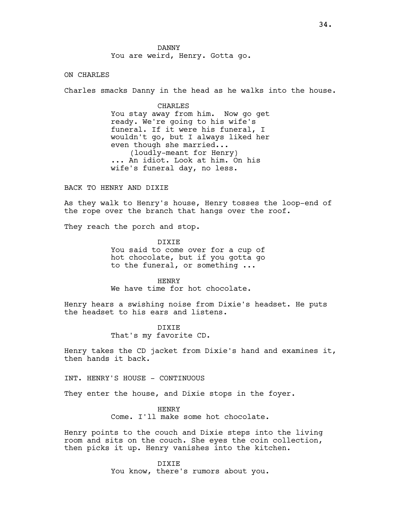ON CHARLES

Charles smacks Danny in the head as he walks into the house.

CHARLES You stay away from him. Now go get ready. We're going to his wife's funeral. If it were his funeral, I wouldn't go, but I always liked her even though she married... (loudly-meant for Henry) ... An idiot. Look at him. On his wife's funeral day, no less.

BACK TO HENRY AND DIXIE

As they walk to Henry's house, Henry tosses the loop-end of the rope over the branch that hangs over the roof.

They reach the porch and stop.

DIXIE You said to come over for a cup of hot chocolate, but if you gotta go to the funeral, or something ...

HENRY We have time for hot chocolate.

Henry hears a swishing noise from Dixie's headset. He puts the headset to his ears and listens.

> DIXIE That's my favorite CD.

Henry takes the CD jacket from Dixie's hand and examines it, then hands it back.

INT. HENRY'S HOUSE - CONTINUOUS

They enter the house, and Dixie stops in the foyer.

HENRY Come. I'll make some hot chocolate.

Henry points to the couch and Dixie steps into the living room and sits on the couch. She eyes the coin collection, then picks it up. Henry vanishes into the kitchen.

> DIXIE You know, there's rumors about you.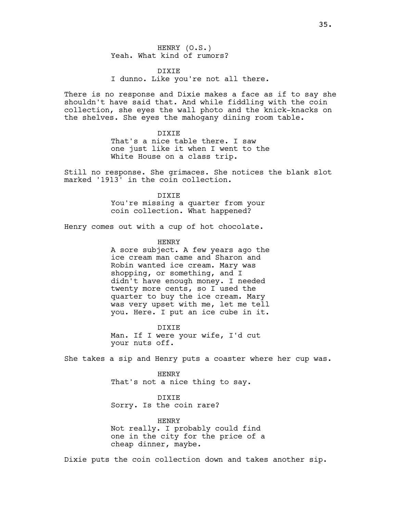HENRY (O.S.) Yeah. What kind of rumors?

DIXIE I dunno. Like you're not all there.

There is no response and Dixie makes a face as if to say she shouldn't have said that. And while fiddling with the coin collection, she eyes the wall photo and the knick-knacks on the shelves. She eyes the mahogany dining room table.

> DIXIE That's a nice table there. I saw one just like it when I went to the White House on a class trip.

Still no response. She grimaces. She notices the blank slot marked '1913' in the coin collection.

> DIXIE You're missing a quarter from your coin collection. What happened?

Henry comes out with a cup of hot chocolate.

HENRY

A sore subject. A few years ago the ice cream man came and Sharon and Robin wanted ice cream. Mary was shopping, or something, and I didn't have enough money. I needed twenty more cents, so I used the quarter to buy the ice cream. Mary was very upset with me, let me tell you. Here. I put an ice cube in it.

DIXIE Man. If I were your wife, I'd cut your nuts off.

She takes a sip and Henry puts a coaster where her cup was.

HENRY That's not a nice thing to say.

DIXIE Sorry. Is the coin rare?

HENRY Not really. I probably could find one in the city for the price of a cheap dinner, maybe.

Dixie puts the coin collection down and takes another sip.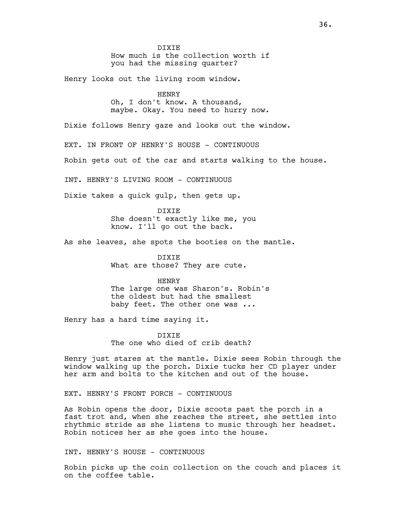DIXIE

How much is the collection worth if you had the missing quarter?

Henry looks out the living room window.

#### HENRY

Oh, I don't know. A thousand, maybe. Okay. You need to hurry now.

Dixie follows Henry gaze and looks out the window.

EXT. IN FRONT OF HENRY'S HOUSE - CONTINUOUS

Robin gets out of the car and starts walking to the house.

INT. HENRY'S LIVING ROOM - CONTINUOUS

Dixie takes a quick gulp, then gets up.

DIXIE She doesn't exactly like me, you know. I'll go out the back.

As she leaves, she spots the booties on the mantle.

DIXIE What are those? They are cute.

HENRY The large one was Sharon's. Robin's the oldest but had the smallest baby feet. The other one was ...

Henry has a hard time saying it.

DIXIE The one who died of crib death?

Henry just stares at the mantle. Dixie sees Robin through the window walking up the porch. Dixie tucks her CD player under her arm and bolts to the kitchen and out of the house.

EXT. HENRY'S FRONT PORCH - CONTINUOUS

As Robin opens the door, Dixie scoots past the porch in a fast trot and, when she reaches the street, she settles into rhythmic stride as she listens to music through her headset. Robin notices her as she goes into the house.

INT. HENRY'S HOUSE - CONTINUOUS

Robin picks up the coin collection on the couch and places it on the coffee table.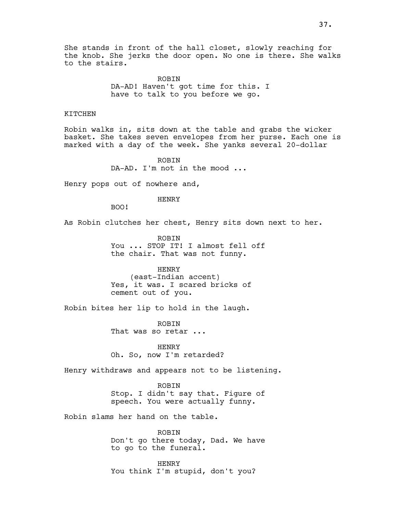She stands in front of the hall closet, slowly reaching for the knob. She jerks the door open. No one is there. She walks to the stairs.

> ROBIN DA-AD! Haven't got time for this. I have to talk to you before we go.

## KITCHEN

Robin walks in, sits down at the table and grabs the wicker basket. She takes seven envelopes from her purse. Each one is marked with a day of the week. She yanks several 20-dollar

> ROBIN DA-AD. I'm not in the mood ...

Henry pops out of nowhere and,

### HENRY

BOO!

As Robin clutches her chest, Henry sits down next to her.

ROBIN You ... STOP IT! I almost fell off the chair. That was not funny.

HENRY (east-Indian accent) Yes, it was. I scared bricks of cement out of you.

Robin bites her lip to hold in the laugh.

ROBIN That was so retar ...

HENRY Oh. So, now I'm retarded?

Henry withdraws and appears not to be listening.

ROBIN Stop. I didn't say that. Figure of speech. You were actually funny.

Robin slams her hand on the table.

ROBIN Don't go there today, Dad. We have to go to the funeral.

HENRY You think I'm stupid, don't you?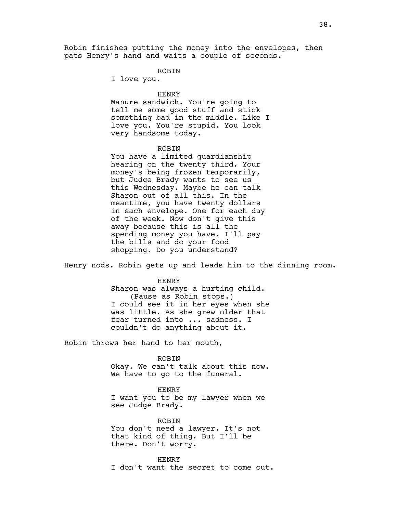Robin finishes putting the money into the envelopes, then pats Henry's hand and waits a couple of seconds.

### ROBIN

I love you.

### HENRY

Manure sandwich. You're going to tell me some good stuff and stick something bad in the middle. Like I love you. You're stupid. You look very handsome today.

## ROBIN

You have a limited guardianship hearing on the twenty third. Your money's being frozen temporarily, but Judge Brady wants to see us this Wednesday. Maybe he can talk Sharon out of all this. In the meantime, you have twenty dollars in each envelope. One for each day of the week. Now don't give this away because this is all the spending money you have. I'll pay the bills and do your food shopping. Do you understand?

Henry nods. Robin gets up and leads him to the dinning room.

### HENRY

Sharon was always a hurting child. (Pause as Robin stops.) I could see it in her eyes when she was little. As she grew older that fear turned into ... sadness. I couldn't do anything about it.

Robin throws her hand to her mouth,

#### ROBIN

Okay. We can't talk about this now. We have to go to the funeral.

#### HENRY

I want you to be my lawyer when we see Judge Brady.

ROBIN You don't need a lawyer. It's not that kind of thing. But I'll be there. Don't worry.

HENRY

I don't want the secret to come out.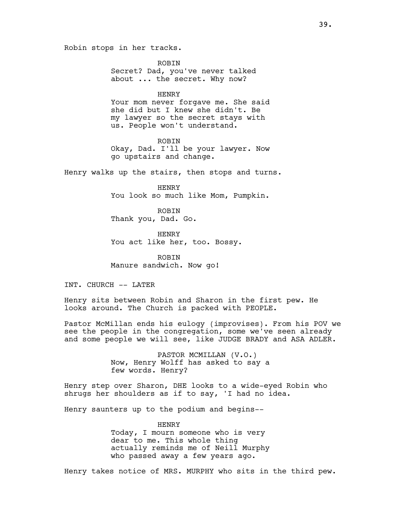Robin stops in her tracks.

ROBIN Secret? Dad, you've never talked about ... the secret. Why now?

#### HENRY

Your mom never forgave me. She said she did but I knew she didn't. Be my lawyer so the secret stays with us. People won't understand.

### **ROBIN**

Okay, Dad. I'll be your lawyer. Now go upstairs and change.

Henry walks up the stairs, then stops and turns.

HENRY You look so much like Mom, Pumpkin.

ROBIN Thank you, Dad. Go.

HENRY You act like her, too. Bossy.

ROBIN Manure sandwich. Now go!

INT. CHURCH -- LATER

Henry sits between Robin and Sharon in the first pew. He looks around. The Church is packed with PEOPLE.

Pastor McMillan ends his eulogy (improvises). From his POV we see the people in the congregation, some we've seen already and some people we will see, like JUDGE BRADY and ASA ADLER.

> PASTOR MCMILLAN (V.O.) Now, Henry Wolff has asked to say a few words. Henry?

Henry step over Sharon, DHE looks to a wide-eyed Robin who shrugs her shoulders as if to say, 'I had no idea.

Henry saunters up to the podium and begins--

HENRY Today, I mourn someone who is very dear to me. This whole thing actually reminds me of Neill Murphy who passed away a few years ago.

Henry takes notice of MRS. MURPHY who sits in the third pew.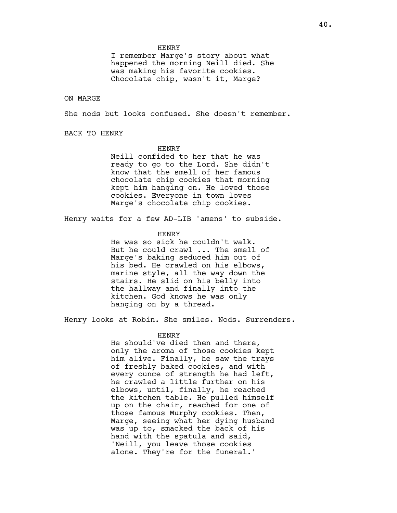HENRY

I remember Marge's story about what happened the morning Neill died. She was making his favorite cookies. Chocolate chip, wasn't it, Marge?

ON MARGE

She nods but looks confused. She doesn't remember.

BACK TO HENRY

## **HENRY**

Neill confided to her that he was ready to go to the Lord. She didn't know that the smell of her famous chocolate chip cookies that morning kept him hanging on. He loved those cookies. Everyone in town loves Marge's chocolate chip cookies.

Henry waits for a few AD-LIB 'amens' to subside.

## HENRY

He was so sick he couldn't walk. But he could crawl ... The smell of Marge's baking seduced him out of his bed. He crawled on his elbows, marine style, all the way down the stairs. He slid on his belly into the hallway and finally into the kitchen. God knows he was only hanging on by a thread.

Henry looks at Robin. She smiles. Nods. Surrenders.

## HENRY

He should've died then and there, only the aroma of those cookies kept him alive. Finally, he saw the trays of freshly baked cookies, and with every ounce of strength he had left, he crawled a little further on his elbows, until, finally, he reached the kitchen table. He pulled himself up on the chair, reached for one of those famous Murphy cookies. Then, Marge, seeing what her dying husband was up to, smacked the back of his hand with the spatula and said, 'Neill, you leave those cookies alone. They're for the funeral.'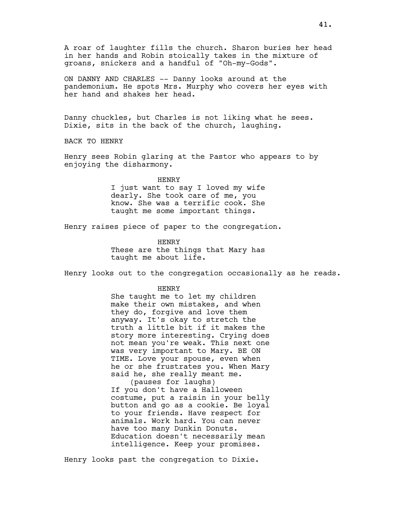A roar of laughter fills the church. Sharon buries her head in her hands and Robin stoically takes in the mixture of groans, snickers and a handful of "Oh-my-Gods".

ON DANNY AND CHARLES -- Danny looks around at the pandemonium. He spots Mrs. Murphy who covers her eyes with her hand and shakes her head.

Danny chuckles, but Charles is not liking what he sees. Dixie, sits in the back of the church, laughing.

BACK TO HENRY

Henry sees Robin glaring at the Pastor who appears to by enjoying the disharmony.

> HENRY I just want to say I loved my wife dearly. She took care of me, you know. She was a terrific cook. She

taught me some important things.

Henry raises piece of paper to the congregation.

HENRY These are the things that Mary has taught me about life.

Henry looks out to the congregation occasionally as he reads.

#### HENRY

She taught me to let my children make their own mistakes, and when they do, forgive and love them anyway. It's okay to stretch the truth a little bit if it makes the story more interesting. Crying does not mean you're weak. This next one was very important to Mary. BE ON TIME. Love your spouse, even when he or she frustrates you. When Mary said he, she really meant me. (pauses for laughs)

If you don't have a Halloween costume, put a raisin in your belly button and go as a cookie. Be loyal to your friends. Have respect for animals. Work hard. You can never have too many Dunkin Donuts. Education doesn't necessarily mean intelligence. Keep your promises.

Henry looks past the congregation to Dixie.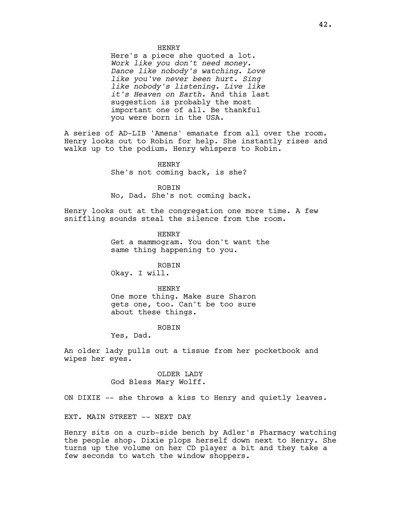HENRY

Here's a piece she quoted a lot. Work like you don't need money. Dance like nobody's watching. Love like you've never been hurt. Sing like nobody's listening. Live like it's Heaven on Earth. And this last suggestion is probably the most important one of all. Be thankful you were born in the USA.

A series of AD-LIB 'Amens' emanate from all over the room. Henry looks out to Robin for help. She instantly rises and walks up to the podium. Henry whispers to Robin.

> HENRY She's not coming back, is she?

ROBIN No, Dad. She's not coming back.

Henry looks out at the congregation one more time. A few sniffling sounds steal the silence from the room.

> HENRY Get a mammogram. You don't want the same thing happening to you.

ROBIN Okay. I will.

HENRY

One more thing. Make sure Sharon gets one, too. Can't be too sure about these things.

### ROBIN

Yes, Dad.

An older lady pulls out a tissue from her pocketbook and wipes her eyes.

> OLDER LADY God Bless Mary Wolff.

ON DIXIE -- she throws a kiss to Henry and quietly leaves.

EXT. MAIN STREET -- NEXT DAY

Henry sits on a curb-side bench by Adler's Pharmacy watching the people shop. Dixie plops herself down next to Henry. She turns up the volume on her CD player a bit and they take a few seconds to watch the window shoppers.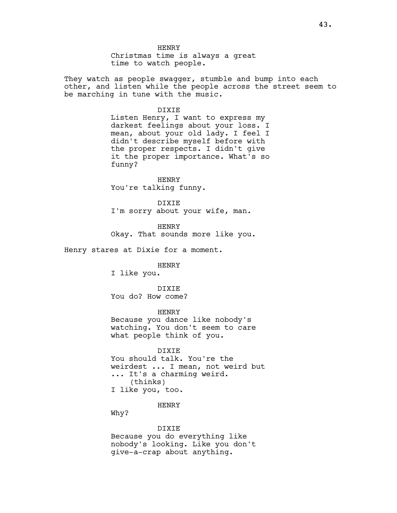HENRY Christmas time is always a great time to watch people.

They watch as people swagger, stumble and bump into each other, and listen while the people across the street seem to be marching in tune with the music.

DIXIE

Listen Henry, I want to express my darkest feelings about your loss. I mean, about your old lady. I feel I didn't describe myself before with the proper respects. I didn't give it the proper importance. What's so funny?

HENRY You're talking funny.

DIXIE I'm sorry about your wife, man.

HENRY Okay. That sounds more like you.

Henry stares at Dixie for a moment.

HENRY

I like you.

DIXIE You do? How come?

HENRY Because you dance like nobody's watching. You don't seem to care what people think of you.

DIXIE You should talk. You're the weirdest ... I mean, not weird but ... It's a charming weird. (thinks) I like you, too.

HENRY

Why?

DIXIE

Because you do everything like nobody's looking. Like you don't give-a-crap about anything.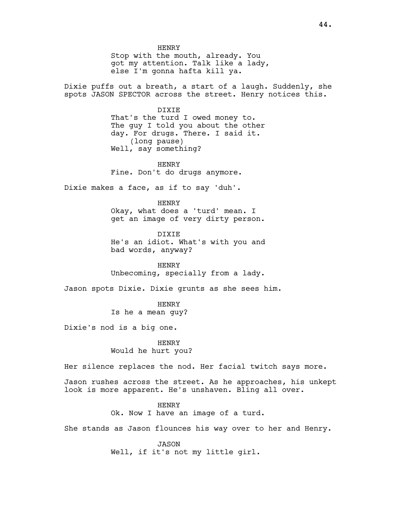HENRY Stop with the mouth, already. You got my attention. Talk like a lady, else I'm gonna hafta kill ya. Dixie puffs out a breath, a start of a laugh. Suddenly, she spots JASON SPECTOR across the street. Henry notices this. DIXIE That's the turd I owed money to. The guy I told you about the other day. For drugs. There. I said it. (long pause) Well, say something? HENRY Fine. Don't do drugs anymore. Dixie makes a face, as if to say 'duh'. HENRY Okay, what does a 'turd' mean. I get an image of very dirty person. DIXIE He's an idiot. What's with you and bad words, anyway? HENRY Unbecoming, specially from a lady. Jason spots Dixie. Dixie grunts as she sees him. **HENRY** Is he a mean guy? Dixie's nod is a big one. HENRY Would he hurt you? Her silence replaces the nod. Her facial twitch says more. Jason rushes across the street. As he approaches, his unkept look is more apparent. He's unshaven. Bling all over. HENRY Ok. Now I have an image of a turd. She stands as Jason flounces his way over to her and Henry.

> JASON Well, if it's not my little girl.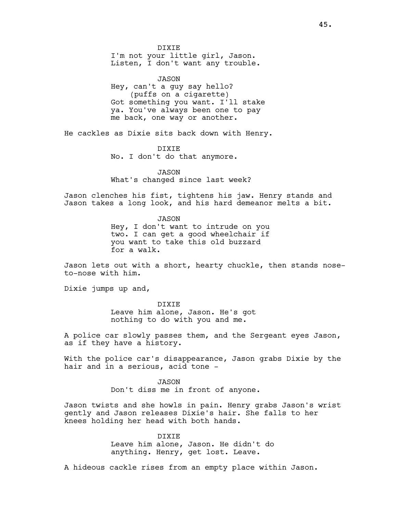DIXIE I'm not your little girl, Jason. Listen, I don't want any trouble.

JASON Hey, can't a guy say hello? (puffs on a cigarette) Got something you want. I'll stake ya. You've always been one to pay me back, one way or another.

He cackles as Dixie sits back down with Henry.

DIXIE No. I don't do that anymore.

JASON What's changed since last week?

Jason clenches his fist, tightens his jaw. Henry stands and Jason takes a long look, and his hard demeanor melts a bit.

> JASON Hey, I don't want to intrude on you two. I can get a good wheelchair if you want to take this old buzzard for a walk.

Jason lets out with a short, hearty chuckle, then stands noseto-nose with him.

Dixie jumps up and,

DIXIE Leave him alone, Jason. He's got nothing to do with you and me.

A police car slowly passes them, and the Sergeant eyes Jason, as if they have a history.

With the police car's disappearance, Jason grabs Dixie by the hair and in a serious, acid tone -

> JASON Don't diss me in front of anyone.

Jason twists and she howls in pain. Henry grabs Jason's wrist gently and Jason releases Dixie's hair. She falls to her knees holding her head with both hands.

> DIXIE Leave him alone, Jason. He didn't do anything. Henry, get lost. Leave.

A hideous cackle rises from an empty place within Jason.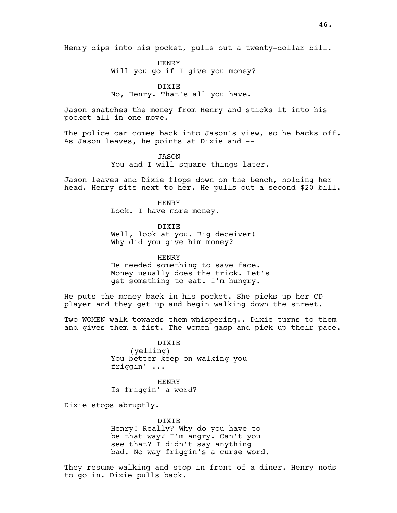HENRY Will you go if I give you money?

DIXIE No, Henry. That's all you have.

Jason snatches the money from Henry and sticks it into his pocket all in one move.

The police car comes back into Jason's view, so he backs off. As Jason leaves, he points at Dixie and --

> JASON You and I will square things later.

Jason leaves and Dixie flops down on the bench, holding her head. Henry sits next to her. He pulls out a second \$20 bill.

> HENRY Look. I have more money.

DIXIE Well, look at you. Big deceiver! Why did you give him money?

HENRY He needed something to save face. Money usually does the trick. Let's get something to eat. I'm hungry.

He puts the money back in his pocket. She picks up her CD player and they get up and begin walking down the street.

Two WOMEN walk towards them whispering.. Dixie turns to them and gives them a fist. The women gasp and pick up their pace.

> DIXIE (yelling) You better keep on walking you friggin' ...

HENRY Is friggin' a word?

Dixie stops abruptly.

DIXIE Henry! Really? Why do you have to be that way? I'm angry. Can't you see that? I didn't say anything bad. No way friggin's a curse word.

They resume walking and stop in front of a diner. Henry nods to go in. Dixie pulls back.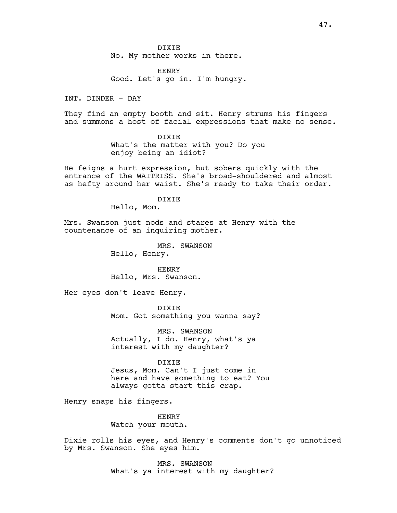HENRY Good. Let's go in. I'm hungry.

INT. DINDER - DAY

They find an empty booth and sit. Henry strums his fingers and summons a host of facial expressions that make no sense.

> DIXIE What's the matter with you? Do you enjoy being an idiot?

He feigns a hurt expression, but sobers quickly with the entrance of the WAITRISS. She's broad-shouldered and almost as hefty around her waist. She's ready to take their order.

DIXIE

Hello, Mom.

Mrs. Swanson just nods and stares at Henry with the countenance of an inquiring mother.

> MRS. SWANSON Hello, Henry.

HENRY Hello, Mrs. Swanson.

Her eyes don't leave Henry.

DIXIE Mom. Got something you wanna say?

MRS. SWANSON Actually, I do. Henry, what's ya

DIXIE

interest with my daughter?

Jesus, Mom. Can't I just come in here and have something to eat? You always gotta start this crap.

Henry snaps his fingers.

HENRY Watch your mouth.

Dixie rolls his eyes, and Henry's comments don't go unnoticed by Mrs. Swanson. She eyes him.

> MRS. SWANSON What's ya interest with my daughter?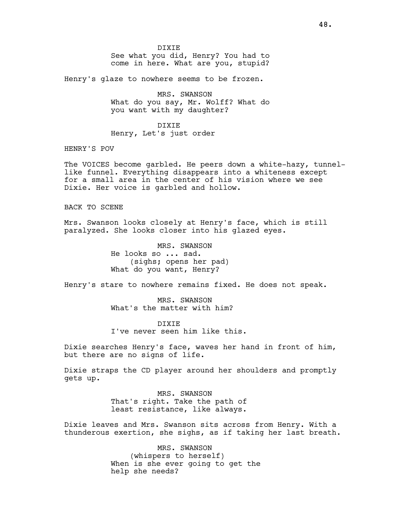DIXIE See what you did, Henry? You had to come in here. What are you, stupid?

Henry's glaze to nowhere seems to be frozen.

MRS. SWANSON What do you say, Mr. Wolff? What do you want with my daughter?

DIXIE Henry, Let's just order

HENRY'S POV

The VOICES become garbled. He peers down a white-hazy, tunnellike funnel. Everything disappears into a whiteness except for a small area in the center of his vision where we see Dixie. Her voice is garbled and hollow.

BACK TO SCENE

Mrs. Swanson looks closely at Henry's face, which is still paralyzed. She looks closer into his glazed eyes.

> MRS. SWANSON He looks so ... sad. (sighs; opens her pad) What do you want, Henry?

Henry's stare to nowhere remains fixed. He does not speak.

MRS. SWANSON What's the matter with him?

DIXIE I've never seen him like this.

Dixie searches Henry's face, waves her hand in front of him, but there are no signs of life.

Dixie straps the CD player around her shoulders and promptly gets up.

> MRS. SWANSON That's right. Take the path of least resistance, like always.

Dixie leaves and Mrs. Swanson sits across from Henry. With a thunderous exertion, she sighs, as if taking her last breath.

> MRS. SWANSON (whispers to herself) When is she ever going to get the help she needs?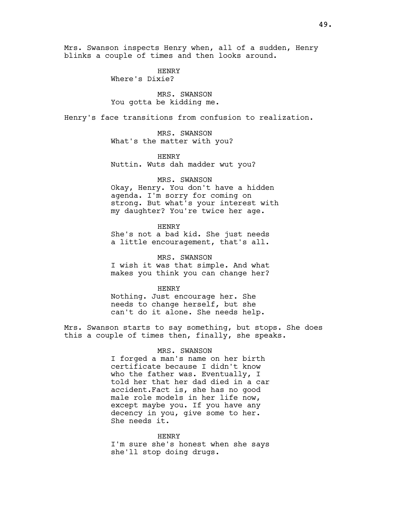Mrs. Swanson inspects Henry when, all of a sudden, Henry blinks a couple of times and then looks around.

> HENRY Where's Dixie?

MRS. SWANSON You gotta be kidding me.

Henry's face transitions from confusion to realization.

MRS. SWANSON What's the matter with you?

HENRY Nuttin. Wuts dah madder wut you?

### MRS. SWANSON

Okay, Henry. You don't have a hidden agenda. I'm sorry for coming on strong. But what's your interest with my daughter? You're twice her age.

HENRY She's not a bad kid. She just needs a little encouragement, that's all.

MRS. SWANSON I wish it was that simple. And what makes you think you can change her?

### HENRY

Nothing. Just encourage her. She needs to change herself, but she can't do it alone. She needs help.

Mrs. Swanson starts to say something, but stops. She does this a couple of times then, finally, she speaks.

#### MRS. SWANSON

I forged a man's name on her birth certificate because I didn't know who the father was. Eventually, I told her that her dad died in a car accident.Fact is, she has no good male role models in her life now, except maybe you. If you have any decency in you, give some to her. She needs it.

#### HENRY

I'm sure she's honest when she says she'll stop doing drugs.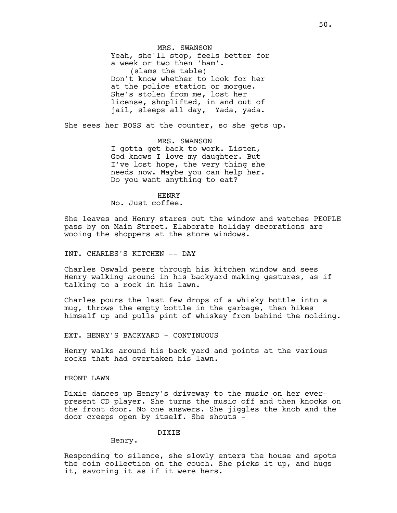Yeah, she'll stop, feels better for a week or two then 'bam'. (slams the table) Don't know whether to look for her at the police station or morgue. She's stolen from me, lost her license, shoplifted, in and out of jail, sleeps all day, Yada, yada.

MRS. SWANSON

She sees her BOSS at the counter, so she gets up.

MRS. SWANSON I gotta get back to work. Listen, God knows I love my daughter. But I've lost hope, the very thing she needs now. Maybe you can help her. Do you want anything to eat?

HENRY No. Just coffee.

She leaves and Henry stares out the window and watches PEOPLE pass by on Main Street. Elaborate holiday decorations are wooing the shoppers at the store windows.

INT. CHARLES'S KITCHEN -- DAY

Charles Oswald peers through his kitchen window and sees Henry walking around in his backyard making gestures, as if talking to a rock in his lawn.

Charles pours the last few drops of a whisky bottle into a mug, throws the empty bottle in the garbage, then hikes himself up and pulls pint of whiskey from behind the molding.

EXT. HENRY'S BACKYARD - CONTINUOUS

Henry walks around his back yard and points at the various rocks that had overtaken his lawn.

FRONT LAWN

Dixie dances up Henry's driveway to the music on her everpresent CD player. She turns the music off and then knocks on the front door. No one answers. She jiggles the knob and the door creeps open by itself. She shouts -

## DIXIE

Henry.

Responding to silence, she slowly enters the house and spots the coin collection on the couch. She picks it up, and hugs it, savoring it as if it were hers.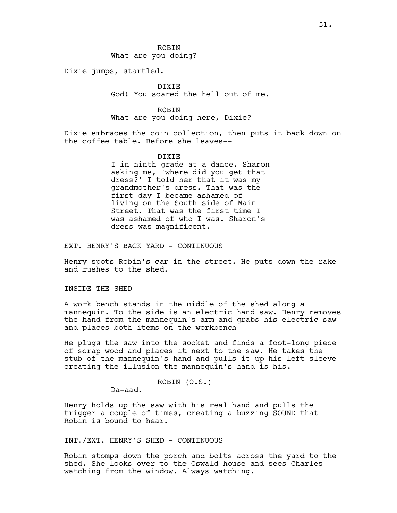ROBIN What are you doing?

Dixie jumps, startled.

DIXIE God! You scared the hell out of me.

ROBIN What are you doing here, Dixie?

Dixie embraces the coin collection, then puts it back down on the coffee table. Before she leaves--

DIXIE

I in ninth grade at a dance, Sharon asking me, 'where did you get that dress?' I told her that it was my grandmother's dress. That was the first day I became ashamed of living on the South side of Main Street. That was the first time I was ashamed of who I was. Sharon's dress was magnificent.

EXT. HENRY'S BACK YARD - CONTINUOUS

Henry spots Robin's car in the street. He puts down the rake and rushes to the shed.

INSIDE THE SHED

A work bench stands in the middle of the shed along a mannequin. To the side is an electric hand saw. Henry removes the hand from the mannequin's arm and grabs his electric saw and places both items on the workbench

He plugs the saw into the socket and finds a foot-long piece of scrap wood and places it next to the saw. He takes the stub of the mannequin's hand and pulls it up his left sleeve creating the illusion the mannequin's hand is his.

```
ROBIN (O.S.)
```
Da-aad.

Henry holds up the saw with his real hand and pulls the trigger a couple of times, creating a buzzing SOUND that Robin is bound to hear.

INT./EXT. HENRY'S SHED - CONTINUOUS

Robin stomps down the porch and bolts across the yard to the shed. She looks over to the Oswald house and sees Charles watching from the window. Always watching.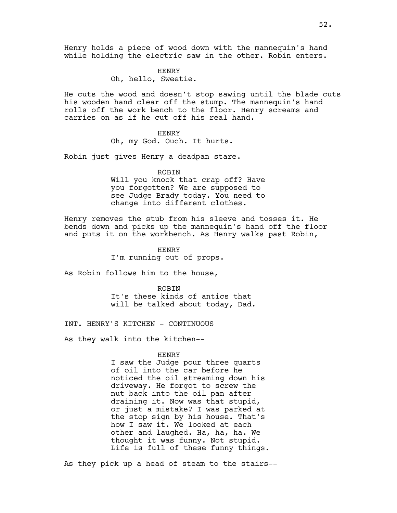Henry holds a piece of wood down with the mannequin's hand while holding the electric saw in the other. Robin enters.

> HENRY Oh, hello, Sweetie.

He cuts the wood and doesn't stop sawing until the blade cuts his wooden hand clear off the stump. The mannequin's hand rolls off the work bench to the floor. Henry screams and carries on as if he cut off his real hand.

#### **HENRY**

Oh, my God. Ouch. It hurts.

Robin just gives Henry a deadpan stare.

#### ROBIN

Will you knock that crap off? Have you forgotten? We are supposed to see Judge Brady today. You need to change into different clothes.

Henry removes the stub from his sleeve and tosses it. He bends down and picks up the mannequin's hand off the floor and puts it on the workbench. As Henry walks past Robin,

> HENRY I'm running out of props.

As Robin follows him to the house,

ROBIN It's these kinds of antics that will be talked about today, Dad.

INT. HENRY'S KITCHEN - CONTINUOUS

As they walk into the kitchen--

## HENRY

I saw the Judge pour three quarts of oil into the car before he noticed the oil streaming down his driveway. He forgot to screw the nut back into the oil pan after draining it. Now was that stupid, or just a mistake? I was parked at the stop sign by his house. That's how I saw it. We looked at each other and laughed. Ha, ha, ha. We thought it was funny. Not stupid. Life is full of these funny things.

As they pick up a head of steam to the stairs--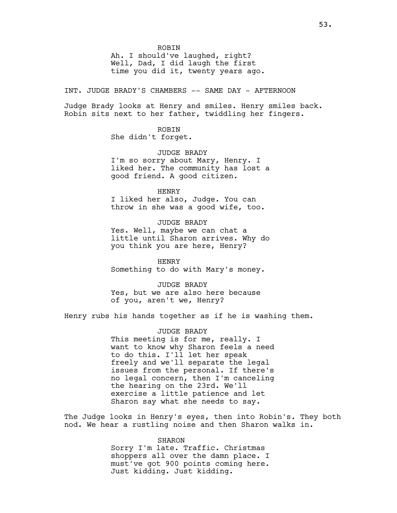ROBIN

Ah. I should've laughed, right? Well, Dad, I did laugh the first time you did it, twenty years ago.

INT. JUDGE BRADY'S CHAMBERS -- SAME DAY - AFTERNOON

Judge Brady looks at Henry and smiles. Henry smiles back. Robin sits next to her father, twiddling her fingers.

> ROBIN She didn't forget.

JUDGE BRADY I'm so sorry about Mary, Henry. I liked her. The community has lost a good friend. A good citizen.

HENRY I liked her also, Judge. You can throw in she was a good wife, too.

JUDGE BRADY Yes. Well, maybe we can chat a little until Sharon arrives. Why do you think you are here, Henry?

HENRY Something to do with Mary's money.

JUDGE BRADY Yes, but we are also here because of you, aren't we, Henry?

Henry rubs his hands together as if he is washing them.

JUDGE BRADY This meeting is for me, really. I want to know why Sharon feels a need to do this. I'll let her speak freely and we'll separate the legal issues from the personal. If there's no legal concern, then I'm canceling the hearing on the 23rd. We'll exercise a little patience and let Sharon say what she needs to say.

The Judge looks in Henry's eyes, then into Robin's. They both nod. We hear a rustling noise and then Sharon walks in.

> SHARON Sorry I'm late. Traffic. Christmas shoppers all over the damn place. I must've got 900 points coming here. Just kidding. Just kidding.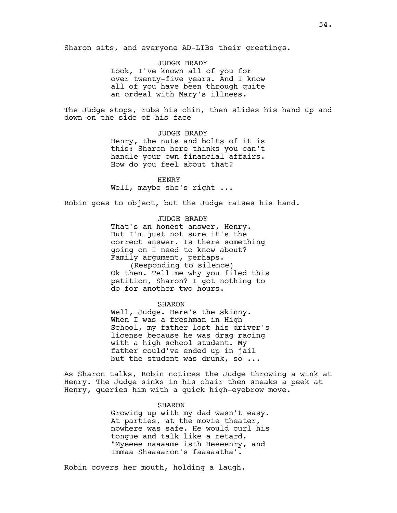Sharon sits, and everyone AD-LIBs their greetings.

JUDGE BRADY Look, I've known all of you for over twenty-five years. And I know all of you have been through quite an ordeal with Mary's illness.

The Judge stops, rubs his chin, then slides his hand up and down on the side of his face

> JUDGE BRADY Henry, the nuts and bolts of it is this: Sharon here thinks you can't handle your own financial affairs. How do you feel about that?

HENRY Well, maybe she's right ...

Robin goes to object, but the Judge raises his hand.

JUDGE BRADY That's an honest answer, Henry. But I'm just not sure it's the correct answer. Is there something going on I need to know about? Family argument, perhaps. (Responding to silence) Ok then. Tell me why you filed this petition, Sharon? I got nothing to do for another two hours.

SHARON

Well, Judge. Here's the skinny. When I was a freshman in High School, my father lost his driver's license because he was drag racing with a high school student. My father could've ended up in jail but the student was drunk, so ...

As Sharon talks, Robin notices the Judge throwing a wink at Henry. The Judge sinks in his chair then sneaks a peek at Henry, queries him with a quick high-eyebrow move.

#### SHARON

Growing up with my dad wasn't easy. At parties, at the movie theater, nowhere was safe. He would curl his tongue and talk like a retard. "Myeeee naaaame isth Heeeenry, and Immaa Shaaaaron's faaaaatha'.

Robin covers her mouth, holding a laugh.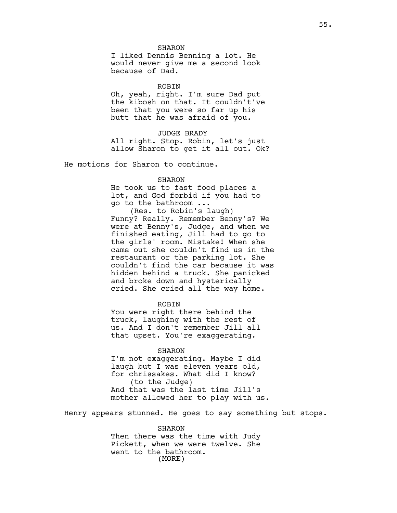SHARON

I liked Dennis Benning a lot. He would never give me a second look because of Dad.

ROBIN

Oh, yeah, right. I'm sure Dad put the kibosh on that. It couldn't've been that you were so far up his butt that he was afraid of you.

JUDGE BRADY

All right. Stop. Robin, let's just allow Sharon to get it all out. Ok?

He motions for Sharon to continue.

### SHARON

He took us to fast food places a lot, and God forbid if you had to go to the bathroom ...

(Res. to Robin's laugh) Funny? Really. Remember Benny's? We were at Benny's, Judge, and when we finished eating, Jill had to go to the girls' room. Mistake! When she came out she couldn't find us in the restaurant or the parking lot. She couldn't find the car because it was hidden behind a truck. She panicked and broke down and hysterically cried. She cried all the way home.

**ROBIN** 

You were right there behind the truck, laughing with the rest of us. And I don't remember Jill all that upset. You're exaggerating.

### SHARON

I'm not exaggerating. Maybe I did laugh but I was eleven years old, for chrissakes. What did I know? (to the Judge) And that was the last time Jill's mother allowed her to play with us.

Henry appears stunned. He goes to say something but stops.

(MORE) SHARON Then there was the time with Judy Pickett, when we were twelve. She went to the bathroom.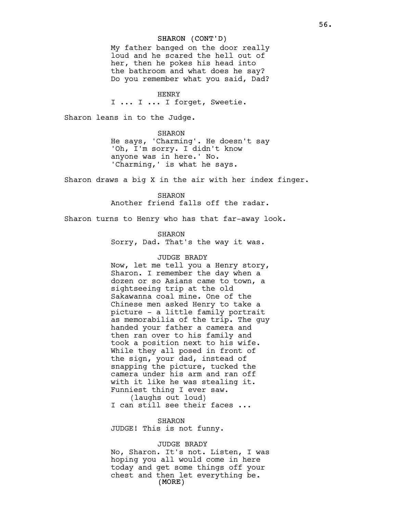## SHARON (CONT'D)

My father banged on the door really loud and he scared the hell out of her, then he pokes his head into the bathroom and what does he say? Do you remember what you said, Dad?

HENRY

I ... I ... I forget, Sweetie.

Sharon leans in to the Judge.

SHARON He says, 'Charming'. He doesn't say 'Oh, I'm sorry. I didn't know anyone was in here.' No. 'Charming,' is what he says.

Sharon draws a big X in the air with her index finger.

SHARON Another friend falls off the radar.

Sharon turns to Henry who has that far-away look.

SHARON

Sorry, Dad. That's the way it was.

### JUDGE BRADY

Now, let me tell you a Henry story, Sharon. I remember the day when a dozen or so Asians came to town, a sightseeing trip at the old Sakawanna coal mine. One of the Chinese men asked Henry to take a picture - a little family portrait as memorabilia of the trip. The guy handed your father a camera and then ran over to his family and took a position next to his wife. While they all posed in front of the sign, your dad, instead of snapping the picture, tucked the camera under his arm and ran off with it like he was stealing it. Funniest thing I ever saw. (laughs out loud)

I can still see their faces ...

### SHARON

JUDGE! This is not funny.

## JUDGE BRADY

(MORE) No, Sharon. It's not. Listen, I was hoping you all would come in here today and get some things off your chest and then let everything be.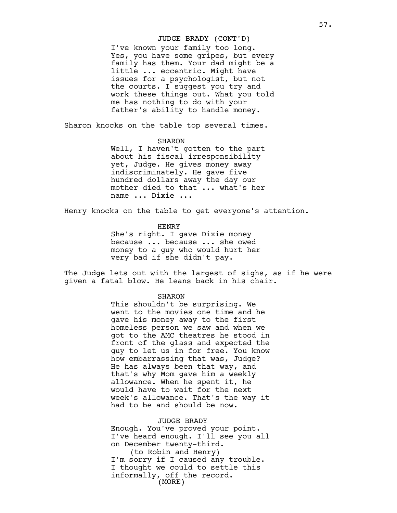# JUDGE BRADY (CONT'D)

I've known your family too long. Yes, you have some gripes, but every family has them. Your dad might be a little ... eccentric. Might have issues for a psychologist, but not the courts. I suggest you try and work these things out. What you told me has nothing to do with your father's ability to handle money.

Sharon knocks on the table top several times.

### SHARON

Well, I haven't gotten to the part about his fiscal irresponsibility yet, Judge. He gives money away indiscriminately. He gave five hundred dollars away the day our mother died to that ... what's her name ... Dixie ...

Henry knocks on the table to get everyone's attention.

## HENRY

She's right. I gave Dixie money because ... because ... she owed money to a guy who would hurt her very bad if she didn't pay.

The Judge lets out with the largest of sighs, as if he were given a fatal blow. He leans back in his chair.

### SHARON

This shouldn't be surprising. We went to the movies one time and he gave his money away to the first homeless person we saw and when we got to the AMC theatres he stood in front of the glass and expected the guy to let us in for free. You know how embarrassing that was, Judge? He has always been that way, and that's why Mom gave him a weekly allowance. When he spent it, he would have to wait for the next week's allowance. That's the way it had to be and should be now.

## JUDGE BRADY

Enough. You've proved your point. I've heard enough. I'll see you all on December twenty-third.

 $\rm \left($  MORE  $\rm \right)$ (to Robin and Henry) I'm sorry if I caused any trouble. I thought we could to settle this informally, off the record.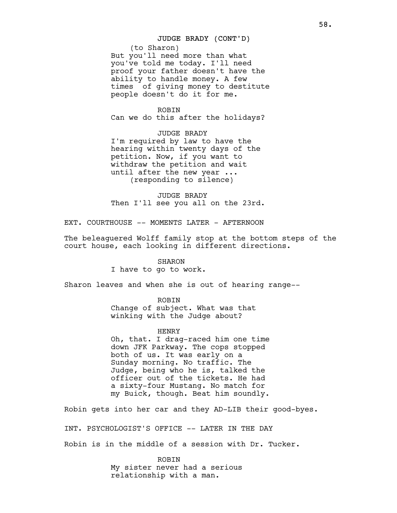## JUDGE BRADY (CONT'D)

(to Sharon) But you'll need more than what you've told me today. I'll need proof your father doesn't have the ability to handle money. A few times of giving money to destitute people doesn't do it for me.

# ROBIN

Can we do this after the holidays?

JUDGE BRADY I'm required by law to have the hearing within twenty days of the petition. Now, if you want to withdraw the petition and wait until after the new year ... (responding to silence)

JUDGE BRADY Then I'll see you all on the 23rd.

EXT. COURTHOUSE -- MOMENTS LATER - AFTERNOON

The beleaguered Wolff family stop at the bottom steps of the court house, each looking in different directions.

## SHARON

I have to go to work.

Sharon leaves and when she is out of hearing range--

ROBIN Change of subject. What was that winking with the Judge about?

### HENRY

Oh, that. I drag-raced him one time down JFK Parkway. The cops stopped both of us. It was early on a Sunday morning. No traffic. The Judge, being who he is, talked the officer out of the tickets. He had a sixty-four Mustang. No match for my Buick, though. Beat him soundly.

Robin gets into her car and they AD-LIB their good-byes.

INT. PSYCHOLOGIST'S OFFICE -- LATER IN THE DAY

Robin is in the middle of a session with Dr. Tucker.

ROBIN My sister never had a serious relationship with a man.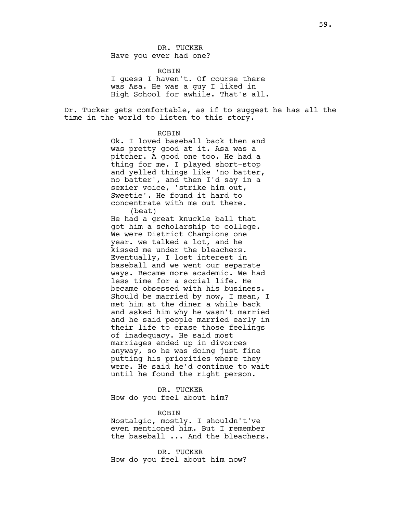DR. TUCKER Have you ever had one?

ROBIN I guess I haven't. Of course there was Asa. He was a guy I liked in High School for awhile. That's all.

Dr. Tucker gets comfortable, as if to suggest he has all the time in the world to listen to this story.

### **ROBIN**

Ok. I loved baseball back then and was pretty good at it. Asa was a pitcher. A good one too. He had a thing for me. I played short-stop and yelled things like 'no batter, no batter', and then I'd say in a sexier voice, 'strike him out, Sweetie'. He found it hard to concentrate with me out there. (beat)

He had a great knuckle ball that got him a scholarship to college. We were District Champions one year. we talked a lot, and he kissed me under the bleachers. Eventually, I lost interest in baseball and we went our separate ways. Became more academic. We had less time for a social life. He became obsessed with his business. Should be married by now, I mean, I met him at the diner a while back and asked him why he wasn't married and he said people married early in their life to erase those feelings of inadequacy. He said most marriages ended up in divorces anyway, so he was doing just fine putting his priorities where they were. He said he'd continue to wait until he found the right person.

DR. TUCKER How do you feel about him?

#### ROBIN

Nostalgic, mostly. I shouldn't've even mentioned him. But I remember the baseball ... And the bleachers.

DR. TUCKER How do you feel about him now?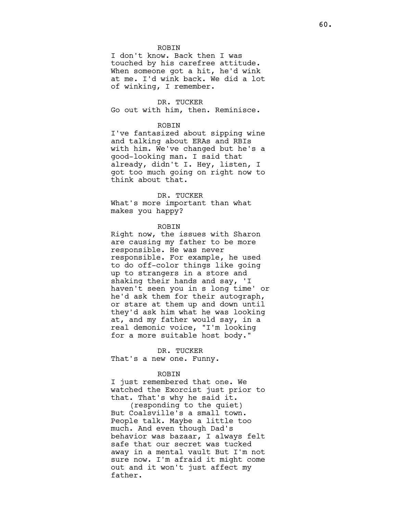#### **ROBIN**

I don't know. Back then I was touched by his carefree attitude. When someone got a hit, he'd wink at me. I'd wink back. We did a lot of winking, I remember.

#### DR. TUCKER

Go out with him, then. Reminisce.

### ROBIN

I've fantasized about sipping wine and talking about ERAs and RBIs with him. We've changed but he's a good-looking man. I said that already, didn't I. Hey, listen, I got too much going on right now to think about that.

#### DR. TUCKER

What's more important than what makes you happy?

### ROBIN

Right now, the issues with Sharon are causing my father to be more responsible. He was never responsible. For example, he used to do off-color things like going up to strangers in a store and shaking their hands and say, 'I haven't seen you in s long time' or he'd ask them for their autograph, or stare at them up and down until they'd ask him what he was looking at, and my father would say, in a real demonic voice, "I'm looking for a more suitable host body."

DR. TUCKER That's a new one. Funny.

#### ROBIN

I just remembered that one. We watched the Exorcist just prior to that. That's why he said it.

(responding to the quiet) But Coalsville's a small town. People talk. Maybe a little too much. And even though Dad's behavior was bazaar, I always felt safe that our secret was tucked away in a mental vault But I'm not sure now. I'm afraid it might come out and it won't just affect my father.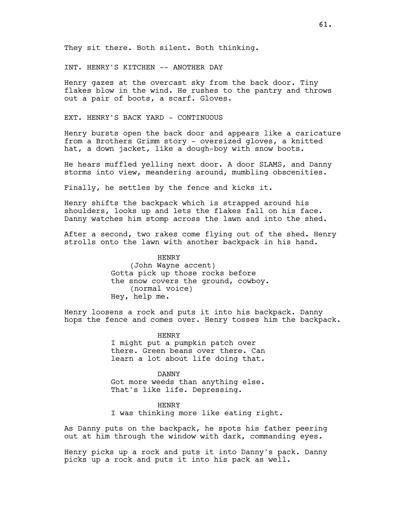They sit there. Both silent. Both thinking.

INT. HENRY'S KITCHEN -- ANOTHER DAY

Henry gazes at the overcast sky from the back door. Tiny flakes blow in the wind. He rushes to the pantry and throws out a pair of boots, a scarf. Gloves.

EXT. HENRY'S BACK YARD - CONTINUOUS

Henry bursts open the back door and appears like a caricature from a Brothers Grimm story - oversized gloves, a knitted hat, a down jacket, like a dough-boy with snow boots.

He hears muffled yelling next door. A door SLAMS, and Danny storms into view, meandering around, mumbling obscenities.

Finally, he settles by the fence and kicks it.

Henry shifts the backpack which is strapped around his shoulders, looks up and lets the flakes fall on his face. Danny watches him stomp across the lawn and into the shed.

After a second, two rakes come flying out of the shed. Henry strolls onto the lawn with another backpack in his hand.

> HENRY (John Wayne accent) Gotta pick up those rocks before the snow covers the ground, cowboy. (normal voice) Hey, help me.

Henry loosens a rock and puts it into his backpack. Danny hops the fence and comes over. Henry tosses him the backpack.

> HENRY I might put a pumpkin patch over there. Green beans over there. Can learn a lot about life doing that.

DANNY Got more weeds than anything else. That's like life. Depressing.

HENRY I was thinking more like eating right.

As Danny puts on the backpack, he spots his father peering out at him through the window with dark, commanding eyes.

Henry picks up a rock and puts it into Danny's pack. Danny picks up a rock and puts it into his pack as well.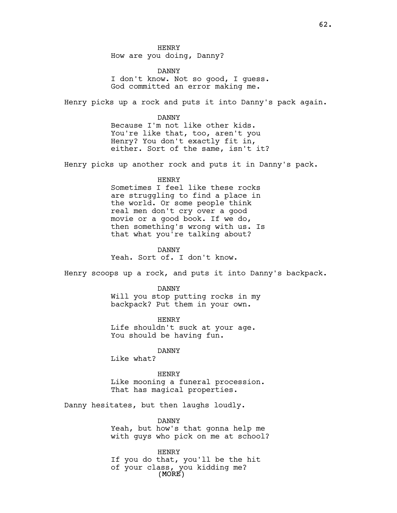HENRY How are you doing, Danny?

DANNY I don't know. Not so good, I guess. God committed an error making me.

Henry picks up a rock and puts it into Danny's pack again.

DANNY Because I'm not like other kids. You're like that, too, aren't you Henry? You don't exactly fit in, either. Sort of the same, isn't it?

Henry picks up another rock and puts it in Danny's pack.

HENRY

Sometimes I feel like these rocks are struggling to find a place in the world. Or some people think real men don't cry over a good movie or a good book. If we do, then something's wrong with us. Is that what you're talking about?

DANNY Yeah. Sort of. I don't know.

Henry scoops up a rock, and puts it into Danny's backpack.

DANNY Will you stop putting rocks in my backpack? Put them in your own.

HENRY Life shouldn't suck at your age. You should be having fun.

DANNY

Like what?

HENRY

Like mooning a funeral procession. That has magical properties.

Danny hesitates, but then laughs loudly.

DANNY Yeah, but how's that gonna help me with guys who pick on me at school?

(MORE) HENRY If you do that, you'll be the hit of your class, you kidding me?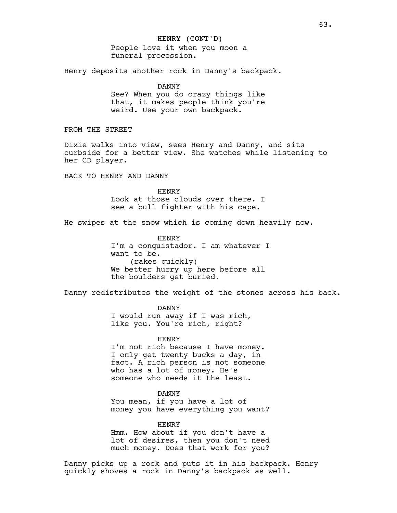People love it when you moon a funeral procession.

Henry deposits another rock in Danny's backpack.

DANNY See? When you do crazy things like that, it makes people think you're

weird. Use your own backpack.

FROM THE STREET

Dixie walks into view, sees Henry and Danny, and sits curbside for a better view. She watches while listening to her CD player.

BACK TO HENRY AND DANNY

HENRY Look at those clouds over there. I see a bull fighter with his cape.

He swipes at the snow which is coming down heavily now.

HENRY I'm a conquistador. I am whatever I want to be. (rakes quickly) We better hurry up here before all the boulders get buried.

Danny redistributes the weight of the stones across his back.

DANNY I would run away if I was rich, like you. You're rich, right?

HENRY I'm not rich because I have money. I only get twenty bucks a day, in fact. A rich person is not someone who has a lot of money. He's someone who needs it the least.

DANNY You mean, if you have a lot of money you have everything you want?

HENRY Hmm. How about if you don't have a lot of desires, then you don't need much money. Does that work for you?

Danny picks up a rock and puts it in his backpack. Henry quickly shoves a rock in Danny's backpack as well.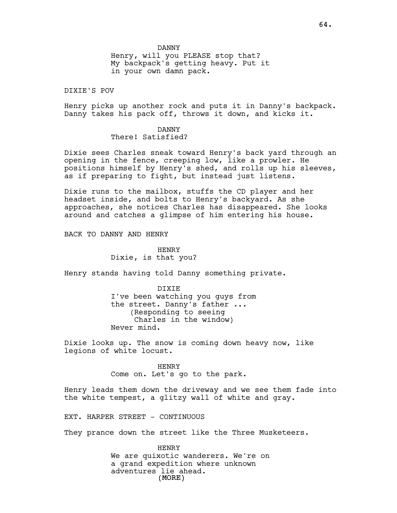Henry, will you PLEASE stop that? My backpack's getting heavy. Put it in your own damn pack.

DIXIE'S POV

Henry picks up another rock and puts it in Danny's backpack. Danny takes his pack off, throws it down, and kicks it.

> DANNY There! Satisfied?

Dixie sees Charles sneak toward Henry's back yard through an opening in the fence, creeping low, like a prowler. He positions himself by Henry's shed, and rolls up his sleeves, as if preparing to fight, but instead just listens.

Dixie runs to the mailbox, stuffs the CD player and her headset inside, and bolts to Henry's backyard. As she approaches, she notices Charles has disappeared. She looks around and catches a glimpse of him entering his house.

BACK TO DANNY AND HENRY

HENRY Dixie, is that you?

Henry stands having told Danny something private.

DIXIE I've been watching you guys from the street. Danny's father ... (Responding to seeing Charles in the window) Never mind.

Dixie looks up. The snow is coming down heavy now, like legions of white locust.

> HENRY Come on. Let's go to the park.

Henry leads them down the driveway and we see them fade into the white tempest, a glitzy wall of white and gray.

EXT. HARPER STREET - CONTINUOUS

They prance down the street like the Three Musketeers.

(MORE) HENRY We are quixotic wanderers. We're on a grand expedition where unknown adventures lie ahead.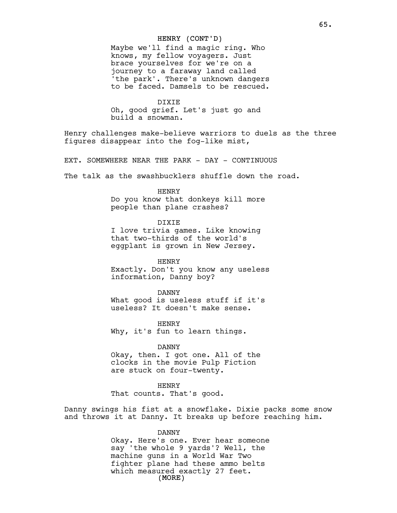## HENRY (CONT'D)

Maybe we'll find a magic ring. Who knows, my fellow voyagers. Just brace yourselves for we're on a journey to a faraway land called 'the park'. There's unknown dangers to be faced. Damsels to be rescued.

DIXIE Oh, good grief. Let's just go and build a snowman.

Henry challenges make-believe warriors to duels as the three figures disappear into the fog-like mist,

EXT. SOMEWHERE NEAR THE PARK - DAY - CONTINUOUS

The talk as the swashbucklers shuffle down the road.

HENRY

Do you know that donkeys kill more people than plane crashes?

DIXIE

I love trivia games. Like knowing that two-thirds of the world's eggplant is grown in New Jersey.

HENRY Exactly. Don't you know any useless information, Danny boy?

DANNY What good is useless stuff if it's useless? It doesn't make sense.

HENRY Why, it's fun to learn things.

DANNY

Okay, then. I got one. All of the clocks in the movie Pulp Fiction are stuck on four-twenty.

HENRY That counts. That's good.

Danny swings his fist at a snowflake. Dixie packs some snow and throws it at Danny. It breaks up before reaching him.

DANNY

(MORE) Okay. Here's one. Ever hear someone say 'the whole 9 yards'? Well, the machine guns in a World War Two fighter plane had these ammo belts which measured exactly 27 feet.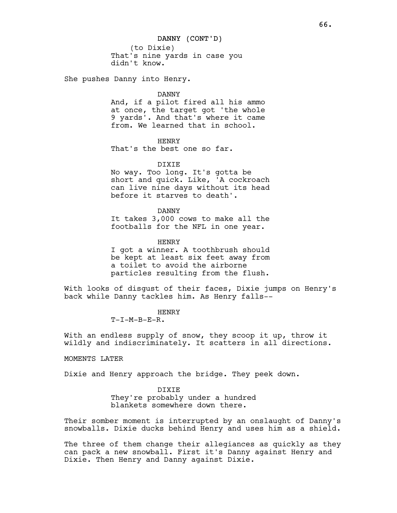(to Dixie) That's nine yards in case you didn't know.

She pushes Danny into Henry.

DANNY

And, if a pilot fired all his ammo at once, the target got 'the whole 9 yards'. And that's where it came from. We learned that in school.

HENRY That's the best one so far.

DIXIE

No way. Too long. It's gotta be short and quick. Like, 'A cockroach can live nine days without its head before it starves to death'.

DANNY

It takes 3,000 cows to make all the footballs for the NFL in one year.

HENRY

I got a winner. A toothbrush should be kept at least six feet away from a toilet to avoid the airborne particles resulting from the flush.

With looks of disgust of their faces, Dixie jumps on Henry's back while Danny tackles him. As Henry falls--

> HENRY  $T-I-M-B-E-R$ .

With an endless supply of snow, they scoop it up, throw it wildly and indiscriminately. It scatters in all directions.

MOMENTS LATER

Dixie and Henry approach the bridge. They peek down.

DIXIE

They're probably under a hundred blankets somewhere down there.

Their somber moment is interrupted by an onslaught of Danny's snowballs. Dixie ducks behind Henry and uses him as a shield.

The three of them change their allegiances as quickly as they can pack a new snowball. First it's Danny against Henry and Dixie. Then Henry and Danny against Dixie.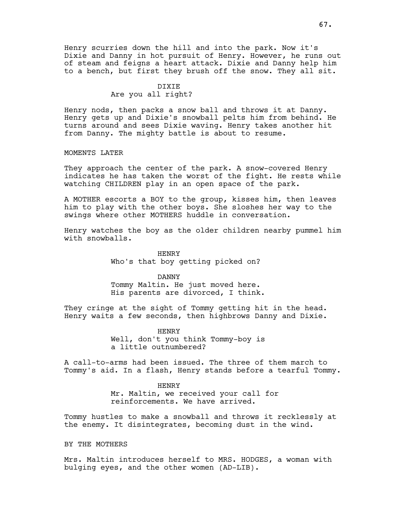Henry scurries down the hill and into the park. Now it's Dixie and Danny in hot pursuit of Henry. However, he runs out of steam and feigns a heart attack. Dixie and Danny help him to a bench, but first they brush off the snow. They all sit.

# DIXIE Are you all right?

Henry nods, then packs a snow ball and throws it at Danny. Henry gets up and Dixie's snowball pelts him from behind. He turns around and sees Dixie waving. Henry takes another hit from Danny. The mighty battle is about to resume.

## MOMENTS LATER

They approach the center of the park. A snow-covered Henry indicates he has taken the worst of the fight. He rests while watching CHILDREN play in an open space of the park.

A MOTHER escorts a BOY to the group, kisses him, then leaves him to play with the other boys. She sloshes her way to the swings where other MOTHERS huddle in conversation.

Henry watches the boy as the older children nearby pummel him with snowballs.

> HENRY Who's that boy getting picked on?

## DANNY

Tommy Maltin. He just moved here. His parents are divorced, I think.

They cringe at the sight of Tommy getting hit in the head. Henry waits a few seconds, then highbrows Danny and Dixie.

> HENRY Well, don't you think Tommy-boy is a little outnumbered?

A call-to-arms had been issued. The three of them march to Tommy's aid. In a flash, Henry stands before a tearful Tommy.

#### HENRY

Mr. Maltin, we received your call for reinforcements. We have arrived.

Tommy hustles to make a snowball and throws it recklessly at the enemy. It disintegrates, becoming dust in the wind.

## BY THE MOTHERS

Mrs. Maltin introduces herself to MRS. HODGES, a woman with bulging eyes, and the other women (AD-LIB).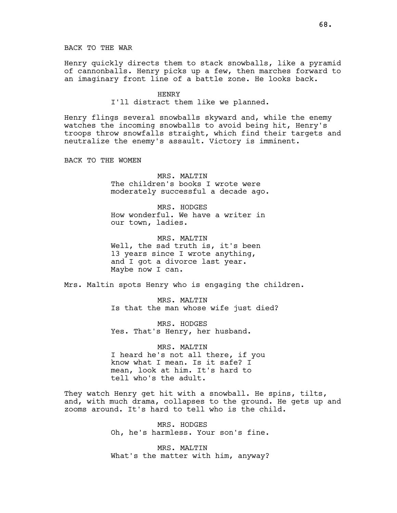Henry quickly directs them to stack snowballs, like a pyramid of cannonballs. Henry picks up a few, then marches forward to an imaginary front line of a battle zone. He looks back.

> HENRY I'll distract them like we planned.

Henry flings several snowballs skyward and, while the enemy watches the incoming snowballs to avoid being hit, Henry's troops throw snowfalls straight, which find their targets and neutralize the enemy's assault. Victory is imminent.

BACK TO THE WOMEN

MRS. MALTIN The children's books I wrote were moderately successful a decade ago.

MRS. HODGES How wonderful. We have a writer in our town, ladies.

MRS. MALTIN Well, the sad truth is, it's been 13 years since I wrote anything, and I got a divorce last year. Maybe now I can.

Mrs. Maltin spots Henry who is engaging the children.

MRS. MALTIN Is that the man whose wife just died?

MRS. HODGES Yes. That's Henry, her husband.

MRS. MALTIN I heard he's not all there, if you know what I mean. Is it safe? I mean, look at him. It's hard to tell who's the adult.

They watch Henry get hit with a snowball. He spins, tilts, and, with much drama, collapses to the ground. He gets up and zooms around. It's hard to tell who is the child.

> MRS. HODGES Oh, he's harmless. Your son's fine.

> MRS. MALTIN What's the matter with him, anyway?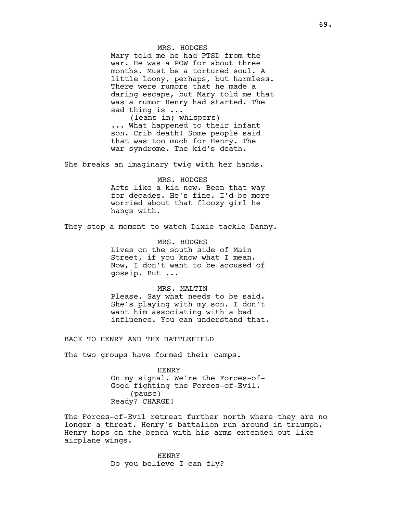MRS. HODGES Mary told me he had PTSD from the war. He was a POW for about three months. Must be a tortured soul. A little loony, perhaps, but harmless. There were rumors that he made a daring escape, but Mary told me that was a rumor Henry had started. The sad thing is ... (leans in; whispers)

... What happened to their infant son. Crib death! Some people said that was too much for Henry. The war syndrome. The kid's death.

She breaks an imaginary twig with her hands.

MRS. HODGES Acts like a kid now. Been that way for decades. He's fine. I'd be more worried about that floozy girl he hangs with.

They stop a moment to watch Dixie tackle Danny.

MRS. HODGES Lives on the south side of Main Street, if you know what I mean. Now, I don't want to be accused of gossip. But ...

MRS. MALTIN Please. Say what needs to be said. She's playing with my son. I don't want him associating with a bad influence. You can understand that.

BACK TO HENRY AND THE BATTLEFIELD

The two groups have formed their camps.

HENRY On my signal. We're the Forces-of-Good fighting the Forces-of-Evil. (pause) Ready? CHARGE!

The Forces-of-Evil retreat further north where they are no longer a threat. Henry's battalion run around in triumph. Henry hops on the bench with his arms extended out like airplane wings.

> HENRY Do you believe I can fly?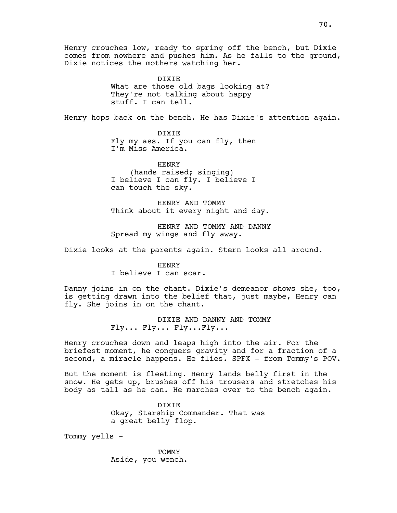Henry crouches low, ready to spring off the bench, but Dixie comes from nowhere and pushes him. As he falls to the ground, Dixie notices the mothers watching her.

> DIXIE What are those old bags looking at? They're not talking about happy stuff. I can tell.

Henry hops back on the bench. He has Dixie's attention again.

DIXIE Fly my ass. If you can fly, then I'm Miss America.

HENRY (hands raised; singing) I believe I can fly. I believe I can touch the sky.

HENRY AND TOMMY Think about it every night and day.

HENRY AND TOMMY AND DANNY Spread my wings and fly away.

Dixie looks at the parents again. Stern looks all around.

HENRY I believe I can soar.

Danny joins in on the chant. Dixie's demeanor shows she, too, is getting drawn into the belief that, just maybe, Henry can fly. She joins in on the chant.

> DIXIE AND DANNY AND TOMMY Fly... Fly... Fly...Fly...

Henry crouches down and leaps high into the air. For the briefest moment, he conquers gravity and for a fraction of a second, a miracle happens. He flies. SPFX - from Tommy's POV.

But the moment is fleeting. Henry lands belly first in the snow. He gets up, brushes off his trousers and stretches his body as tall as he can. He marches over to the bench again.

> DIXIE Okay, Starship Commander. That was a great belly flop.

Tommy yells -

TOMMY Aside, you wench.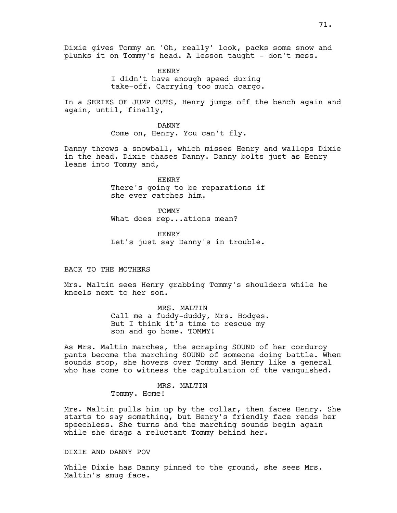HENRY I didn't have enough speed during take-off. Carrying too much cargo.

In a SERIES OF JUMP CUTS, Henry jumps off the bench again and again, until, finally,

> DANNY Come on, Henry. You can't fly.

Danny throws a snowball, which misses Henry and wallops Dixie in the head. Dixie chases Danny. Danny bolts just as Henry leans into Tommy and,

> HENRY There's going to be reparations if she ever catches him.

**TOMMY** What does rep...ations mean?

HENRY Let's just say Danny's in trouble.

BACK TO THE MOTHERS

Mrs. Maltin sees Henry grabbing Tommy's shoulders while he kneels next to her son.

> MRS. MALTIN Call me a fuddy-duddy, Mrs. Hodges. But I think it's time to rescue my son and go home. TOMMY!

As Mrs. Maltin marches, the scraping SOUND of her corduroy pants become the marching SOUND of someone doing battle. When sounds stop, she hovers over Tommy and Henry like a general who has come to witness the capitulation of the vanquished.

MRS. MALTIN

Tommy. Home!

Mrs. Maltin pulls him up by the collar, then faces Henry. She starts to say something, but Henry's friendly face rends her speechless. She turns and the marching sounds begin again while she drags a reluctant Tommy behind her.

## DIXIE AND DANNY POV

While Dixie has Danny pinned to the ground, she sees Mrs. Maltin's smug face.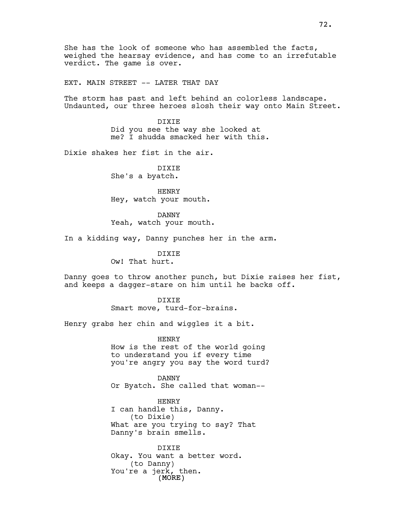She has the look of someone who has assembled the facts, weighed the hearsay evidence, and has come to an irrefutable verdict. The game is over.

EXT. MAIN STREET -- LATER THAT DAY

The storm has past and left behind an colorless landscape. Undaunted, our three heroes slosh their way onto Main Street.

> DIXIE Did you see the way she looked at me? I shudda smacked her with this.

Dixie shakes her fist in the air.

DIXIE She's a byatch.

HENRY Hey, watch your mouth.

DANNY Yeah, watch your mouth.

In a kidding way, Danny punches her in the arm.

DIXIE Ow! That hurt.

Danny goes to throw another punch, but Dixie raises her fist, and keeps a dagger-stare on him until he backs off.

> DIXIE Smart move, turd-for-brains.

Henry grabs her chin and wiggles it a bit.

HENRY How is the rest of the world going to understand you if every time you're angry you say the word turd?

DANNY Or Byatch. She called that woman--

HENRY I can handle this, Danny. (to Dixie) What are you trying to say? That Danny's brain smells.

(MORE) DIXIE Okay. You want a better word. (to Danny) You're a jerk, then.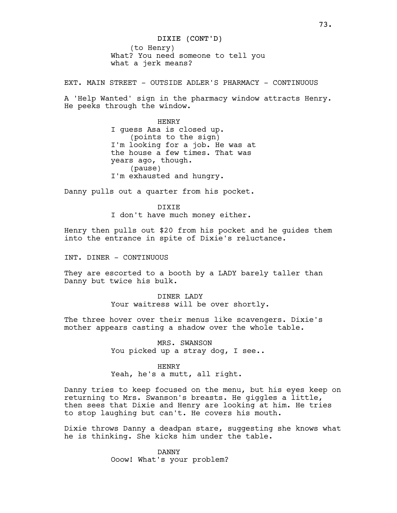(to Henry) What? You need someone to tell you what a jerk means?

EXT. MAIN STREET - OUTSIDE ADLER'S PHARMACY - CONTINUOUS

A 'Help Wanted' sign in the pharmacy window attracts Henry. He peeks through the window.

> HENRY I guess Asa is closed up. (points to the sign) I'm looking for a job. He was at the house a few times. That was years ago, though. (pause) I'm exhausted and hungry.

Danny pulls out a quarter from his pocket.

DIXIE I don't have much money either.

Henry then pulls out \$20 from his pocket and he guides them into the entrance in spite of Dixie's reluctance.

INT. DINER - CONTINUOUS

They are escorted to a booth by a LADY barely taller than Danny but twice his bulk.

> DINER LADY Your waitress will be over shortly.

The three hover over their menus like scavengers. Dixie's mother appears casting a shadow over the whole table.

> MRS. SWANSON You picked up a stray dog, I see..

HENRY Yeah, he's a mutt, all right.

Danny tries to keep focused on the menu, but his eyes keep on returning to Mrs. Swanson's breasts. He giggles a little, then sees that Dixie and Henry are looking at him. He tries to stop laughing but can't. He covers his mouth.

Dixie throws Danny a deadpan stare, suggesting she knows what he is thinking. She kicks him under the table.

> DANNY Ooow! What's your problem?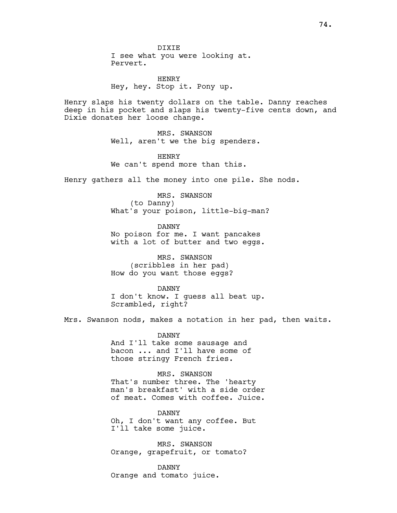HENRY Hey, hey. Stop it. Pony up.

Henry slaps his twenty dollars on the table. Danny reaches deep in his pocket and slaps his twenty-five cents down, and Dixie donates her loose change.

> MRS. SWANSON Well, aren't we the big spenders.

HENRY We can't spend more than this.

Henry gathers all the money into one pile. She nods.

MRS. SWANSON (to Danny) What's your poison, little-big-man?

DANNY No poison for me. I want pancakes with a lot of butter and two eggs.

MRS. SWANSON (scribbles in her pad) How do you want those eggs?

DANNY

I don't know. I guess all beat up. Scrambled, right?

Mrs. Swanson nods, makes a notation in her pad, then waits.

DANNY And I'll take some sausage and bacon ... and I'll have some of those stringy French fries.

MRS. SWANSON That's number three. The 'hearty man's breakfast' with a side order of meat. Comes with coffee. Juice.

DANNY Oh, I don't want any coffee. But I'll take some juice.

MRS. SWANSON Orange, grapefruit, or tomato?

DANNY Orange and tomato juice.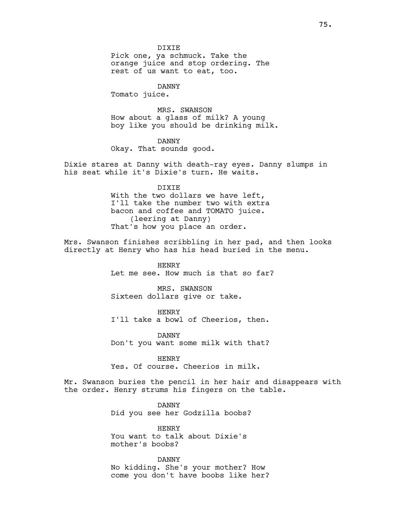DIXIE Pick one, ya schmuck. Take the orange juice and stop ordering. The rest of us want to eat, too.

DANNY Tomato juice.

MRS. SWANSON How about a glass of milk? A young boy like you should be drinking milk.

DANNY Okay. That sounds good.

Dixie stares at Danny with death-ray eyes. Danny slumps in his seat while it's Dixie's turn. He waits.

### DIXIE

With the two dollars we have left, I'll take the number two with extra bacon and coffee and TOMATO juice. (leering at Danny) That's how you place an order.

Mrs. Swanson finishes scribbling in her pad, and then looks directly at Henry who has his head buried in the menu.

> HENRY Let me see. How much is that so far?

MRS. SWANSON Sixteen dollars give or take.

HENRY I'll take a bowl of Cheerios, then.

DANNY Don't you want some milk with that?

HENRY Yes. Of course. Cheerios in milk.

Mr. Swanson buries the pencil in her hair and disappears with the order. Henry strums his fingers on the table.

> DANNY Did you see her Godzilla boobs?

HENRY You want to talk about Dixie's mother's boobs?

DANNY No kidding. She's your mother? How come you don't have boobs like her?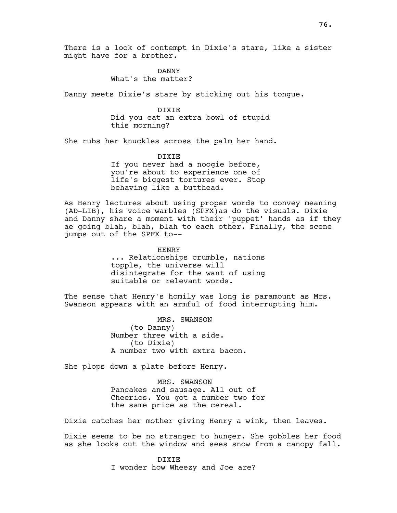There is a look of contempt in Dixie's stare, like a sister might have for a brother.

> DANNY What's the matter?

Danny meets Dixie's stare by sticking out his tongue.

DIXIE Did you eat an extra bowl of stupid this morning?

She rubs her knuckles across the palm her hand.

DIXIE If you never had a noogie before, you're about to experience one of life's biggest tortures ever. Stop behaving like a butthead.

As Henry lectures about using proper words to convey meaning (AD-LIB), his voice warbles (SPFX)as do the visuals. Dixie and Danny share a moment with their 'puppet' hands as if they ae going blah, blah, blah to each other. Finally, the scene jumps out of the SPFX to--

> HENRY ... Relationships crumble, nations topple, the universe will disintegrate for the want of using suitable or relevant words.

The sense that Henry's homily was long is paramount as Mrs. Swanson appears with an armful of food interrupting him.

> MRS. SWANSON (to Danny) Number three with a side. (to Dixie) A number two with extra bacon.

She plops down a plate before Henry.

MRS. SWANSON Pancakes and sausage. All out of Cheerios. You got a number two for the same price as the cereal.

Dixie catches her mother giving Henry a wink, then leaves.

Dixie seems to be no stranger to hunger. She gobbles her food as she looks out the window and sees snow from a canopy fall.

> DIXIE I wonder how Wheezy and Joe are?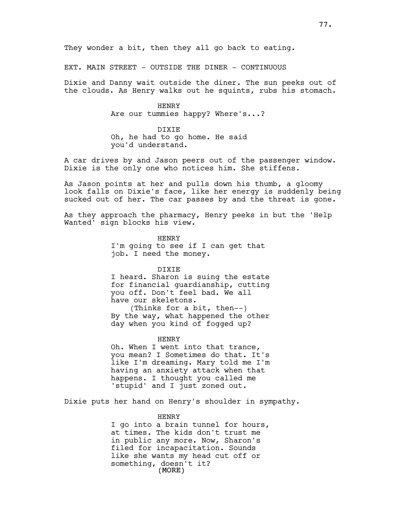EXT. MAIN STREET - OUTSIDE THE DINER - CONTINUOUS

Dixie and Danny wait outside the diner. The sun peeks out of the clouds. As Henry walks out he squints, rubs his stomach.

> HENRY Are our tummies happy? Where's...?

DIXIE Oh, he had to go home. He said you'd understand.

A car drives by and Jason peers out of the passenger window. Dixie is the only one who notices him. She stiffens.

As Jason points at her and pulls down his thumb, a gloomy look falls on Dixie's face, like her energy is suddenly being sucked out of her. The car passes by and the threat is gone.

As they approach the pharmacy, Henry peeks in but the 'Help Wanted' sign blocks his view.

> HENRY I'm going to see if I can get that job. I need the money.

> > DIXIE

I heard. Sharon is suing the estate for financial guardianship, cutting you off. Don't feel bad. We all have our skeletons. (Thinks for a bit, then--) By the way, what happened the other day when you kind of fogged up?

HENRY

Oh. When I went into that trance, you mean? I Sometimes do that. It's like I'm dreaming. Mary told me I'm having an anxiety attack when that happens. I thought you called me 'stupid' and I just zoned out.

Dixie puts her hand on Henry's shoulder in sympathy.

## HENRY

(MORE) I go into a brain tunnel for hours, at times. The kids don't trust me in public any more. Now, Sharon's filed for incapacitation. Sounds like she wants my head cut off or something, doesn't it?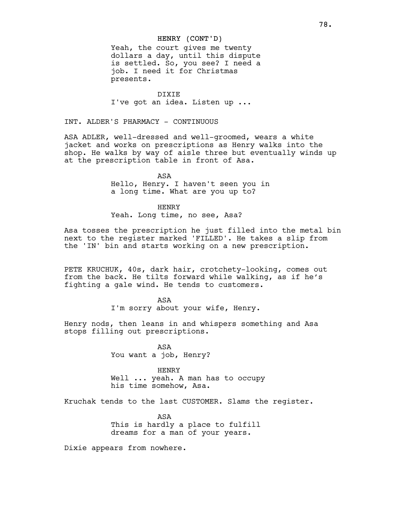## HENRY (CONT'D)

Yeah, the court gives me twenty dollars a day, until this dispute is settled. So, you see? I need a job. I need it for Christmas presents.

DIXIE I've got an idea. Listen up ...

INT. ALDER'S PHARMACY - CONTINUOUS

ASA ADLER, well-dressed and well-groomed, wears a white jacket and works on prescriptions as Henry walks into the shop. He walks by way of aisle three but eventually winds up at the prescription table in front of Asa.

> ASA Hello, Henry. I haven't seen you in a long time. What are you up to?

HENRY Yeah. Long time, no see, Asa?

Asa tosses the prescription he just filled into the metal bin next to the register marked 'FILLED'. He takes a slip from the 'IN' bin and starts working on a new prescription.

PETE KRUCHUK, 40s, dark hair, crotchety-looking, comes out from the back. He tilts forward while walking, as if he's fighting a gale wind. He tends to customers.

> ASA I'm sorry about your wife, Henry.

Henry nods, then leans in and whispers something and Asa stops filling out prescriptions.

> ASA You want a job, Henry?

> > HENRY

Well ... yeah. A man has to occupy his time somehow, Asa.

Kruchak tends to the last CUSTOMER. Slams the register.

ASA This is hardly a place to fulfill dreams for a man of your years.

Dixie appears from nowhere.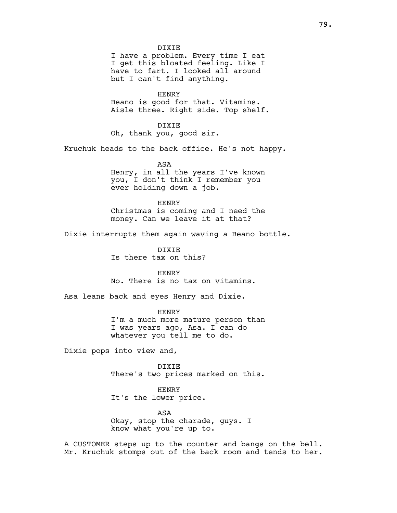DIXIE

I have a problem. Every time I eat I get this bloated feeling. Like I have to fart. I looked all around but I can't find anything.

HENRY Beano is good for that. Vitamins. Aisle three. Right side. Top shelf.

DIXIE Oh, thank you, good sir.

Kruchuk heads to the back office. He's not happy.

ASA Henry, in all the years I've known you, I don't think I remember you ever holding down a job.

HENRY Christmas is coming and I need the money. Can we leave it at that?

Dixie interrupts them again waving a Beano bottle.

DIXIE Is there tax on this?

HENRY No. There is no tax on vitamins.

Asa leans back and eyes Henry and Dixie.

HENRY I'm a much more mature person than I was years ago, Asa. I can do whatever you tell me to do.

Dixie pops into view and,

DIXIE There's two prices marked on this.

HENRY It's the lower price.

ASA Okay, stop the charade, guys. I know what you're up to.

A CUSTOMER steps up to the counter and bangs on the bell. Mr. Kruchuk stomps out of the back room and tends to her.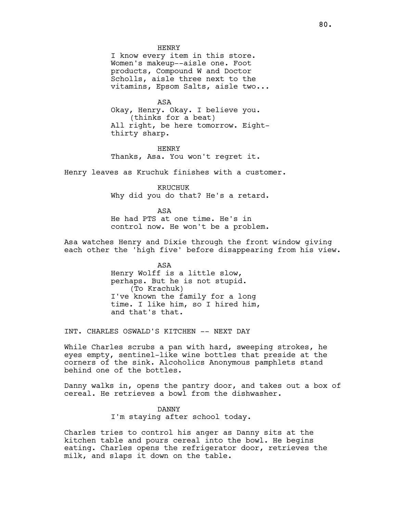### HENRY

I know every item in this store. Women's makeup--aisle one. Foot products, Compound W and Doctor Scholls, aisle three next to the vitamins, Epsom Salts, aisle two...

ASA Okay, Henry. Okay. I believe you. (thinks for a beat) All right, be here tomorrow. Eightthirty sharp.

HENRY Thanks, Asa. You won't regret it.

Henry leaves as Kruchuk finishes with a customer.

KRUCHUK Why did you do that? He's a retard.

ASA He had PTS at one time. He's in control now. He won't be a problem.

Asa watches Henry and Dixie through the front window giving each other the 'high five' before disappearing from his view.

> ASA Henry Wolff is a little slow, perhaps. But he is not stupid. (To Krachuk) I've known the family for a long time. I like him, so I hired him, and that's that.

INT. CHARLES OSWALD'S KITCHEN -- NEXT DAY

While Charles scrubs a pan with hard, sweeping strokes, he eyes empty, sentinel-like wine bottles that preside at the corners of the sink. Alcoholics Anonymous pamphlets stand behind one of the bottles.

Danny walks in, opens the pantry door, and takes out a box of cereal. He retrieves a bowl from the dishwasher.

> DANNY I'm staying after school today.

Charles tries to control his anger as Danny sits at the kitchen table and pours cereal into the bowl. He begins eating. Charles opens the refrigerator door, retrieves the milk, and slaps it down on the table.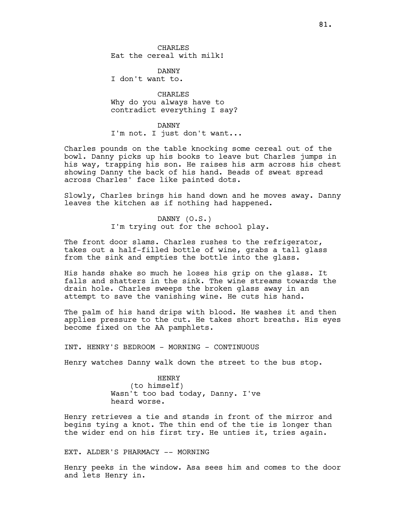CHARLES Eat the cereal with milk!

DANNY I don't want to.

CHARLES Why do you always have to contradict everything I say?

### DANNY

I'm not. I just don't want...

Charles pounds on the table knocking some cereal out of the bowl. Danny picks up his books to leave but Charles jumps in his way, trapping his son. He raises his arm across his chest showing Danny the back of his hand. Beads of sweat spread across Charles' face like painted dots.

Slowly, Charles brings his hand down and he moves away. Danny leaves the kitchen as if nothing had happened.

> DANNY (O.S.) I'm trying out for the school play.

The front door slams. Charles rushes to the refrigerator, takes out a half-filled bottle of wine, grabs a tall glass from the sink and empties the bottle into the glass.

His hands shake so much he loses his grip on the glass. It falls and shatters in the sink. The wine streams towards the drain hole. Charles sweeps the broken glass away in an attempt to save the vanishing wine. He cuts his hand.

The palm of his hand drips with blood. He washes it and then applies pressure to the cut. He takes short breaths. His eyes become fixed on the AA pamphlets.

INT. HENRY'S BEDROOM - MORNING - CONTINUOUS

Henry watches Danny walk down the street to the bus stop.

HENRY (to himself) Wasn't too bad today, Danny. I've heard worse.

Henry retrieves a tie and stands in front of the mirror and begins tying a knot. The thin end of the tie is longer than the wider end on his first try. He unties it, tries again.

EXT. ALDER'S PHARMACY -- MORNING

Henry peeks in the window. Asa sees him and comes to the door and lets Henry in.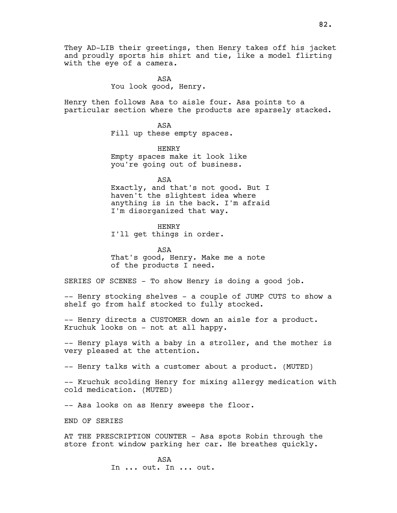ASA You look good, Henry.

Henry then follows Asa to aisle four. Asa points to a particular section where the products are sparsely stacked.

> ASA Fill up these empty spaces.

HENRY Empty spaces make it look like you're going out of business.

ASA Exactly, and that's not good. But I haven't the slightest idea where anything is in the back. I'm afraid I'm disorganized that way.

HENRY I'll get things in order.

ASA That's good, Henry. Make me a note of the products I need.

SERIES OF SCENES - To show Henry is doing a good job.

-- Henry stocking shelves - a couple of JUMP CUTS to show a shelf go from half stocked to fully stocked.

-- Henry directs a CUSTOMER down an aisle for a product. Kruchuk looks on - not at all happy.

-- Henry plays with a baby in a stroller, and the mother is very pleased at the attention.

-- Henry talks with a customer about a product. (MUTED)

-- Kruchuk scolding Henry for mixing allergy medication with cold medication. (MUTED)

-- Asa looks on as Henry sweeps the floor.

END OF SERIES

AT THE PRESCRIPTION COUNTER - Asa spots Robin through the store front window parking her car. He breathes quickly.

> ASA In ... out. In ... out.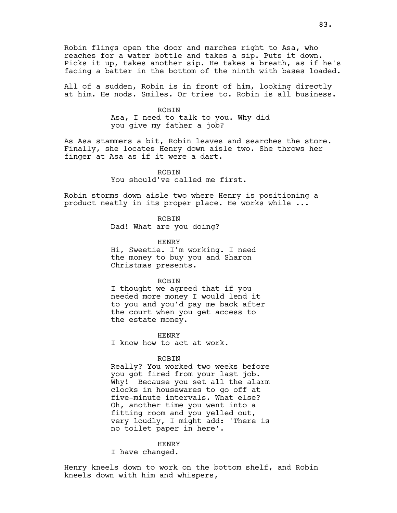Robin flings open the door and marches right to Asa, who reaches for a water bottle and takes a sip. Puts it down. Picks it up, takes another sip. He takes a breath, as if he's facing a batter in the bottom of the ninth with bases loaded.

All of a sudden, Robin is in front of him, looking directly at him. He nods. Smiles. Or tries to. Robin is all business.

> ROBIN Asa, I need to talk to you. Why did you give my father a job?

As Asa stammers a bit, Robin leaves and searches the store. Finally, she locates Henry down aisle two. She throws her finger at Asa as if it were a dart.

> ROBIN You should've called me first.

Robin storms down aisle two where Henry is positioning a product neatly in its proper place. He works while ...

ROBIN

Dad! What are you doing?

HENRY Hi, Sweetie. I'm working. I need the money to buy you and Sharon Christmas presents.

ROBIN

I thought we agreed that if you needed more money I would lend it to you and you'd pay me back after the court when you get access to the estate money.

HENRY I know how to act at work.

ROBIN

Really? You worked two weeks before you got fired from your last job. Why! Because you set all the alarm clocks in housewares to go off at five-minute intervals. What else? Oh, another time you went into a fitting room and you yelled out, very loudly, I might add: 'There is no toilet paper in here'.

HENRY

I have changed.

Henry kneels down to work on the bottom shelf, and Robin kneels down with him and whispers,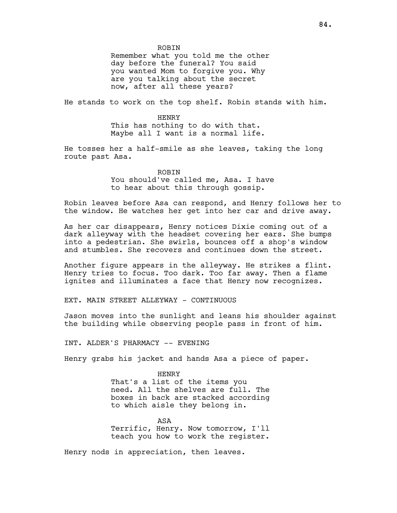ROBIN

Remember what you told me the other day before the funeral? You said you wanted Mom to forgive you. Why are you talking about the secret now, after all these years?

He stands to work on the top shelf. Robin stands with him.

HENRY This has nothing to do with that. Maybe all I want is a normal life.

He tosses her a half-smile as she leaves, taking the long route past Asa.

ROBIN

You should've called me, Asa. I have to hear about this through gossip.

Robin leaves before Asa can respond, and Henry follows her to the window. He watches her get into her car and drive away.

As her car disappears, Henry notices Dixie coming out of a dark alleyway with the headset covering her ears. She bumps into a pedestrian. She swirls, bounces off a shop's window and stumbles. She recovers and continues down the street.

Another figure appears in the alleyway. He strikes a flint. Henry tries to focus. Too dark. Too far away. Then a flame ignites and illuminates a face that Henry now recognizes.

EXT. MAIN STREET ALLEYWAY - CONTINUOUS

Jason moves into the sunlight and leans his shoulder against the building while observing people pass in front of him.

INT. ALDER'S PHARMACY -- EVENING

Henry grabs his jacket and hands Asa a piece of paper.

HENRY That's a list of the items you need. All the shelves are full. The boxes in back are stacked according to which aisle they belong in.

ASA Terrific, Henry. Now tomorrow, I'll teach you how to work the register.

Henry nods in appreciation, then leaves.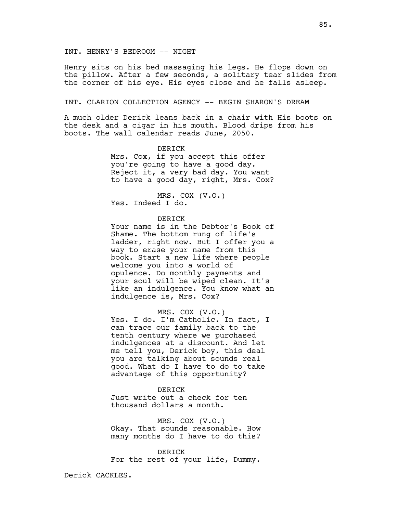Henry sits on his bed massaging his legs. He flops down on the pillow. After a few seconds, a solitary tear slides from the corner of his eye. His eyes close and he falls asleep.

# INT. CLARION COLLECTION AGENCY -- BEGIN SHARON'S DREAM

A much older Derick leans back in a chair with His boots on the desk and a cigar in his mouth. Blood drips from his boots. The wall calendar reads June, 2050.

# DERICK

Mrs. Cox, if you accept this offer you're going to have a good day. Reject it, a very bad day. You want to have a good day, right, Mrs. Cox?

MRS. COX (V.O.) Yes. Indeed I do.

### DERICK

Your name is in the Debtor's Book of Shame. The bottom rung of life's ladder, right now. But I offer you a way to erase your name from this book. Start a new life where people welcome you into a world of opulence. Do monthly payments and your soul will be wiped clean. It's like an indulgence. You know what an indulgence is, Mrs. Cox?

# MRS. COX (V.O.)

Yes. I do. I'm Catholic. In fact, I can trace our family back to the tenth century where we purchased indulgences at a discount. And let me tell you, Derick boy, this deal you are talking about sounds real good. What do I have to do to take advantage of this opportunity?

## **DERICK**

Just write out a check for ten thousand dollars a month.

MRS. COX (V.O.) Okay. That sounds reasonable. How many months do I have to do this?

**DERICK** For the rest of your life, Dummy.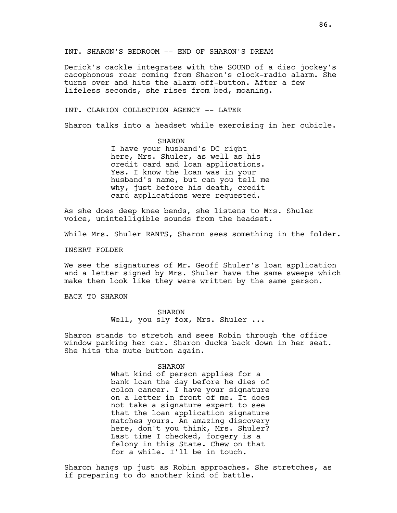Derick's cackle integrates with the SOUND of a disc jockey's cacophonous roar coming from Sharon's clock-radio alarm. She turns over and hits the alarm off-button. After a few lifeless seconds, she rises from bed, moaning.

## INT. CLARION COLLECTION AGENCY -- LATER

Sharon talks into a headset while exercising in her cubicle.

SHARON I have your husband's DC right here, Mrs. Shuler, as well as his credit card and loan applications. Yes. I know the loan was in your husband's name, but can you tell me why, just before his death, credit card applications were requested.

As she does deep knee bends, she listens to Mrs. Shuler voice, unintelligible sounds from the headset.

While Mrs. Shuler RANTS, Sharon sees something in the folder.

INSERT FOLDER

We see the signatures of Mr. Geoff Shuler's loan application and a letter signed by Mrs. Shuler have the same sweeps which make them look like they were written by the same person.

BACK TO SHARON

SHARON Well, you sly fox, Mrs. Shuler ...

Sharon stands to stretch and sees Robin through the office window parking her car. Sharon ducks back down in her seat. She hits the mute button again.

### SHARON

What kind of person applies for a bank loan the day before he dies of colon cancer. I have your signature on a letter in front of me. It does not take a signature expert to see that the loan application signature matches yours. An amazing discovery here, don't you think, Mrs. Shuler? Last time I checked, forgery is a felony in this State. Chew on that for a while. I'll be in touch.

Sharon hangs up just as Robin approaches. She stretches, as if preparing to do another kind of battle.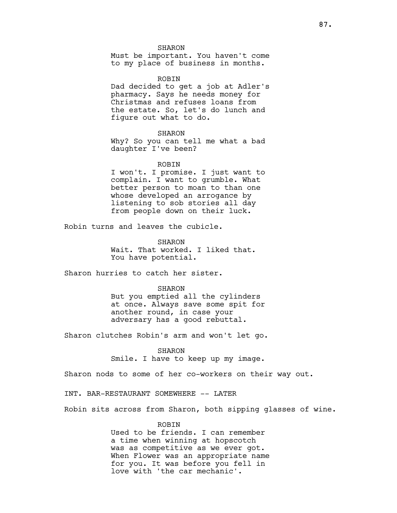#### SHARON

Must be important. You haven't come to my place of business in months.

ROBIN Dad decided to get a job at Adler's pharmacy. Says he needs money for Christmas and refuses loans from the estate. So, let's do lunch and figure out what to do.

### SHARON

Why? So you can tell me what a bad daughter I've been?

## ROBIN

I won't. I promise. I just want to complain. I want to grumble. What better person to moan to than one whose developed an arrogance by listening to sob stories all day from people down on their luck.

Robin turns and leaves the cubicle.

SHARON Wait. That worked. I liked that. You have potential.

Sharon hurries to catch her sister.

#### SHARON

But you emptied all the cylinders at once. Always save some spit for another round, in case your adversary has a good rebuttal.

Sharon clutches Robin's arm and won't let go.

SHARON

Smile. I have to keep up my image.

Sharon nods to some of her co-workers on their way out.

INT. BAR-RESTAURANT SOMEWHERE -- LATER

Robin sits across from Sharon, both sipping glasses of wine.

# **ROBIN**

Used to be friends. I can remember a time when winning at hopscotch was as competitive as we ever got. When Flower was an appropriate name for you. It was before you fell in love with 'the car mechanic'.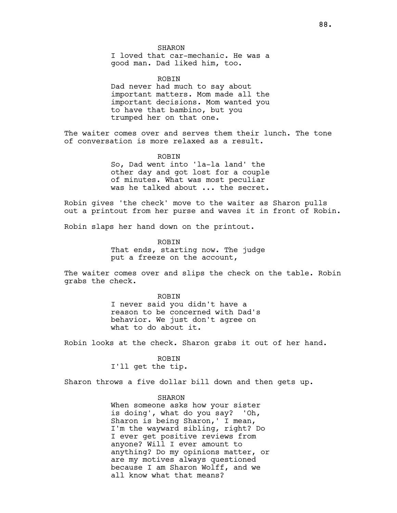SHARON

I loved that car-mechanic. He was a good man. Dad liked him, too.

ROBIN Dad never had much to say about important matters. Mom made all the important decisions. Mom wanted you to have that bambino, but you trumped her on that one.

The waiter comes over and serves them their lunch. The tone of conversation is more relaxed as a result.

> ROBIN So, Dad went into 'la-la land' the other day and got lost for a couple of minutes. What was most peculiar was he talked about ... the secret.

Robin gives 'the check' move to the waiter as Sharon pulls out a printout from her purse and waves it in front of Robin.

Robin slaps her hand down on the printout.

ROBIN That ends, starting now. The judge put a freeze on the account,

The waiter comes over and slips the check on the table. Robin grabs the check.

> ROBIN I never said you didn't have a reason to be concerned with Dad's behavior. We just don't agree on what to do about it.

Robin looks at the check. Sharon grabs it out of her hand.

ROBIN I'll get the tip.

Sharon throws a five dollar bill down and then gets up.

SHARON

When someone asks how your sister is doing', what do you say? 'Oh, Sharon is being Sharon,' I mean, I'm the wayward sibling, right? Do I ever get positive reviews from anyone? Will I ever amount to anything? Do my opinions matter, or are my motives always questioned because I am Sharon Wolff, and we all know what that means?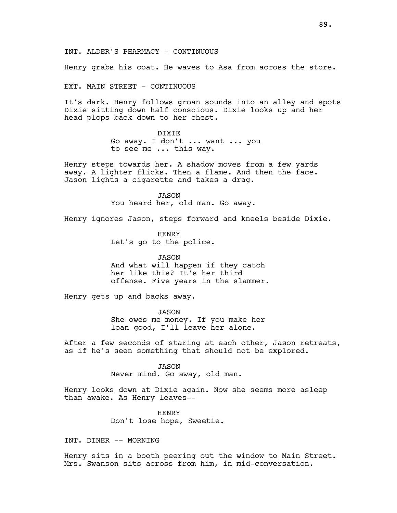INT. ALDER'S PHARMACY - CONTINUOUS

Henry grabs his coat. He waves to Asa from across the store.

EXT. MAIN STREET - CONTINUOUS

It's dark. Henry follows groan sounds into an alley and spots Dixie sitting down half conscious. Dixie looks up and her head plops back down to her chest.

> DIXIE Go away. I don't ... want ... you

to see me ... this way.

Henry steps towards her. A shadow moves from a few yards away. A lighter flicks. Then a flame. And then the face. Jason lights a cigarette and takes a drag.

> JASON You heard her, old man. Go away.

Henry ignores Jason, steps forward and kneels beside Dixie.

HENRY Let's go to the police.

JASON And what will happen if they catch her like this? It's her third offense. Five years in the slammer.

Henry gets up and backs away.

JASON She owes me money. If you make her loan good, I'll leave her alone.

After a few seconds of staring at each other, Jason retreats, as if he's seen something that should not be explored.

> JASON Never mind. Go away, old man.

Henry looks down at Dixie again. Now she seems more asleep than awake. As Henry leaves--

> HENRY Don't lose hope, Sweetie.

INT. DINER -- MORNING

Henry sits in a booth peering out the window to Main Street. Mrs. Swanson sits across from him, in mid-conversation.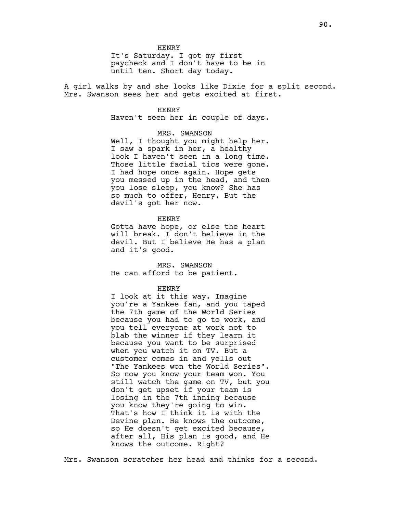It's Saturday. I got my first paycheck and I don't have to be in until ten. Short day today.

A girl walks by and she looks like Dixie for a split second. Mrs. Swanson sees her and gets excited at first.

## HENRY

Haven't seen her in couple of days.

### MRS. SWANSON

Well, I thought you might help her. I saw a spark in her, a healthy look I haven't seen in a long time. Those little facial tics were gone. I had hope once again. Hope gets you messed up in the head, and then you lose sleep, you know? She has so much to offer, Henry. But the devil's got her now.

### HENRY

Gotta have hope, or else the heart will break. I don't believe in the devil. But I believe He has a plan and it's good.

MRS. SWANSON He can afford to be patient.

### HENRY

I look at it this way. Imagine you're a Yankee fan, and you taped the 7th game of the World Series because you had to go to work, and you tell everyone at work not to blab the winner if they learn it because you want to be surprised when you watch it on TV. But a customer comes in and yells out "The Yankees won the World Series". So now you know your team won. You still watch the game on TV, but you don't get upset if your team is losing in the 7th inning because you know they're going to win. That's how I think it is with the Devine plan. He knows the outcome, so He doesn't get excited because, after all, His plan is good, and He knows the outcome. Right?

Mrs. Swanson scratches her head and thinks for a second.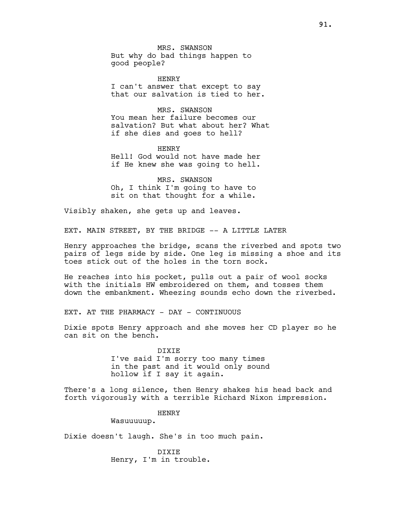MRS. SWANSON But why do bad things happen to good people?

HENRY I can't answer that except to say that our salvation is tied to her.

MRS. SWANSON You mean her failure becomes our salvation? But what about her? What if she dies and goes to hell?

HENRY Hell! God would not have made her if He knew she was going to hell.

MRS. SWANSON Oh, I think I'm going to have to sit on that thought for a while.

Visibly shaken, she gets up and leaves.

EXT. MAIN STREET, BY THE BRIDGE -- A LITTLE LATER

Henry approaches the bridge, scans the riverbed and spots two pairs of legs side by side. One leg is missing a shoe and its toes stick out of the holes in the torn sock.

He reaches into his pocket, pulls out a pair of wool socks with the initials HW embroidered on them, and tosses them down the embankment. Wheezing sounds echo down the riverbed.

EXT. AT THE PHARMACY - DAY - CONTINUOUS

Dixie spots Henry approach and she moves her CD player so he can sit on the bench.

> DIXIE I've said I'm sorry too many times in the past and it would only sound hollow if I say it again.

There's a long silence, then Henry shakes his head back and forth vigorously with a terrible Richard Nixon impression.

# HENRY

Wasuuuuup.

Dixie doesn't laugh. She's in too much pain.

DIXIE Henry, I'm in trouble.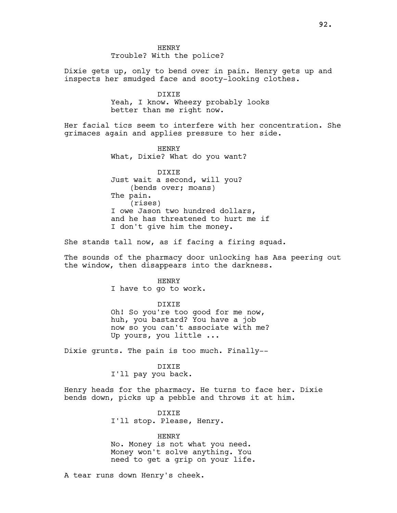HENRY Trouble? With the police?

Dixie gets up, only to bend over in pain. Henry gets up and inspects her smudged face and sooty-looking clothes.

> DIXIE Yeah, I know. Wheezy probably looks better than me right now.

Her facial tics seem to interfere with her concentration. She grimaces again and applies pressure to her side.

> HENRY What, Dixie? What do you want?

DIXIE Just wait a second, will you? (bends over; moans) The pain. (rises) I owe Jason two hundred dollars, and he has threatened to hurt me if I don't give him the money.

She stands tall now, as if facing a firing squad.

The sounds of the pharmacy door unlocking has Asa peering out the window, then disappears into the darkness.

> HENRY I have to go to work.

### DIXIE

Oh! So you're too good for me now, huh, you bastard? You have a job now so you can't associate with me? Up yours, you little ...

Dixie grunts. The pain is too much. Finally--

DIXIE I'll pay you back.

Henry heads for the pharmacy. He turns to face her. Dixie bends down, picks up a pebble and throws it at him.

> DIXIE I'll stop. Please, Henry.

# HENRY

No. Money is not what you need. Money won't solve anything. You need to get a grip on your life.

A tear runs down Henry's cheek.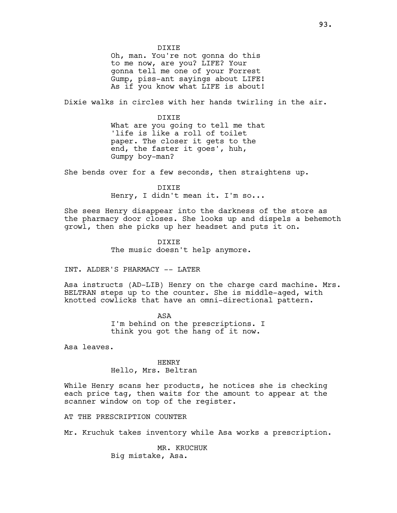DIXIE Oh, man. You're not gonna do this to me now, are you? LIFE? Your gonna tell me one of your Forrest Gump, piss-ant sayings about LIFE! As if you know what LIFE is about!

Dixie walks in circles with her hands twirling in the air.

DIXIE What are you going to tell me that 'life is like a roll of toilet paper. The closer it gets to the end, the faster it goes', huh, Gumpy boy-man?

She bends over for a few seconds, then straightens up.

DIXIE Henry, I didn't mean it. I'm so...

She sees Henry disappear into the darkness of the store as the pharmacy door closes. She looks up and dispels a behemoth growl, then she picks up her headset and puts it on.

> DIXIE The music doesn't help anymore.

INT. ALDER'S PHARMACY -- LATER

Asa instructs (AD-LIB) Henry on the charge card machine. Mrs. BELTRAN steps up to the counter. She is middle-aged, with knotted cowlicks that have an omni-directional pattern.

> ASA I'm behind on the prescriptions. I think you got the hang of it now.

Asa leaves.

HENRY Hello, Mrs. Beltran

While Henry scans her products, he notices she is checking each price tag, then waits for the amount to appear at the scanner window on top of the register.

AT THE PRESCRIPTION COUNTER

Mr. Kruchuk takes inventory while Asa works a prescription.

MR. KRUCHUK Big mistake, Asa.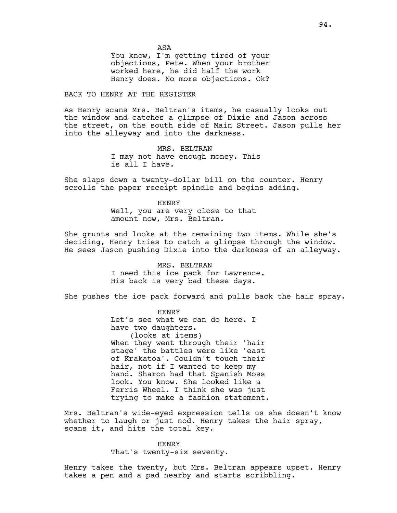ASA

You know, I'm getting tired of your objections, Pete. When your brother worked here, he did half the work Henry does. No more objections. Ok?

# BACK TO HENRY AT THE REGISTER

As Henry scans Mrs. Beltran's items, he casually looks out the window and catches a glimpse of Dixie and Jason across the street, on the south side of Main Street. Jason pulls her into the alleyway and into the darkness.

> MRS. BELTRAN I may not have enough money. This is all I have.

She slaps down a twenty-dollar bill on the counter. Henry scrolls the paper receipt spindle and begins adding.

> HENRY Well, you are very close to that amount now, Mrs. Beltran.

She grunts and looks at the remaining two items. While she's deciding, Henry tries to catch a glimpse through the window. He sees Jason pushing Dixie into the darkness of an alleyway.

> MRS. BELTRAN I need this ice pack for Lawrence. His back is very bad these days.

She pushes the ice pack forward and pulls back the hair spray.

HENRY Let's see what we can do here. I have two daughters. (looks at items) When they went through their 'hair stage' the battles were like 'east of Krakatoa'. Couldn't touch their hair, not if I wanted to keep my hand. Sharon had that Spanish Moss look. You know. She looked like a Ferris Wheel. I think she was just trying to make a fashion statement.

Mrs. Beltran's wide-eyed expression tells us she doesn't know whether to laugh or just nod. Henry takes the hair spray, scans it, and hits the total key.

# HENRY That's twenty-six seventy.

Henry takes the twenty, but Mrs. Beltran appears upset. Henry takes a pen and a pad nearby and starts scribbling.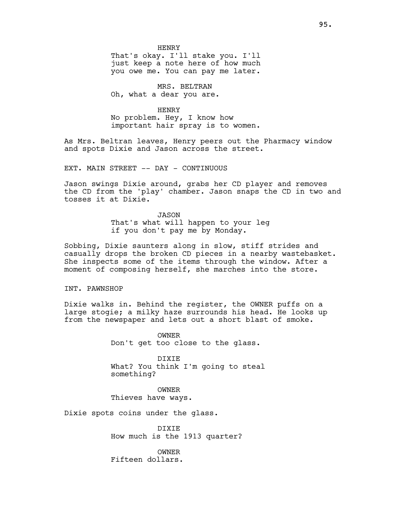HENRY That's okay. I'll stake you. I'll just keep a note here of how much you owe me. You can pay me later.

MRS. BELTRAN Oh, what a dear you are.

# HENRY

No problem. Hey, I know how important hair spray is to women.

As Mrs. Beltran leaves, Henry peers out the Pharmacy window and spots Dixie and Jason across the street.

EXT. MAIN STREET -- DAY - CONTINUOUS

Jason swings Dixie around, grabs her CD player and removes the CD from the 'play' chamber. Jason snaps the CD in two and tosses it at Dixie.

> JASON That's what will happen to your leg if you don't pay me by Monday.

Sobbing, Dixie saunters along in slow, stiff strides and casually drops the broken CD pieces in a nearby wastebasket. She inspects some of the items through the window. After a moment of composing herself, she marches into the store.

# INT. PAWNSHOP

Dixie walks in. Behind the register, the OWNER puffs on a large stogie; a milky haze surrounds his head. He looks up from the newspaper and lets out a short blast of smoke.

> OWNER Don't get too close to the glass.

DIXIE What? You think I'm going to steal something?

OWNER Thieves have ways.

Dixie spots coins under the glass.

DIXIE How much is the 1913 quarter?

OWNER Fifteen dollars.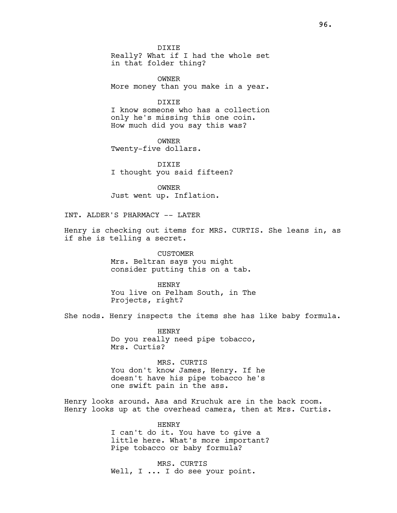DIXIE Really? What if I had the whole set in that folder thing?

OWNER More money than you make in a year.

DIXIE

I know someone who has a collection only he's missing this one coin. How much did you say this was?

OWNER Twenty-five dollars.

DIXIE I thought you said fifteen?

OWNER Just went up. Inflation.

INT. ALDER'S PHARMACY -- LATER

Henry is checking out items for MRS. CURTIS. She leans in, as if she is telling a secret.

> CUSTOMER Mrs. Beltran says you might consider putting this on a tab.

HENRY You live on Pelham South, in The Projects, right?

She nods. Henry inspects the items she has like baby formula.

HENRY Do you really need pipe tobacco, Mrs. Curtis?

MRS. CURTIS You don't know James, Henry. If he doesn't have his pipe tobacco he's one swift pain in the ass.

Henry looks around. Asa and Kruchuk are in the back room. Henry looks up at the overhead camera, then at Mrs. Curtis.

> HENRY I can't do it. You have to give a little here. What's more important? Pipe tobacco or baby formula?

MRS. CURTIS Well, I ... I do see your point.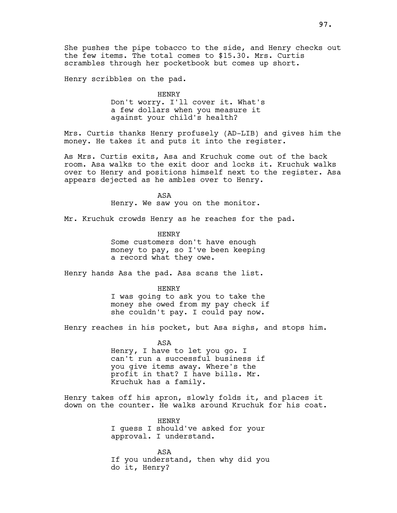She pushes the pipe tobacco to the side, and Henry checks out the few items. The total comes to \$15.30. Mrs. Curtis scrambles through her pocketbook but comes up short.

Henry scribbles on the pad.

HENRY

Don't worry. I'll cover it. What's a few dollars when you measure it against your child's health?

Mrs. Curtis thanks Henry profusely (AD-LIB) and gives him the money. He takes it and puts it into the register.

As Mrs. Curtis exits, Asa and Kruchuk come out of the back room. Asa walks to the exit door and locks it. Kruchuk walks over to Henry and positions himself next to the register. Asa appears dejected as he ambles over to Henry.

> ASA Henry. We saw you on the monitor.

Mr. Kruchuk crowds Henry as he reaches for the pad.

HENRY Some customers don't have enough money to pay, so I've been keeping a record what they owe.

Henry hands Asa the pad. Asa scans the list.

HENRY

I was going to ask you to take the money she owed from my pay check if she couldn't pay. I could pay now.

Henry reaches in his pocket, but Asa sighs, and stops him.

ASA Henry, I have to let you go. I can't run a successful business if you give items away. Where's the profit in that? I have bills. Mr. Kruchuk has a family.

Henry takes off his apron, slowly folds it, and places it down on the counter. He walks around Kruchuk for his coat.

> HENRY I guess I should've asked for your approval. I understand.

ASA If you understand, then why did you do it, Henry?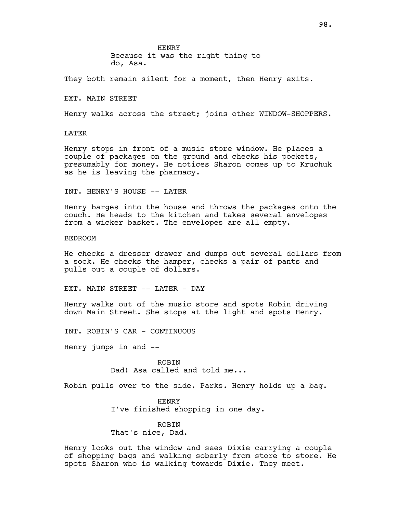HENRY

Because it was the right thing to do, Asa.

They both remain silent for a moment, then Henry exits.

EXT. MAIN STREET

Henry walks across the street; joins other WINDOW-SHOPPERS.

LATER

Henry stops in front of a music store window. He places a couple of packages on the ground and checks his pockets, presumably for money. He notices Sharon comes up to Kruchuk as he is leaving the pharmacy.

INT. HENRY'S HOUSE -- LATER

Henry barges into the house and throws the packages onto the couch. He heads to the kitchen and takes several envelopes from a wicker basket. The envelopes are all empty.

BEDROOM

He checks a dresser drawer and dumps out several dollars from a sock. He checks the hamper, checks a pair of pants and pulls out a couple of dollars.

EXT. MAIN STREET -- LATER - DAY

Henry walks out of the music store and spots Robin driving down Main Street. She stops at the light and spots Henry.

INT. ROBIN'S CAR - CONTINUOUS

Henry jumps in and  $-$ 

ROBIN Dad! Asa called and told me...

Robin pulls over to the side. Parks. Henry holds up a bag.

HENRY I've finished shopping in one day.

ROBIN That's nice, Dad.

Henry looks out the window and sees Dixie carrying a couple of shopping bags and walking soberly from store to store. He spots Sharon who is walking towards Dixie. They meet.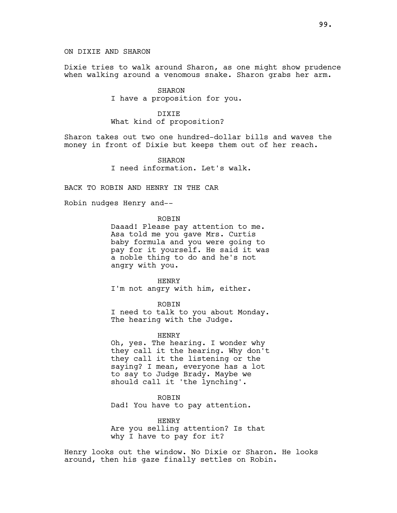ON DIXIE AND SHARON

Dixie tries to walk around Sharon, as one might show prudence when walking around a venomous snake. Sharon grabs her arm.

> SHARON I have a proposition for you.

## DIXIE What kind of proposition?

Sharon takes out two one hundred-dollar bills and waves the money in front of Dixie but keeps them out of her reach.

> SHARON I need information. Let's walk.

BACK TO ROBIN AND HENRY IN THE CAR

Robin nudges Henry and--

ROBIN

Daaad! Please pay attention to me. Asa told me you gave Mrs. Curtis baby formula and you were going to pay for it yourself. He said it was a noble thing to do and he's not angry with you.

HENRY I'm not angry with him, either.

ROBIN

I need to talk to you about Monday. The hearing with the Judge.

HENRY

Oh, yes. The hearing. I wonder why they call it the hearing. Why don't they call it the listening or the saying? I mean, everyone has a lot to say to Judge Brady. Maybe we should call it 'the lynching'.

ROBIN Dad! You have to pay attention.

HENRY Are you selling attention? Is that why I have to pay for it?

Henry looks out the window. No Dixie or Sharon. He looks around, then his gaze finally settles on Robin.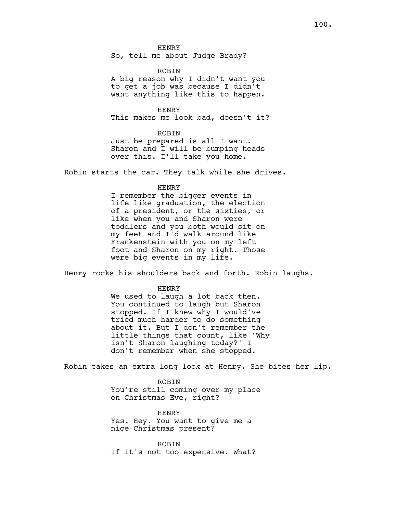HENRY So, tell me about Judge Brady?

ROBIN

A big reason why I didn't want you to get a job was because I didn't want anything like this to happen.

HENRY This makes me look bad, doesn't it?

ROBIN Just be prepared is all I want. Sharon and I will be bumping heads over this. I'll take you home.

Robin starts the car. They talk while she drives.

HENRY

I remember the bigger events in life like graduation, the election of a president, or the sixties, or like when you and Sharon were toddlers and you both would sit on my feet and I'd walk around like Frankenstein with you on my left foot and Sharon on my right. Those were big events in my life.

Henry rocks his shoulders back and forth. Robin laughs.

HENRY

We used to laugh a lot back then. You continued to laugh but Sharon stopped. If I knew why I would've tried much harder to do something about it. But I don't remember the little things that count, like 'Why isn't Sharon laughing today?' I don't remember when she stopped.

Robin takes an extra long look at Henry. She bites her lip.

ROBIN You're still coming over my place on Christmas Eve, right?

HENRY Yes. Hey. You want to give me a nice Christmas present?

ROBIN If it's not too expensive. What?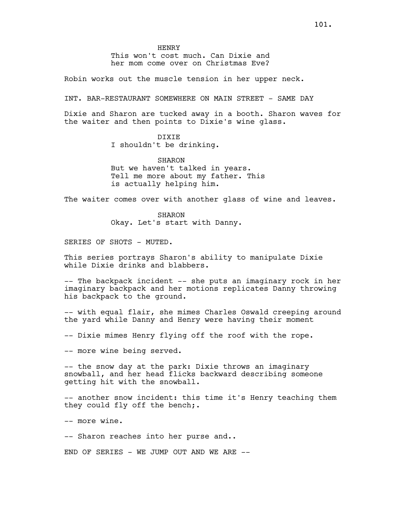HENRY

This won't cost much. Can Dixie and her mom come over on Christmas Eve?

Robin works out the muscle tension in her upper neck.

INT. BAR-RESTAURANT SOMEWHERE ON MAIN STREET - SAME DAY

Dixie and Sharon are tucked away in a booth. Sharon waves for the waiter and then points to Dixie's wine glass.

## DIXIE

I shouldn't be drinking.

SHARON But we haven't talked in years. Tell me more about my father. This is actually helping him.

The waiter comes over with another glass of wine and leaves.

SHARON Okay. Let's start with Danny.

SERIES OF SHOTS - MUTED.

This series portrays Sharon's ability to manipulate Dixie while Dixie drinks and blabbers.

-- The backpack incident -- she puts an imaginary rock in her imaginary backpack and her motions replicates Danny throwing his backpack to the ground.

-- with equal flair, she mimes Charles Oswald creeping around the yard while Danny and Henry were having their moment

-- Dixie mimes Henry flying off the roof with the rope.

-- more wine being served.

-- the snow day at the park: Dixie throws an imaginary snowball, and her head flicks backward describing someone getting hit with the snowball.

-- another snow incident: this time it's Henry teaching them they could fly off the bench;.

-- more wine.

-- Sharon reaches into her purse and..

END OF SERIES - WE JUMP OUT AND WE ARE  $--$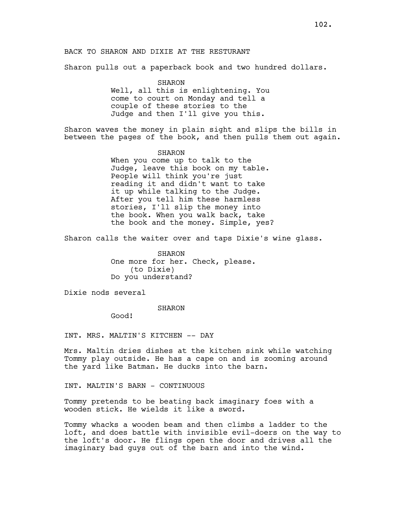Sharon pulls out a paperback book and two hundred dollars.

SHARON Well, all this is enlightening. You come to court on Monday and tell a couple of these stories to the Judge and then I'll give you this.

Sharon waves the money in plain sight and slips the bills in between the pages of the book, and then pulls them out again.

> SHARON When you come up to talk to the Judge, leave this book on my table. People will think you're just reading it and didn't want to take it up while talking to the Judge. After you tell him these harmless stories, I'll slip the money into the book. When you walk back, take the book and the money. Simple, yes?

Sharon calls the waiter over and taps Dixie's wine glass.

SHARON One more for her. Check, please. (to Dixie) Do you understand?

Dixie nods several

### SHARON

Good!

INT. MRS. MALTIN'S KITCHEN -- DAY

Mrs. Maltin dries dishes at the kitchen sink while watching Tommy play outside. He has a cape on and is zooming around the yard like Batman. He ducks into the barn.

INT. MALTIN'S BARN - CONTINUOUS

Tommy pretends to be beating back imaginary foes with a wooden stick. He wields it like a sword.

Tommy whacks a wooden beam and then climbs a ladder to the loft, and does battle with invisible evil-doers on the way to the loft's door. He flings open the door and drives all the imaginary bad guys out of the barn and into the wind.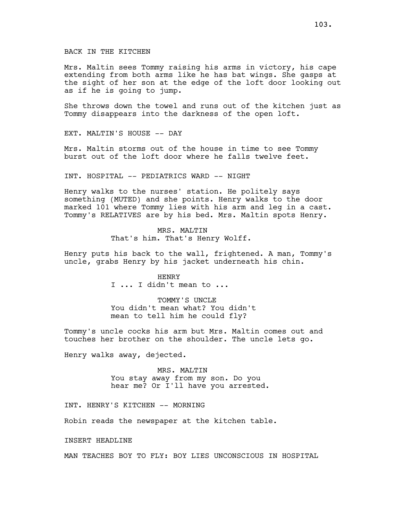Mrs. Maltin sees Tommy raising his arms in victory, his cape extending from both arms like he has bat wings. She gasps at the sight of her son at the edge of the loft door looking out as if he is going to jump.

She throws down the towel and runs out of the kitchen just as Tommy disappears into the darkness of the open loft.

EXT. MALTIN'S HOUSE -- DAY

Mrs. Maltin storms out of the house in time to see Tommy burst out of the loft door where he falls twelve feet.

INT. HOSPITAL -- PEDIATRICS WARD -- NIGHT

Henry walks to the nurses' station. He politely says something (MUTED) and she points. Henry walks to the door marked 101 where Tommy lies with his arm and leg in a cast. Tommy's RELATIVES are by his bed. Mrs. Maltin spots Henry.

> MRS. MALTIN That's him. That's Henry Wolff.

Henry puts his back to the wall, frightened. A man, Tommy's uncle, grabs Henry by his jacket underneath his chin.

> HENRY I ... I didn't mean to ...

TOMMY'S UNCLE You didn't mean what? You didn't mean to tell him he could fly?

Tommy's uncle cocks his arm but Mrs. Maltin comes out and touches her brother on the shoulder. The uncle lets go.

Henry walks away, dejected.

MRS. MALTIN You stay away from my son. Do you hear me? Or I'll have you arrested.

INT. HENRY'S KITCHEN -- MORNING

Robin reads the newspaper at the kitchen table.

INSERT HEADLINE

MAN TEACHES BOY TO FLY: BOY LIES UNCONSCIOUS IN HOSPITAL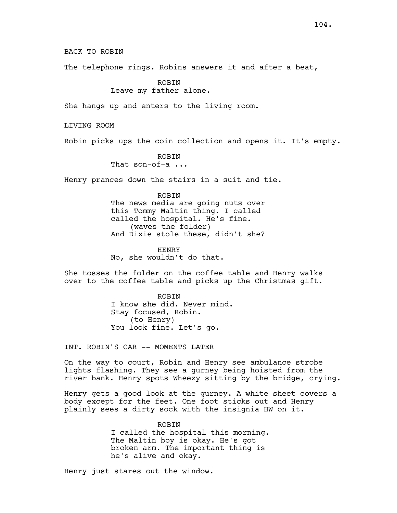BACK TO ROBIN

The telephone rings. Robins answers it and after a beat,

ROBIN

Leave my father alone.

She hangs up and enters to the living room.

LIVING ROOM

Robin picks ups the coin collection and opens it. It's empty.

ROBIN

That son-of-a ...

Henry prances down the stairs in a suit and tie.

**ROBIN** The news media are going nuts over this Tommy Maltin thing. I called called the hospital. He's fine. (waves the folder) And Dixie stole these, didn't she?

HENRY No, she wouldn't do that.

She tosses the folder on the coffee table and Henry walks over to the coffee table and picks up the Christmas gift.

> ROBIN I know she did. Never mind. Stay focused, Robin. (to Henry) You look fine. Let's go.

INT. ROBIN'S CAR -- MOMENTS LATER

On the way to court, Robin and Henry see ambulance strobe lights flashing. They see a gurney being hoisted from the river bank. Henry spots Wheezy sitting by the bridge, crying.

Henry gets a good look at the gurney. A white sheet covers a body except for the feet. One foot sticks out and Henry plainly sees a dirty sock with the insignia HW on it.

> ROBIN I called the hospital this morning. The Maltin boy is okay. He's got broken arm. The important thing is he's alive and okay.

Henry just stares out the window.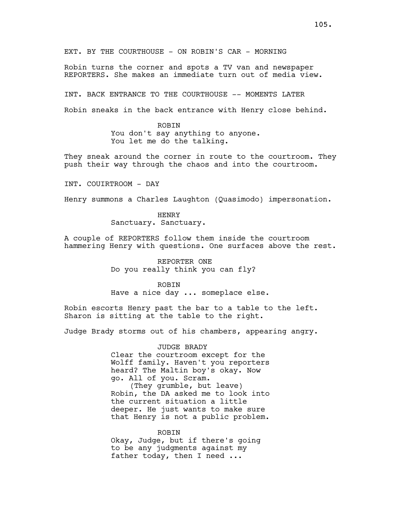EXT. BY THE COURTHOUSE - ON ROBIN'S CAR - MORNING

Robin turns the corner and spots a TV van and newspaper REPORTERS. She makes an immediate turn out of media view.

INT. BACK ENTRANCE TO THE COURTHOUSE -- MOMENTS LATER

Robin sneaks in the back entrance with Henry close behind.

ROBIN You don't say anything to anyone. You let me do the talking.

They sneak around the corner in route to the courtroom. They push their way through the chaos and into the courtroom.

INT. COUIRTROOM - DAY

Henry summons a Charles Laughton (Quasimodo) impersonation.

HENRY Sanctuary. Sanctuary.

A couple of REPORTERS follow them inside the courtroom hammering Henry with questions. One surfaces above the rest.

> REPORTER ONE Do you really think you can fly?

> > ROBIN

Have a nice day ... someplace else.

Robin escorts Henry past the bar to a table to the left. Sharon is sitting at the table to the right.

Judge Brady storms out of his chambers, appearing angry.

JUDGE BRADY Clear the courtroom except for the Wolff family. Haven't you reporters heard? The Maltin boy's okay. Now go. All of you. Scram. (They grumble, but leave) Robin, the DA asked me to look into the current situation a little deeper. He just wants to make sure that Henry is not a public problem.

ROBIN Okay, Judge, but if there's going to be any judgments against my father today, then I need ...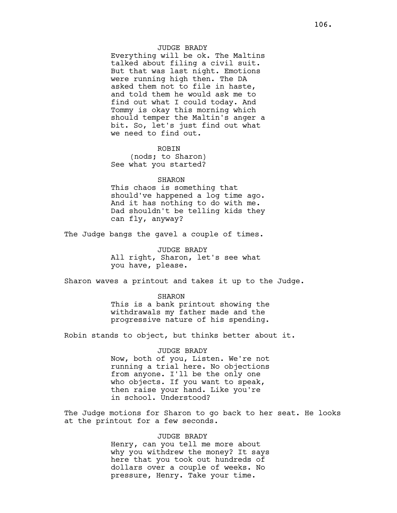### JUDGE BRADY

Everything will be ok. The Maltins talked about filing a civil suit. But that was last night. Emotions were running high then. The DA asked them not to file in haste, and told them he would ask me to find out what I could today. And Tommy is okay this morning which should temper the Maltin's anger a bit. So, let's just find out what we need to find out.

# ROBIN

(nods; to Sharon) See what you started?

### SHARON

This chaos is something that should've happened a log time ago. And it has nothing to do with me. Dad shouldn't be telling kids they can fly, anyway?

The Judge bangs the gavel a couple of times.

JUDGE BRADY All right, Sharon, let's see what you have, please.

Sharon waves a printout and takes it up to the Judge.

SHARON This is a bank printout showing the withdrawals my father made and the progressive nature of his spending.

Robin stands to object, but thinks better about it.

JUDGE BRADY Now, both of you, Listen. We're not running a trial here. No objections from anyone. I'll be the only one who objects. If you want to speak, then raise your hand. Like you're in school. Understood?

The Judge motions for Sharon to go back to her seat. He looks at the printout for a few seconds.

### JUDGE BRADY

Henry, can you tell me more about why you withdrew the money? It says here that you took out hundreds of dollars over a couple of weeks. No pressure, Henry. Take your time.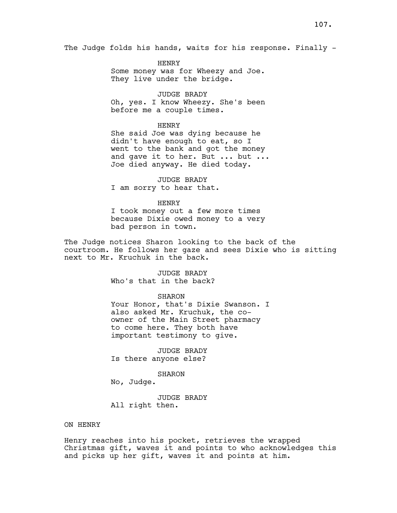The Judge folds his hands, waits for his response. Finally -

HENRY Some money was for Wheezy and Joe. They live under the bridge.

JUDGE BRADY Oh, yes. I know Wheezy. She's been before me a couple times.

## HENRY

She said Joe was dying because he didn't have enough to eat, so I went to the bank and got the money and gave it to her. But ... but ... Joe died anyway. He died today.

JUDGE BRADY I am sorry to hear that.

### HENRY

I took money out a few more times because Dixie owed money to a very bad person in town.

The Judge notices Sharon looking to the back of the courtroom. He follows her gaze and sees Dixie who is sitting next to Mr. Kruchuk in the back.

> JUDGE BRADY Who's that in the back?

# SHARON

Your Honor, that's Dixie Swanson. I also asked Mr. Kruchuk, the coowner of the Main Street pharmacy to come here. They both have important testimony to give.

JUDGE BRADY Is there anyone else?

# SHARON

No, Judge.

JUDGE BRADY All right then.

## ON HENRY

Henry reaches into his pocket, retrieves the wrapped Christmas gift, waves it and points to who acknowledges this and picks up her gift, waves it and points at him.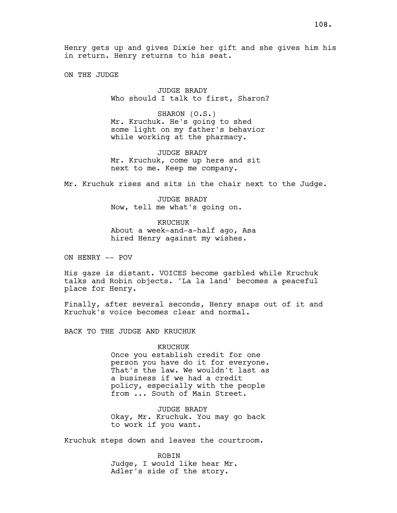Henry gets up and gives Dixie her gift and she gives him his in return. Henry returns to his seat.

ON THE JUDGE

JUDGE BRADY Who should I talk to first, Sharon?

SHARON (O.S.) Mr. Kruchuk. He's going to shed some light on my father's behavior while working at the pharmacy.

JUDGE BRADY Mr. Kruchuk, come up here and sit next to me. Keep me company.

Mr. Kruchuk rises and sits in the chair next to the Judge.

JUDGE BRADY Now, tell me what's going on.

KRUCHUK About a week-and-a-half ago, Asa hired Henry against my wishes.

ON HENRY -- POV

His gaze is distant. VOICES become garbled while Kruchuk talks and Robin objects. 'La la land' becomes a peaceful place for Henry.

Finally, after several seconds, Henry snaps out of it and Kruchuk's voice becomes clear and normal.

BACK TO THE JUDGE AND KRUCHUK

# KRUCHUK

Once you establish credit for one person you have do it for everyone. That's the law. We wouldn't last as a business if we had a credit policy, especially with the people from ... South of Main Street.

JUDGE BRADY Okay, Mr. Kruchuk. You may go back to work if you want.

Kruchuk steps down and leaves the courtroom.

ROBIN Judge, I would like hear Mr. Adler's side of the story.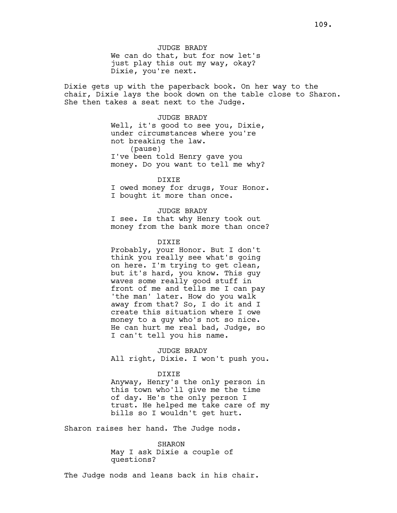JUDGE BRADY We can do that, but for now let's just play this out my way, okay? Dixie, you're next.

Dixie gets up with the paperback book. On her way to the chair, Dixie lays the book down on the table close to Sharon. She then takes a seat next to the Judge.

> JUDGE BRADY Well, it's good to see you, Dixie, under circumstances where you're not breaking the law. (pause) I've been told Henry gave you money. Do you want to tell me why?

> > DIXIE

I owed money for drugs, Your Honor. I bought it more than once.

# JUDGE BRADY

I see. Is that why Henry took out money from the bank more than once?

DIXIE

Probably, your Honor. But I don't think you really see what's going on here. I'm trying to get clean, but it's hard, you know. This guy waves some really good stuff in front of me and tells me I can pay 'the man' later. How do you walk away from that? So, I do it and I create this situation where I owe money to a guy who's not so nice. He can hurt me real bad, Judge, so I can't tell you his name.

JUDGE BRADY All right, Dixie. I won't push you.

#### DIXIE

Anyway, Henry's the only person in this town who'll give me the time of day. He's the only person I trust. He helped me take care of my bills so I wouldn't get hurt.

Sharon raises her hand. The Judge nods.

SHARON May I ask Dixie a couple of questions?

The Judge nods and leans back in his chair.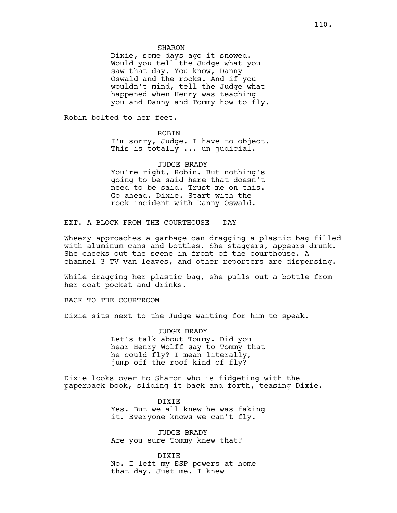SHARON

Dixie, some days ago it snowed. Would you tell the Judge what you saw that day. You know, Danny Oswald and the rocks. And if you wouldn't mind, tell the Judge what happened when Henry was teaching you and Danny and Tommy how to fly.

Robin bolted to her feet.

### **ROBIN**

I'm sorry, Judge. I have to object. This is totally ... un-judicial.

JUDGE BRADY You're right, Robin. But nothing's going to be said here that doesn't need to be said. Trust me on this. Go ahead, Dixie. Start with the rock incident with Danny Oswald.

EXT. A BLOCK FROM THE COURTHOUSE - DAY

Wheezy approaches a garbage can dragging a plastic bag filled with aluminum cans and bottles. She staggers, appears drunk. She checks out the scene in front of the courthouse. A channel 3 TV van leaves, and other reporters are dispersing.

While dragging her plastic bag, she pulls out a bottle from her coat pocket and drinks.

BACK TO THE COURTROOM

Dixie sits next to the Judge waiting for him to speak.

JUDGE BRADY Let's talk about Tommy. Did you hear Henry Wolff say to Tommy that he could fly? I mean literally, jump-off-the-roof kind of fly?

Dixie looks over to Sharon who is fidgeting with the paperback book, sliding it back and forth, teasing Dixie.

> DIXIE Yes. But we all knew he was faking it. Everyone knows we can't fly.

JUDGE BRADY Are you sure Tommy knew that?

DIXIE No. I left my ESP powers at home that day. Just me. I knew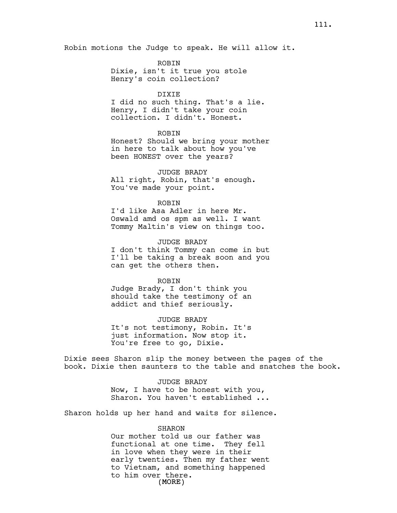ROBIN

Dixie, isn't it true you stole Henry's coin collection?

### DIXIE

I did no such thing. That's a lie. Henry, I didn't take your coin collection. I didn't. Honest.

# ROBIN

Honest? Should we bring your mother in here to talk about how you've been HONEST over the years?

# JUDGE BRADY

All right, Robin, that's enough. You've made your point.

### ROBIN

I'd like Asa Adler in here Mr. Oswald amd os spm as well. I want Tommy Maltin's view on things too.

JUDGE BRADY

I don't think Tommy can come in but I'll be taking a break soon and you can get the others then.

# ROBIN

Judge Brady, I don't think you should take the testimony of an addict and thief seriously.

### JUDGE BRADY

It's not testimony, Robin. It's just information. Now stop it. You're free to go, Dixie.

Dixie sees Sharon slip the money between the pages of the book. Dixie then saunters to the table and snatches the book.

> JUDGE BRADY Now, I have to be honest with you, Sharon. You haven't established ...

Sharon holds up her hand and waits for silence.

# SHARON

(MORE) Our mother told us our father was functional at one time. They fell in love when they were in their early twenties. Then my father went to Vietnam, and something happened to him over there.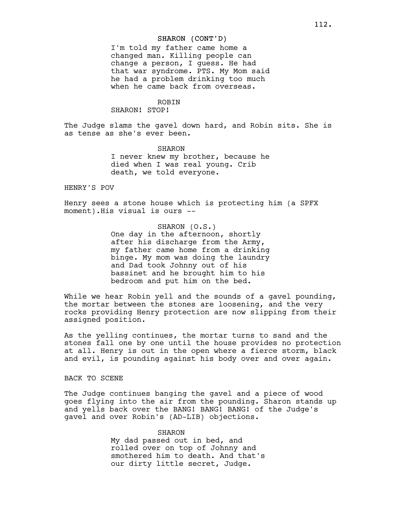# SHARON (CONT'D)

I'm told my father came home a changed man. Killing people can change a person, I guess. He had that war syndrome. PTS. My Mom said he had a problem drinking too much when he came back from overseas.

# ROBIN

### SHARON! STOP!

The Judge slams the gavel down hard, and Robin sits. She is as tense as she's ever been.

> SHARON I never knew my brother, because he died when I was real young. Crib death, we told everyone.

# HENRY'S POV

Henry sees a stone house which is protecting him (a SPFX moment).His visual is ours --

### SHARON (O.S.)

One day in the afternoon, shortly after his discharge from the Army, my father came home from a drinking binge. My mom was doing the laundry and Dad took Johnny out of his bassinet and he brought him to his bedroom and put him on the bed.

While we hear Robin yell and the sounds of a gavel pounding, the mortar between the stones are loosening, and the very rocks providing Henry protection are now slipping from their assigned position.

As the yelling continues, the mortar turns to sand and the stones fall one by one until the house provides no protection at all. Henry is out in the open where a fierce storm, black and evil, is pounding against his body over and over again.

# BACK TO SCENE

The Judge continues banging the gavel and a piece of wood goes flying into the air from the pounding. Sharon stands up and yells back over the BANG! BANG! BANG! of the Judge's gavel and over Robin's (AD-LIB) objections.

# SHARON My dad passed out in bed, and rolled over on top of Johnny and smothered him to death. And that's our dirty little secret, Judge.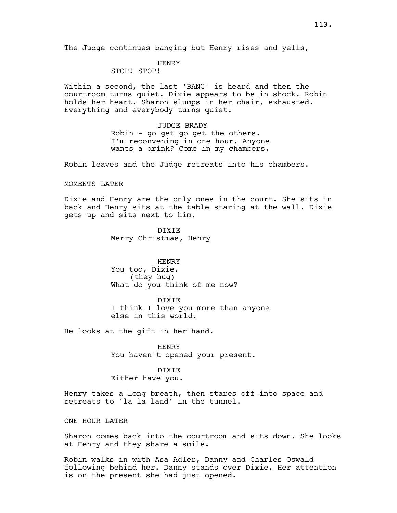# HENRY

STOP! STOP!

Within a second, the last 'BANG' is heard and then the courtroom turns quiet. Dixie appears to be in shock. Robin holds her heart. Sharon slumps in her chair, exhausted. Everything and everybody turns quiet.

> JUDGE BRADY Robin - go get go get the others. I'm reconvening in one hour. Anyone wants a drink? Come in my chambers.

Robin leaves and the Judge retreats into his chambers.

### MOMENTS LATER

Dixie and Henry are the only ones in the court. She sits in back and Henry sits at the table staring at the wall. Dixie gets up and sits next to him.

> DIXIE Merry Christmas, Henry

HENRY You too, Dixie. (they hug) What do you think of me now?

DIXIE I think I love you more than anyone else in this world.

He looks at the gift in her hand.

HENRY You haven't opened your present.

# DIXIE

Either have you.

Henry takes a long breath, then stares off into space and retreats to 'la la land' in the tunnel.

ONE HOUR LATER

Sharon comes back into the courtroom and sits down. She looks at Henry and they share a smile.

Robin walks in with Asa Adler, Danny and Charles Oswald following behind her. Danny stands over Dixie. Her attention is on the present she had just opened.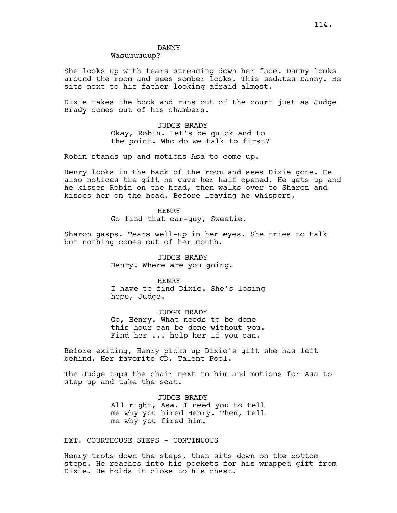# DANNY

# Wasuuuuuup?

She looks up with tears streaming down her face. Danny looks around the room and sees somber looks. This sedates Danny. He sits next to his father looking afraid almost.

Dixie takes the book and runs out of the court just as Judge Brady comes out of his chambers.

> JUDGE BRADY Okay, Robin. Let's be quick and to the point. Who do we talk to first?

Robin stands up and motions Asa to come up.

Henry looks in the back of the room and sees Dixie gone. He also notices the gift he gave her half opened. He gets up and he kisses Robin on the head, then walks over to Sharon and kisses her on the head. Before leaving he whispers,

> HENRY Go find that car-guy, Sweetie.

Sharon gasps. Tears well-up in her eyes. She tries to talk but nothing comes out of her mouth.

> JUDGE BRADY Henry! Where are you going?

HENRY I have to find Dixie. She's losing hope, Judge.

JUDGE BRADY Go, Henry. What needs to be done this hour can be done without you. Find her ... help her if you can.

Before exiting, Henry picks up Dixie's gift she has left behind. Her favorite CD. Talent Pool.

The Judge taps the chair next to him and motions for Asa to step up and take the seat.

> JUDGE BRADY All right, Asa. I need you to tell me why you hired Henry. Then, tell me why you fired him.

EXT. COURTHOUSE STEPS - CONTINUOUS

Henry trots down the steps, then sits down on the bottom steps. He reaches into his pockets for his wrapped gift from Dixie. He holds it close to his chest.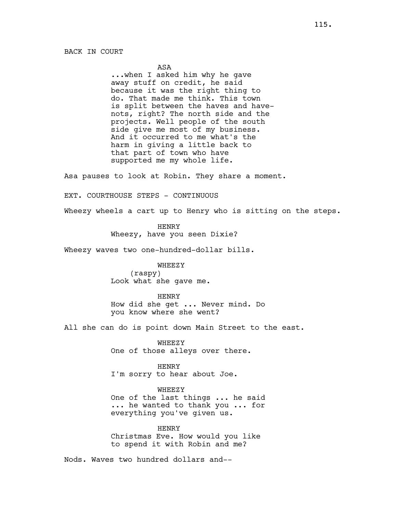## ASA

...when I asked him why he gave away stuff on credit, he said because it was the right thing to do. That made me think. This town is split between the haves and havenots, right? The north side and the projects. Well people of the south side give me most of my business. And it occurred to me what's the harm in giving a little back to that part of town who have supported me my whole life.

Asa pauses to look at Robin. They share a moment.

EXT. COURTHOUSE STEPS - CONTINUOUS

Wheezy wheels a cart up to Henry who is sitting on the steps.

HENRY Wheezy, have you seen Dixie?

Wheezy waves two one-hundred-dollar bills.

**WHEEZY** (raspy) Look what she gave me.

HENRY

How did she get ... Never mind. Do you know where she went?

All she can do is point down Main Street to the east.

WHEEZY One of those alleys over there.

HENRY I'm sorry to hear about Joe.

WHEEZY

One of the last things ... he said ... he wanted to thank you ... for everything you've given us.

HENRY Christmas Eve. How would you like to spend it with Robin and me?

Nods. Waves two hundred dollars and--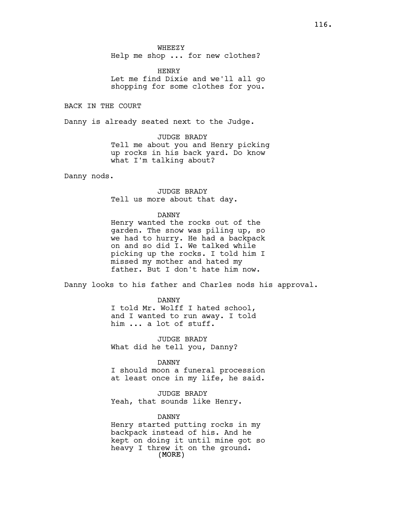Help me shop ... for new clothes?

HENRY Let me find Dixie and we'll all go shopping for some clothes for you.

BACK IN THE COURT

Danny is already seated next to the Judge.

JUDGE BRADY Tell me about you and Henry picking up rocks in his back yard. Do know what I'm talking about?

Danny nods.

JUDGE BRADY Tell us more about that day.

# DANNY

Henry wanted the rocks out of the garden. The snow was piling up, so we had to hurry. He had a backpack on and so did I. We talked while picking up the rocks. I told him I missed my mother and hated my father. But I don't hate him now.

Danny looks to his father and Charles nods his approval.

#### DANNY

I told Mr. Wolff I hated school, and I wanted to run away. I told him ... a lot of stuff.

JUDGE BRADY What did he tell you, Danny?

# DANNY

I should moon a funeral procession at least once in my life, he said.

JUDGE BRADY Yeah, that sounds like Henry.

# DANNY

(MORE) Henry started putting rocks in my backpack instead of his. And he kept on doing it until mine got so heavy I threw it on the ground.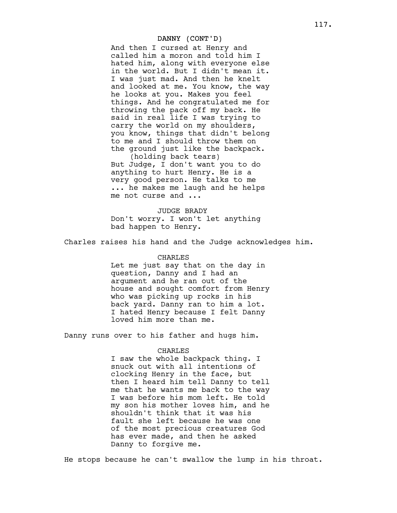# DANNY (CONT'D)

And then I cursed at Henry and called him a moron and told him I hated him, along with everyone else in the world. But I didn't mean it. I was just mad. And then he knelt and looked at me. You know, the way he looks at you. Makes you feel things. And he congratulated me for throwing the pack off my back. He said in real life I was trying to carry the world on my shoulders, you know, things that didn't belong to me and I should throw them on the ground just like the backpack.

(holding back tears) But Judge, I don't want you to do anything to hurt Henry. He is a very good person. He talks to me ... he makes me laugh and he helps me not curse and ...

# JUDGE BRADY Don't worry. I won't let anything bad happen to Henry.

Charles raises his hand and the Judge acknowledges him.

#### CHARLES

Let me just say that on the day in question, Danny and I had an argument and he ran out of the house and sought comfort from Henry who was picking up rocks in his back yard. Danny ran to him a lot. I hated Henry because I felt Danny loved him more than me.

Danny runs over to his father and hugs him.

### CHARLES

I saw the whole backpack thing. I snuck out with all intentions of clocking Henry in the face, but then I heard him tell Danny to tell me that he wants me back to the way I was before his mom left. He told my son his mother loves him, and he shouldn't think that it was his fault she left because he was one of the most precious creatures God has ever made, and then he asked Danny to forgive me.

He stops because he can't swallow the lump in his throat.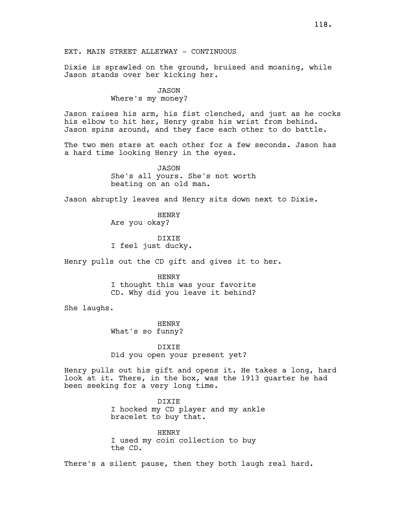EXT. MAIN STREET ALLEYWAY - CONTINUOUS

Dixie is sprawled on the ground, bruised and moaning, while Jason stands over her kicking her.

#### JASON

Where's my money?

Jason raises his arm, his fist clenched, and just as he cocks his elbow to hit her, Henry grabs his wrist from behind. Jason spins around, and they face each other to do battle.

The two men stare at each other for a few seconds. Jason has a hard time looking Henry in the eyes.

> JASON She's all yours. She's not worth beating on an old man.

Jason abruptly leaves and Henry sits down next to Dixie.

HENRY Are you okay?

DIXIE I feel just ducky.

Henry pulls out the CD gift and gives it to her.

HENRY I thought this was your favorite CD. Why did you leave it behind?

She laughs.

**HENRY** What's so funny?

DIXIE Did you open your present yet?

Henry pulls out his gift and opens it. He takes a long, hard look at it. There, in the box, was the 1913 quarter he had been seeking for a very long time.

> DIXIE I hocked my CD player and my ankle bracelet to buy that.

HENRY I used my coin collection to buy the CD.

There's a silent pause, then they both laugh real hard.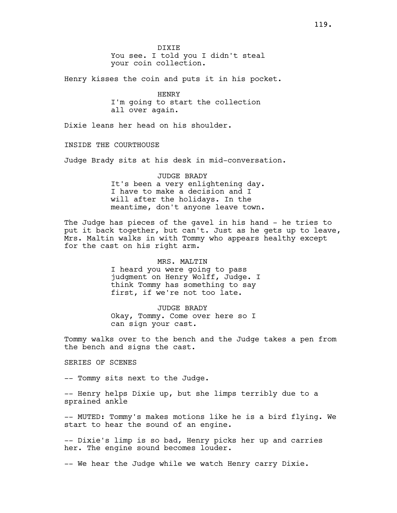Henry kisses the coin and puts it in his pocket.

HENRY I'm going to start the collection all over again.

Dixie leans her head on his shoulder.

INSIDE THE COURTHOUSE

Judge Brady sits at his desk in mid-conversation.

JUDGE BRADY It's been a very enlightening day. I have to make a decision and I will after the holidays. In the meantime, don't anyone leave town.

The Judge has pieces of the gavel in his hand - he tries to put it back together, but can't. Just as he gets up to leave, Mrs. Maltin walks in with Tommy who appears healthy except for the cast on his right arm.

> MRS. MALTIN I heard you were going to pass judgment on Henry Wolff, Judge. I think Tommy has something to say first, if we're not too late.

JUDGE BRADY Okay, Tommy. Come over here so I can sign your cast.

Tommy walks over to the bench and the Judge takes a pen from the bench and signs the cast.

SERIES OF SCENES

-- Tommy sits next to the Judge.

-- Henry helps Dixie up, but she limps terribly due to a sprained ankle

-- MUTED: Tommy's makes motions like he is a bird flying. We start to hear the sound of an engine.

-- Dixie's limp is so bad, Henry picks her up and carries her. The engine sound becomes louder.

-- We hear the Judge while we watch Henry carry Dixie.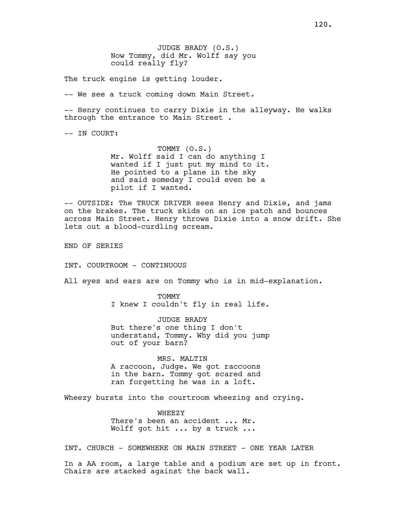JUDGE BRADY (O.S.) Now Tommy, did Mr. Wolff say you could really fly?

The truck engine is getting louder.

-- We see a truck coming down Main Street.

-- Henry continues to carry Dixie in the alleyway. He walks through the entrance to Main Street .

-- IN COURT:

TOMMY (O.S.) Mr. Wolff said I can do anything I wanted if I just put my mind to it. He pointed to a plane in the sky and said someday I could even be a pilot if I wanted.

-- OUTSIDE: The TRUCK DRIVER sees Henry and Dixie, and jams on the brakes. The truck skids on an ice patch and bounces across Main Street. Henry throws Dixie into a snow drift. She lets out a blood-curdling scream.

END OF SERIES

INT. COURTROOM - CONTINUOUS

All eyes and ears are on Tommy who is in mid-explanation.

TOMMY I knew I couldn't fly in real life.

JUDGE BRADY But there's one thing I don't understand, Tommy. Why did you jump out of your barn?

MRS. MALTIN A raccoon, Judge. We got raccoons in the barn. Tommy got scared and ran forgetting he was in a loft.

Wheezy bursts into the courtroom wheezing and crying.

WHEEZY There's been an accident ... Mr. Wolff got hit ... by a truck ...

INT. CHURCH - SOMEWHERE ON MAIN STREET - ONE YEAR LATER

In a AA room, a large table and a podium are set up in front. Chairs are stacked against the back wall.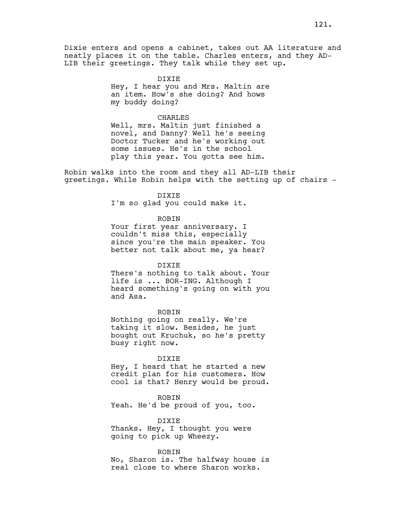Dixie enters and opens a cabinet, takes out AA literature and neatly places it on the table. Charles enters, and they AD-LIB their greetings. They talk while they set up.

> DIXIE Hey, I hear you and Mrs. Maltin are an item. How's she doing? And hows my buddy doing?

### CHARLES

Well, mrs. Maltin just finished a novel, and Danny? Well he's seeing Doctor Tucker and he's working out some issues. He's in the school play this year. You gotta see him.

Robin walks into the room and they all AD-LIB their greetings. While Robin helps with the setting up of chairs -

# **DIXIE**

I'm so glad you could make it.

### ROBIN

Your first year anniversary. I couldn't miss this, especially since you're the main speaker. You better not talk about me, ya hear?

#### DIXIE

There's nothing to talk about. Your life is ... BOR-ING. Although I heard something's going on with you and Asa.

#### ROBIN

Nothing going on really. We're taking it slow. Besides, he just bought out Kruchuk, so he's pretty busy right now.

#### DIXIE

Hey, I heard that he started a new credit plan for his customers. How cool is that? Henry would be proud.

ROBIN Yeah. He'd be proud of you, too.

DIXIE Thanks. Hey, I thought you were going to pick up Wheezy.

### ROBIN

No, Sharon is. The halfway house is real close to where Sharon works.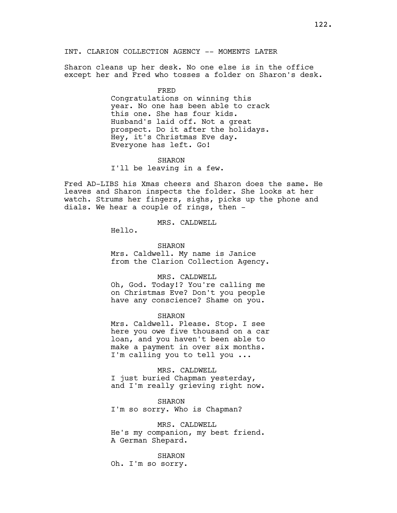Sharon cleans up her desk. No one else is in the office except her and Fred who tosses a folder on Sharon's desk.

FRED

Congratulations on winning this year. No one has been able to crack this one. She has four kids. Husband's laid off. Not a great prospect. Do it after the holidays. Hey, it's Christmas Eve day. Everyone has left. Go!

#### SHARON

I'll be leaving in a few.

Fred AD-LIBS his Xmas cheers and Sharon does the same. He leaves and Sharon inspects the folder. She looks at her watch. Strums her fingers, sighs, picks up the phone and dials. We hear a couple of rings, then -

# MRS. CALDWELL

Hello.

#### SHARON

Mrs. Caldwell. My name is Janice from the Clarion Collection Agency.

### MRS. CALDWELL

Oh, God. Today!? You're calling me on Christmas Eve? Don't you people have any conscience? Shame on you.

#### SHARON

Mrs. Caldwell. Please. Stop. I see here you owe five thousand on a car loan, and you haven't been able to make a payment in over six months. I'm calling you to tell you ...

### MRS. CALDWELL

I just buried Chapman yesterday, and I'm really grieving right now.

# SHARON

I'm so sorry. Who is Chapman?

### MRS. CALDWELL

He's my companion, my best friend. A German Shepard.

#### SHARON

Oh. I'm so sorry.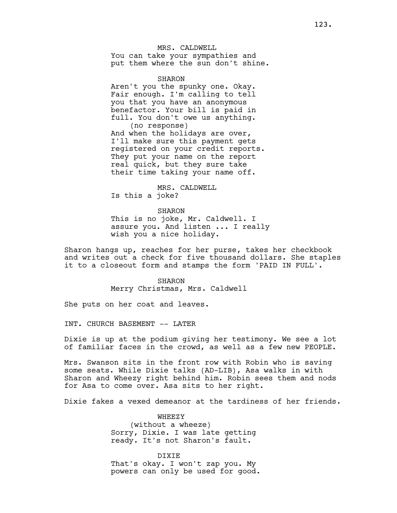MRS. CALDWELL You can take your sympathies and put them where the sun don't shine.

SHARON Aren't you the spunky one. Okay. Fair enough. I'm calling to tell you that you have an anonymous benefactor. Your bill is paid in full. You don't owe us anything. (no response) And when the holidays are over, I'll make sure this payment gets registered on your credit reports. They put your name on the report real quick, but they sure take their time taking your name off.

MRS. CALDWELL Is this a joke?

SHARON

This is no joke, Mr. Caldwell. I assure you. And listen ... I really wish you a nice holiday.

Sharon hangs up, reaches for her purse, takes her checkbook and writes out a check for five thousand dollars. She staples it to a closeout form and stamps the form 'PAID IN FULL'.

> SHARON Merry Christmas, Mrs. Caldwell

She puts on her coat and leaves.

INT. CHURCH BASEMENT -- LATER

Dixie is up at the podium giving her testimony. We see a lot of familiar faces in the crowd, as well as a few new PEOPLE.

Mrs. Swanson sits in the front row with Robin who is saving some seats. While Dixie talks (AD-LIB), Asa walks in with Sharon and Wheezy right behind him. Robin sees them and nods for Asa to come over. Asa sits to her right.

Dixie fakes a vexed demeanor at the tardiness of her friends.

WHEEZY (without a wheeze) Sorry, Dixie. I was late getting ready. It's not Sharon's fault.

DIXIE That's okay. I won't zap you. My powers can only be used for good.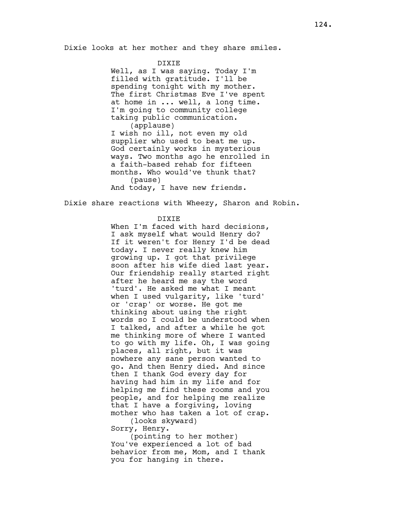Dixie looks at her mother and they share smiles.

## DIXIE

Well, as I was saying. Today I'm filled with gratitude. I'll be spending tonight with my mother. The first Christmas Eve I've spent at home in ... well, a long time. I'm going to community college taking public communication. (applause)

I wish no ill, not even my old supplier who used to beat me up. God certainly works in mysterious ways. Two months ago he enrolled in a faith-based rehab for fifteen months. Who would've thunk that? (pause)

And today, I have new friends.

Dixie share reactions with Wheezy, Sharon and Robin.

# DIXIE

When I'm faced with hard decisions, I ask myself what would Henry do? If it weren't for Henry I'd be dead today. I never really knew him growing up. I got that privilege soon after his wife died last year. Our friendship really started right after he heard me say the word 'turd'. He asked me what I meant when I used vulgarity, like 'turd' or 'crap' or worse. He got me thinking about using the right words so I could be understood when I talked, and after a while he got me thinking more of where I wanted to go with my life. Oh, I was going places, all right, but it was nowhere any sane person wanted to go. And then Henry died. And since then I thank God every day for having had him in my life and for helping me find these rooms and you people, and for helping me realize that I have a forgiving, loving mother who has taken a lot of crap.

(looks skyward) Sorry, Henry.

(pointing to her mother) You've experienced a lot of bad behavior from me, Mom, and I thank you for hanging in there.